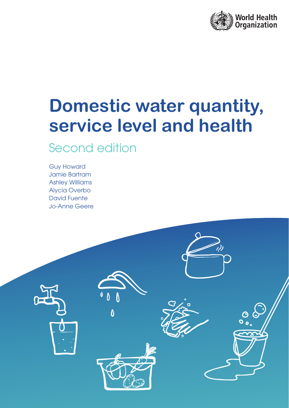

# **Domestic water quantity, service level and health**

Second edition

Guy Howard Jamie Bartram Ashley Williams Alycia Overbo David Fuente Jo-Anne Geere

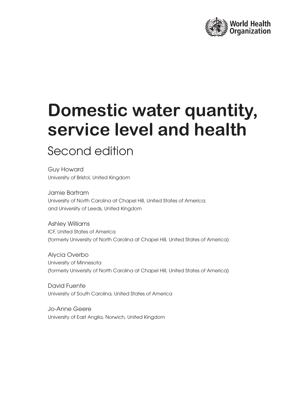

# **Domestic water quantity, service level and health**

# Second edition

Guy Howard University of Bristol, United Kingdom

Jamie Bartram University of North Carolina at Chapel Hill, United States of America; and University of Leeds, United Kingdom

Ashley Williams ICF, United States of America (formerly University of North Carolina at Chapel Hill, United States of America)

Alycia Overbo University of Minnesota (formerly University of North Carolina at Chapel Hill, United States of America)

David Fuente University of South Carolina, United States of America

Jo-Anne Geere University of East Anglia, Norwich, United Kingdom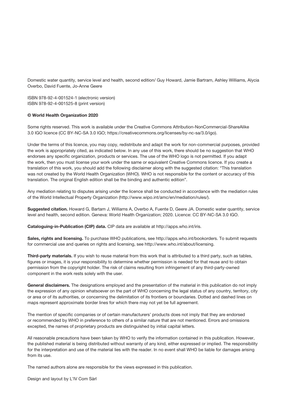Domestic water quantity, service level and health, second edition/ Guy Howard, Jamie Bartram, Ashley Williams, Alycia Overbo, David Fuente, Jo-Anne Geere

ISBN 978-92-4-001524-1 (electronic version) ISBN 978-92-4-001525-8 (print version)

#### **© World Health Organization 2020**

Some rights reserved. This work is available under the Creative Commons Attribution-NonCommercial-ShareAlike 3.0 IGO licence (CC BY-NC-SA 3.0 IGO; [https://creativecommons.org/licenses/by-nc-sa/3.0/igo\)](https://creativecommons.org/licenses/by-nc-sa/3.0/igo).

Under the terms of this licence, you may copy, redistribute and adapt the work for non-commercial purposes, provided the work is appropriately cited, as indicated below. In any use of this work, there should be no suggestion that WHO endorses any specific organization, products or services. The use of the WHO logo is not permitted. If you adapt the work, then you must license your work under the same or equivalent Creative Commons licence. If you create a translation of this work, you should add the following disclaimer along with the suggested citation: "This translation was not created by the World Health Organization (WHO). WHO is not responsible for the content or accuracy of this translation. The original English edition shall be the binding and authentic edition".

Any mediation relating to disputes arising under the licence shall be conducted in accordance with the mediation rules of the World Intellectual Property Organization [\(http://www.wipo.int/amc/en/mediation/rules/\)](http://www.wipo.int/amc/en/mediation/rules/).

**Suggested citation.** Howard G, Bartam J, Williams A, Overbo A, Fuente D, Geere JA. Domestic water quantity, service level and health, second edition. Geneva: World Health Organization; 2020. Licence: CC [BY-NC-SA](https://creativecommons.org/licenses/by-nc-sa/3.0/igo/) 3.0 IGO.

**Cataloguing-in-Publication (CIP) data.** CIP data are available at [http://apps.who.int/iris.](http://apps.who.int/iris/)

**Sales, rights and licensing.** To purchase WHO publications, see [http://apps.who.int/bookorders.](http://apps.who.int/bookorders) To submit requests for commercial use and queries on rights and licensing, see [http://www.who.int/about/licensing.](http://www.who.int/about/licensing)

**Third-party materials.** If you wish to reuse material from this work that is attributed to a third party, such as tables, figures or images, it is your responsibility to determine whether permission is needed for that reuse and to obtain permission from the copyright holder. The risk of claims resulting from infringement of any third-party-owned component in the work rests solely with the user.

**General disclaimers.** The designations employed and the presentation of the material in this publication do not imply the expression of any opinion whatsoever on the part of WHO concerning the legal status of any country, territory, city or area or of its authorities, or concerning the delimitation of its frontiers or boundaries. Dotted and dashed lines on maps represent approximate border lines for which there may not yet be full agreement.

The mention of specific companies or of certain manufacturers' products does not imply that they are endorsed or recommended by WHO in preference to others of a similar nature that are not mentioned. Errors and omissions excepted, the names of proprietary products are distinguished by initial capital letters.

All reasonable precautions have been taken by WHO to verify the information contained in this publication. However, the published material is being distributed without warranty of any kind, either expressed or implied. The responsibility for the interpretation and use of the material lies with the reader. In no event shall WHO be liable for damages arising from its use.

The named authors alone are responsible for the views expressed in this publication.

Design and layout by L'IV Com Sàrl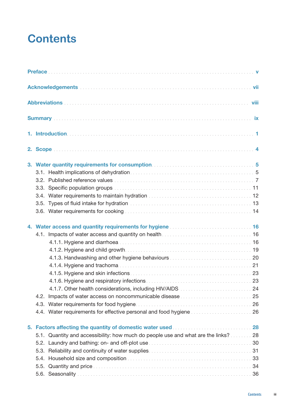# **Contents**

|      | 4. Water access and quantity requirements for hygiene <b>Community 19th Water access</b> and quantity requirements for hygiene <b>Community 19th</b>                                                                                 |  |
|------|--------------------------------------------------------------------------------------------------------------------------------------------------------------------------------------------------------------------------------------|--|
|      |                                                                                                                                                                                                                                      |  |
|      |                                                                                                                                                                                                                                      |  |
|      | 4.1.2. Hygiene and child growth <b>contract to the contract of the contract of the contract of the contract of the contract of the contract of the contract of the contract of the contract of the contract of the contract of t</b> |  |
|      |                                                                                                                                                                                                                                      |  |
|      |                                                                                                                                                                                                                                      |  |
|      |                                                                                                                                                                                                                                      |  |
|      |                                                                                                                                                                                                                                      |  |
|      |                                                                                                                                                                                                                                      |  |
|      |                                                                                                                                                                                                                                      |  |
|      |                                                                                                                                                                                                                                      |  |
|      | 4.4. Water requirements for effective personal and food hygiene <b>Fig. 10.1.1.1.1.1.1.1.1.1.1.26</b>                                                                                                                                |  |
|      |                                                                                                                                                                                                                                      |  |
|      | 5.1. Quantity and accessibility: how much do people use and what are the links?  28                                                                                                                                                  |  |
|      | 5.2. Laundry and bathing: on- and off-plot use manufacture contained as a set of 30                                                                                                                                                  |  |
| 5.3. |                                                                                                                                                                                                                                      |  |
|      | 5.4. Household size and composition manufacture in the control of the state of 33                                                                                                                                                    |  |
|      |                                                                                                                                                                                                                                      |  |
|      |                                                                                                                                                                                                                                      |  |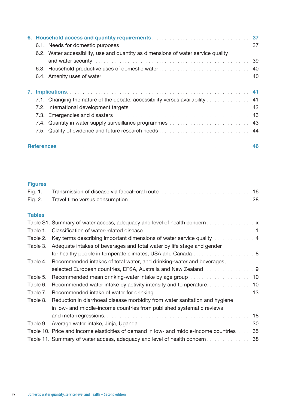|    | 6.2. Water accessibility, use and quantity as dimensions of water service quality                             |  |
|----|---------------------------------------------------------------------------------------------------------------|--|
|    |                                                                                                               |  |
|    |                                                                                                               |  |
|    |                                                                                                               |  |
| 7. |                                                                                                               |  |
|    | 7.1. Changing the nature of the debate: accessibility versus availability  41                                 |  |
|    |                                                                                                               |  |
|    | 7.3. Emergencies and disasters measure in the contract of the contract of the contract of the contract of the |  |
|    |                                                                                                               |  |
|    |                                                                                                               |  |
|    |                                                                                                               |  |

### **Figures**

#### **Tables**

|          | Table S1. Summary of water access, adequacy and level of health concern <i>matures in the S1</i> . |  |
|----------|----------------------------------------------------------------------------------------------------|--|
| Table 1. |                                                                                                    |  |
| Table 2. |                                                                                                    |  |
| Table 3. | Adequate intakes of beverages and total water by life stage and gender                             |  |
|          | for healthy people in temperate climates, USA and Canada  8                                        |  |
| Table 4. | Recommended intakes of total water, and drinking-water and beverages,                              |  |
|          |                                                                                                    |  |
| Table 5. |                                                                                                    |  |
| Table 6. |                                                                                                    |  |
| Table 7. |                                                                                                    |  |
| Table 8. | Reduction in diarrhoeal disease morbidity from water sanitation and hygiene                        |  |
|          | in low- and middle-income countries from published systematic reviews                              |  |
|          |                                                                                                    |  |
| Table 9. |                                                                                                    |  |
|          | Table 10. Price and income elasticities of demand in low- and middle-income countries 35           |  |
|          | Table 11. Summary of water access, adequacy and level of health concern mass as a 38               |  |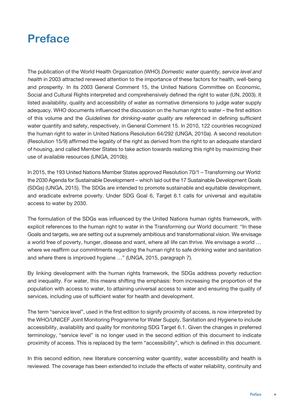## <span id="page-6-0"></span>**Preface**

The publication of the World Health Organization (WHO) Domestic water quantity, service level and health in 2003 attracted renewed attention to the importance of these factors for health, well-being and prosperity. In its 2003 General Comment 15, the United Nations Committee on Economic, Social and Cultural Rights interpreted and comprehensively defined the right to water (UN, 2003). It listed availability, quality and accessibility of water as normative dimensions to judge water supply adequacy. WHO documents influenced the discussion on the human right to water – the first edition of this volume and the Guidelines for drinking-water quality are referenced in defining sufficient water quantity and safety, respectively, in General Comment 15. In 2010, 122 countries recognized the human right to water in United Nations Resolution 64/292 (UNGA, 2010a). A second resolution (Resolution 15/9) affirmed the legality of the right as derived from the right to an adequate standard of housing, and called Member States to take action towards realizing this right by maximizing their use of available resources (UNGA, 2010b).

In 2015, the 193 United Nations Member States approved Resolution 70/1 – Transforming our World: the 2030 Agenda for Sustainable Development – which laid out the 17 Sustainable Development Goals (SDGs) (UNGA, 2015). The SDGs are intended to promote sustainable and equitable development, and eradicate extreme poverty. Under SDG Goal 6, Target 6.1 calls for universal and equitable access to water by 2030.

The formulation of the SDGs was influenced by the United Nations human rights framework, with explicit references to the human right to water in the Transforming our World document: "In these Goals and targets, we are setting out a supremely ambitious and transformational vision. We envisage a world free of poverty, hunger, disease and want, where all life can thrive. We envisage a world … where we reaffirm our commitments regarding the human right to safe drinking water and sanitation and where there is improved hygiene …" (UNGA, 2015, paragraph 7).

By linking development with the human rights framework, the SDGs address poverty reduction and inequality. For water, this means shifting the emphasis: from increasing the proportion of the population with access to water, to attaining universal access to water and ensuring the quality of services, including use of sufficient water for health and development.

The term "service level", used in the first edition to signify proximity of access, is now interpreted by the WHO/UNICEF Joint Monitoring Programme for Water Supply, Sanitation and Hygiene to include accessibility, availability and quality for monitoring SDG Target 6.1. Given the changes in preferred terminology, "service level" is no longer used in the second edition of this document to indicate proximity of access. This is replaced by the term "accessibility", which is defined in this document.

In this second edition, new literature concerning water quantity, water accessibility and health is reviewed. The coverage has been extended to include the effects of water reliability, continuity and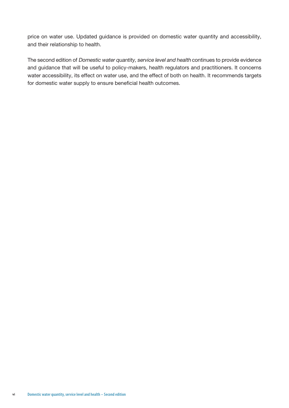price on water use. Updated guidance is provided on domestic water quantity and accessibility, and their relationship to health.

The second edition of Domestic water quantity, service level and health continues to provide evidence and guidance that will be useful to policy-makers, health regulators and practitioners. It concerns water accessibility, its effect on water use, and the effect of both on health. It recommends targets for domestic water supply to ensure beneficial health outcomes.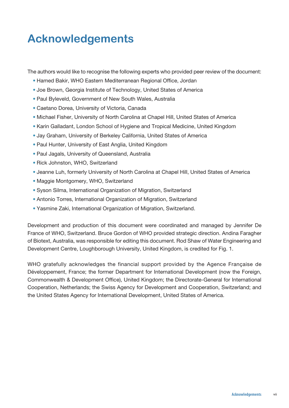# <span id="page-8-0"></span>**Acknowledgements**

The authors would like to recognise the following experts who provided peer review of the document:

- Hamed Bakir, WHO Eastern Mediterranean Regional Office, Jordan
- Joe Brown, Georgia Institute of Technology, United States of America
- Paul Byleveld, Government of New South Wales, Australia
- Caetano Dorea, University of Victoria, Canada
- Michael Fisher, University of North Carolina at Chapel Hill, United States of America
- Karin Galladant, London School of Hygiene and Tropical Medicine, United Kingdom
- Jay Graham, University of Berkeley California, United States of America
- Paul Hunter, University of East Anglia, United Kingdom
- Paul Jagals, University of Queensland, Australia
- Rick Johnston, WHO, Switzerland
- Jeanne Luh, formerly University of North Carolina at Chapel Hill, United States of America
- Maggie Montgomery, WHO, Switzerland
- Syson Silma, International Organization of Migration, Switzerland
- Antonio Torres, International Organization of Migration, Switzerland
- Yasmine Zaki, International Organization of Migration, Switzerland.

Development and production of this document were coordinated and managed by Jennifer De France of WHO, Switzerland. Bruce Gordon of WHO provided strategic direction. Andina Faragher of Biotext, Australia, was responsible for editing this document. Rod Shaw of Water Engineering and Development Centre, Loughborough University, United Kingdom, is credited for Fig. 1.

WHO gratefully acknowledges the financial support provided by the Agence Française de Développement, France; the former Department for International Development (now the Foreign, Commonwealth & Development Office), United Kingdom; the Directorate-General for International Cooperation, Netherlands; the Swiss Agency for Development and Cooperation, Switzerland; and the United States Agency for International Development, United States of America.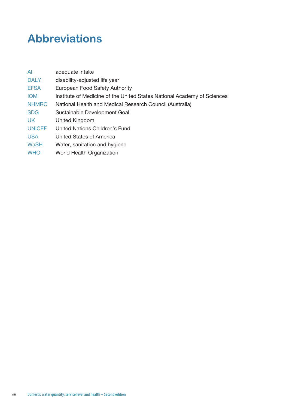# <span id="page-9-0"></span>**Abbreviations**

| Al            | adequate intake                                                         |
|---------------|-------------------------------------------------------------------------|
| <b>DALY</b>   | disability-adjusted life year                                           |
| <b>EFSA</b>   | European Food Safety Authority                                          |
| <b>IOM</b>    | Institute of Medicine of the United States National Academy of Sciences |
| <b>NHMRC</b>  | National Health and Medical Research Council (Australia)                |
| <b>SDG</b>    | Sustainable Development Goal                                            |
| <b>UK</b>     | United Kingdom                                                          |
| <b>UNICEF</b> | United Nations Children's Fund                                          |
| <b>USA</b>    | United States of America                                                |
| <b>WaSH</b>   | Water, sanitation and hygiene                                           |
| <b>WHO</b>    | World Health Organization                                               |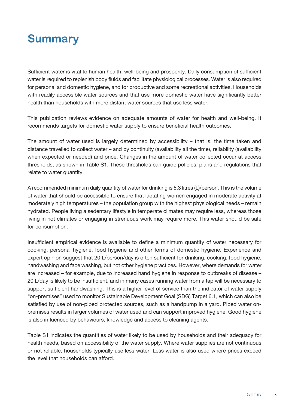<span id="page-10-0"></span>

Sufficient water is vital to human health, well-being and prosperity. Daily consumption of sufficient water is required to replenish body fluids and facilitate physiological processes. Water is also required for personal and domestic hygiene, and for productive and some recreational activities. Households with readily accessible water sources and that use more domestic water have significantly better health than households with more distant water sources that use less water.

This publication reviews evidence on adequate amounts of water for health and well-being. It recommends targets for domestic water supply to ensure beneficial health outcomes.

The amount of water used is largely determined by accessibility – that is, the time taken and distance travelled to collect water – and by continuity (availability all the time), reliability (availability when expected or needed) and price. Changes in the amount of water collected occur at access thresholds, as shown in Table S1. These thresholds can guide policies, plans and regulations that relate to water quantity.

A recommended minimum daily quantity of water for drinking is 5.3 litres (L)/person. This is the volume of water that should be accessible to ensure that lactating women engaged in moderate activity at moderately high temperatures – the population group with the highest physiological needs – remain hydrated. People living a sedentary lifestyle in temperate climates may require less, whereas those living in hot climates or engaging in strenuous work may require more. This water should be safe for consumption.

Insufficient empirical evidence is available to define a minimum quantity of water necessary for cooking, personal hygiene, food hygiene and other forms of domestic hygiene. Experience and expert opinion suggest that 20 L/person/day is often sufficient for drinking, cooking, food hygiene, handwashing and face washing, but not other hygiene practices. However, where demands for water are increased – for example, due to increased hand hygiene in response to outbreaks of disease – 20 L/day is likely to be insufficient, and in many cases running water from a tap will be necessary to support sufficient handwashing. This is a higher level of service than the indicator of water supply "on-premises" used to monitor Sustainable Development Goal (SDG) Target 6.1, which can also be satisfied by use of non-piped protected sources, such as a handpump in a yard. Piped water onpremises results in larger volumes of water used and can support improved hygiene. Good hygiene is also influenced by behaviours, knowledge and access to cleaning agents.

Table S1 indicates the quantities of water likely to be used by households and their adequacy for health needs, based on accessibility of the water supply. Where water supplies are not continuous or not reliable, households typically use less water. Less water is also used where prices exceed the level that households can afford.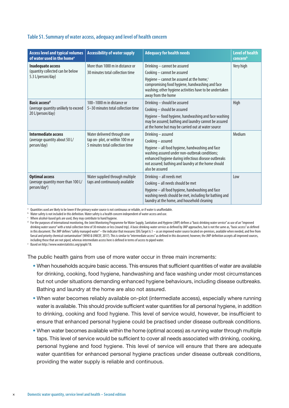#### <span id="page-11-0"></span>**Table S1. Summary of water access, adequacy and level of health concern**

| <b>Access level and typical volumes</b><br>of water used in the home <sup>a</sup>        | <b>Accessibility of water supply</b>                                                              | <b>Adequacy for health needs</b>                                                                                                                                                                                                                                                | <b>Level of health</b><br>concern <sup>b</sup> |
|------------------------------------------------------------------------------------------|---------------------------------------------------------------------------------------------------|---------------------------------------------------------------------------------------------------------------------------------------------------------------------------------------------------------------------------------------------------------------------------------|------------------------------------------------|
| <b>Inadequate access</b><br>(quantity collected can be below<br>5.3 L/person/day)        | More than 1000 m in distance or<br>30 minutes total collection time                               | Drinking - cannot be assured<br>Cooking - cannot be assured<br>Hygiene – cannot be assured at the home,<br>compromising food hygiene, handwashing and face<br>washing; other hygiene activities have to be undertaken                                                           | Very high                                      |
| Basic access <sup>d</sup><br>(average quantity unlikely to exceed<br>20 L/person/day)    | 100-1000 m in distance or<br>5-30 minutes total collection time                                   | away from the home<br>Drinking - should be assured<br>Cooking - should be assured<br>Hygiene – food hygiene, handwashing and face washing<br>may be assured; bathing and laundry cannot be assured<br>at the home but may be carried out at water source                        | High                                           |
| Intermediate access<br>(average quantity about 50 L/<br>person/day)                      | Water delivered through one<br>tap on-plot, or within 100 m or<br>5 minutes total collection time | Drinking - assured<br>Cooking - assured<br>Hygiene - all food hygiene, handwashing and face<br>washing assured under non-outbreak conditions;<br>enhanced hygiene during infectious disease outbreaks<br>not assured; bathing and laundry at the home should<br>also be assured | Medium                                         |
| <b>Optimal access</b><br>(average quantity more than 100 L/<br>person/day <sup>e</sup> ) | Water supplied through multiple<br>taps and continuously available                                | Drinking - all needs met<br>Cooking - all needs should be met<br>Hygiene - all food hygiene, handwashing and face<br>washing needs should be met, including for bathing and<br>laundry at the home, and household cleaning                                                      | Low                                            |

Quantities used are likely to be lower if the primary water source is not continuous or reliable, or if water is unaffordable.

Water safety is not included in this definition. Water safety is a health concern independent of water access and use.

Where alcohol-based gels are used, they may contribute to hand hygiene.

<sup>e</sup> Based on [http://www.waterstatistics.org/graph/18.](http://www.waterstatistics.org/graph/18)

The public health gains from use of more water occur in three main increments:

- When households acquire basic access. This ensures that sufficient quantities of water are available for drinking, cooking, food hygiene, handwashing and face washing under most circumstances but not under situations demanding enhanced hygiene behaviours, including disease outbreaks. Bathing and laundry at the home are also not assured.
- When water becomes reliably available on-plot (intermediate access), especially where running water is available. This should provide sufficient water quantities for all personal hygiene, in addition to drinking, cooking and food hygiene. This level of service would, however, be insufficient to ensure that enhanced personal hygiene could be practised under disease outbreak conditions.
- When water becomes available within the home (optimal access) as running water through multiple taps. This level of service would be sufficient to cover all needs associated with drinking, cooking, personal hygiene and food hygiene. This level of service will ensure that there are adequate water quantities for enhanced personal hygiene practices under disease outbreak conditions, providing the water supply is reliable and continuous.

For the purposes of international monitoring, the Joint Monitoring Programme for Water Supply, Sanitation and Hygiene (JMP) defines a "basic drinking water service" as use of an "improved drinking water source" with a total collection time of 30 minutes or less (round trip). A basic drinking-water service as defined by JMP approaches, but is not the same as, "basic access" as defined in this document. The JMP defines "safely managed water" – the indicator that measures SDG Target 6.1 – as an improved water source located on-premises, available when needed, and free from faecal and priority chemical contamination" (WHO & UNICEF, 2017). This is similar to "intermediate access" as defined in this document; however, the JMP definition accepts all improved sources, including those that are not piped, whereas intermediate access here is defined in terms of access to piped water.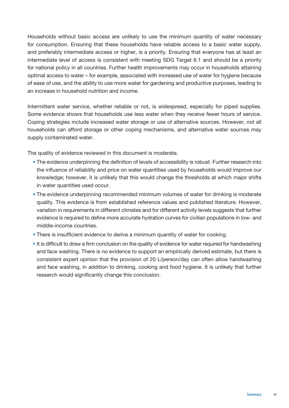Households without basic access are unlikely to use the minimum quantity of water necessary for consumption. Ensuring that these households have reliable access to a basic water supply, and preferably intermediate access or higher, is a priority. Ensuring that everyone has at least an intermediate level of access is consistent with meeting SDG Target 6.1 and should be a priority for national policy in all countries. Further health improvements may occur in households attaining optimal access to water – for example, associated with increased use of water for hygiene because of ease of use, and the ability to use more water for gardening and productive purposes, leading to an increase in household nutrition and income.

Intermittent water service, whether reliable or not, is widespread, especially for piped supplies. Some evidence shows that households use less water when they receive fewer hours of service. Coping strategies include increased water storage or use of alternative sources. However, not all households can afford storage or other coping mechanisms, and alternative water sources may supply contaminated water.

The quality of evidence reviewed in this document is moderate.

- The evidence underpinning the definition of levels of accessibility is robust. Further research into the influence of reliability and price on water quantities used by households would improve our knowledge; however, it is unlikely that this would change the thresholds at which major shifts in water quantities used occur.
- The evidence underpinning recommended minimum volumes of water for drinking is moderate quality. This evidence is from established reference values and published literature. However, variation in requirements in different climates and for different activity levels suggests that further evidence is required to define more accurate hydration curves for civilian populations in low- and middle-income countries.
- There is insufficient evidence to derive a minimum quantity of water for cooking.
- It is difficult to draw a firm conclusion on the quality of evidence for water required for handwashing and face washing. There is no evidence to support an empirically derived estimate, but there is consistent expert opinion that the provision of 20 L/person/day can often allow handwashing and face washing, in addition to drinking, cooking and food hygiene. It is unlikely that further research would significantly change this conclusion.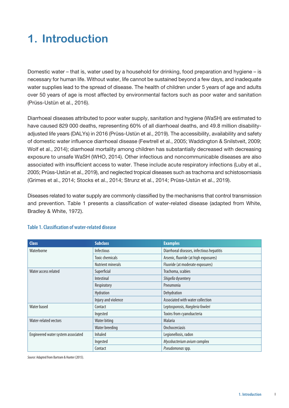# <span id="page-14-0"></span>**1. Introduction**

Domestic water – that is, water used by a household for drinking, food preparation and hygiene – is necessary for human life. Without water, life cannot be sustained beyond a few days, and inadequate water supplies lead to the spread of disease. The health of children under 5 years of age and adults over 50 years of age is most affected by environmental factors such as poor water and sanitation (Prüss-Ustün et al., 2016).

Diarrhoeal diseases attributed to poor water supply, sanitation and hygiene (WaSH) are estimated to have caused 829 000 deaths, representing 60% of all diarrhoeal deaths, and 49.8 million disabilityadjusted life years (DALYs) in 2016 (Prüss-Ustün et al., 2019). The accessibility, availability and safety of domestic water influence diarrhoeal disease (Fewtrell et al., 2005; Waddington & Snilstveit, 2009; Wolf et al., 2014); diarrhoeal mortality among children has substantially decreased with decreasing exposure to unsafe WaSH (WHO, 2014). Other infectious and noncommunicable diseases are also associated with insufficient access to water. These include acute respiratory infections (Luby et al., 2005; Prüss-Ustün et al., 2019), and neglected tropical diseases such as trachoma and schistosomiasis (Grimes et al., 2014; Stocks et al., 2014; Strunz et al., 2014; Prüss-Ustün et al., 2019).

Diseases related to water supply are commonly classified by the mechanisms that control transmission and prevention. Table 1 presents a classification of water-related disease (adapted from White, Bradley & White, 1972).

| <b>Class</b>                       | <b>Subclass</b>          | <b>Examples</b>                           |  |
|------------------------------------|--------------------------|-------------------------------------------|--|
| Waterborne                         | <b>Infectious</b>        | Diarrhoeal diseases, infectious hepatitis |  |
|                                    | <b>Toxic chemicals</b>   | Arsenic, fluoride (at high exposures)     |  |
|                                    | <b>Nutrient minerals</b> | Fluoride (at moderate exposures)          |  |
| Water access related               | Superficial              | Trachoma, scabies                         |  |
|                                    | Intestinal               | Shigella dysentery                        |  |
|                                    | Respiratory              | Pneumonia                                 |  |
|                                    | Hydration                | Dehydration                               |  |
|                                    | Injury and violence      | Associated with water collection          |  |
| Water based                        | Contact                  | Leptosporosis, Naegleria fowleri          |  |
|                                    | Ingested                 | Toxins from cyanobacteria                 |  |
| Water-related vectors              | Water biting             | <b>Malaria</b>                            |  |
|                                    | Water breeding           | Onchocerciasis                            |  |
| Engineered water system associated | <b>Inhaled</b>           | Legionellosis, radon                      |  |
|                                    | Ingested                 | Mycobacterium avium complex               |  |
|                                    | Contact                  | Pseudomonas spp.                          |  |

#### <span id="page-14-1"></span>**Table 1. Classification of water-related disease**

*Source:* Adapted from Bartram & Hunter (2015).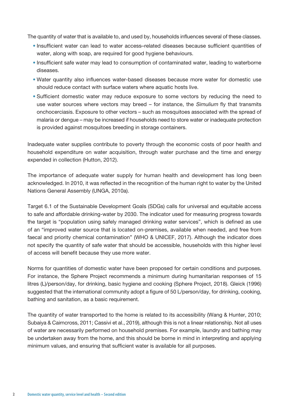The quantity of water that is available to, and used by, households influences several of these classes.

- Insufficient water can lead to water access–related diseases because sufficient quantities of water, along with soap, are required for good hygiene behaviours.
- Insufficient safe water may lead to consumption of contaminated water, leading to waterborne diseases.
- Water quantity also influences water-based diseases because more water for domestic use should reduce contact with surface waters where aquatic hosts live.
- Sufficient domestic water may reduce exposure to some vectors by reducing the need to use water sources where vectors may breed – for instance, the Simulium fly that transmits onchocerciasis. Exposure to other vectors – such as mosquitoes associated with the spread of malaria or dengue – may be increased if households need to store water or inadequate protection is provided against mosquitoes breeding in storage containers.

Inadequate water supplies contribute to poverty through the economic costs of poor health and household expenditure on water acquisition, through water purchase and the time and energy expended in collection (Hutton, 2012).

The importance of adequate water supply for human health and development has long been acknowledged. In 2010, it was reflected in the recognition of the human right to water by the United Nations General Assembly (UNGA, 2010a).

Target 6.1 of the Sustainable Development Goals (SDGs) calls for universal and equitable access to safe and affordable drinking-water by 2030. The indicator used for measuring progress towards the target is "population using safely managed drinking water services", which is defined as use of an "improved water source that is located on-premises, available when needed, and free from faecal and priority chemical contamination" (WHO & UNICEF, 2017). Although the indicator does not specify the quantity of safe water that should be accessible, households with this higher level of access will benefit because they use more water.

Norms for quantities of domestic water have been proposed for certain conditions and purposes. For instance, the Sphere Project recommends a minimum during humanitarian responses of 15 litres (L)/person/day, for drinking, basic hygiene and cooking (Sphere Project, 2018). Gleick (1996) suggested that the international community adopt a figure of 50 L/person/day, for drinking, cooking, bathing and sanitation, as a basic requirement.

The quantity of water transported to the home is related to its accessibility (Wang & Hunter, 2010; Subaiya & Cairncross, 2011; Cassivi et al., 2019), although this is not a linear relationship. Not all uses of water are necessarily performed on household premises. For example, laundry and bathing may be undertaken away from the home, and this should be borne in mind in interpreting and applying minimum values, and ensuring that sufficient water is available for all purposes.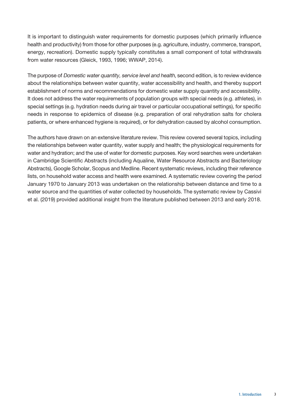It is important to distinguish water requirements for domestic purposes (which primarily influence health and productivity) from those for other purposes (e.g. agriculture, industry, commerce, transport, energy, recreation). Domestic supply typically constitutes a small component of total withdrawals from water resources (Gleick, 1993, 1996; WWAP, 2014).

The purpose of Domestic water quantity, service level and health, second edition, is to review evidence about the relationships between water quantity, water accessibility and health, and thereby support establishment of norms and recommendations for domestic water supply quantity and accessibility. It does not address the water requirements of population groups with special needs (e.g. athletes), in special settings (e.g. hydration needs during air travel or particular occupational settings), for specific needs in response to epidemics of disease (e.g. preparation of oral rehydration salts for cholera patients, or where enhanced hygiene is required), or for dehydration caused by alcohol consumption.

The authors have drawn on an extensive literature review. This review covered several topics, including the relationships between water quantity, water supply and health; the physiological requirements for water and hydration; and the use of water for domestic purposes. Key word searches were undertaken in Cambridge Scientific Abstracts (including Aqualine, Water Resource Abstracts and Bacteriology Abstracts), Google Scholar, Scopus and Medline. Recent systematic reviews, including their reference lists, on household water access and health were examined. A systematic review covering the period January 1970 to January 2013 was undertaken on the relationship between distance and time to a water source and the quantities of water collected by households. The systematic review by Cassivi et al. (2019) provided additional insight from the literature published between 2013 and early 2018.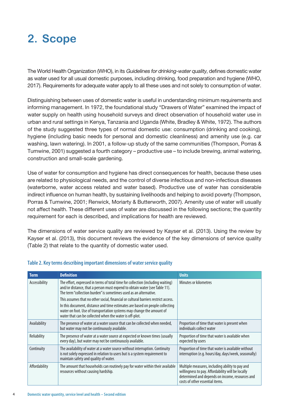# <span id="page-17-0"></span>**2. Scope**

The World Health Organization (WHO), in its Guidelines for drinking-water quality, defines domestic water as water used for all usual domestic purposes, including drinking, food preparation and hygiene (WHO, 2017). Requirements for adequate water apply to all these uses and not solely to consumption of water.

Distinguishing between uses of domestic water is useful in understanding minimum requirements and informing management. In 1972, the foundational study "Drawers of Water" examined the impact of water supply on health using household surveys and direct observation of household water use in urban and rural settings in Kenya, Tanzania and Uganda (White, Bradley & White, 1972). The authors of the study suggested three types of normal domestic use: consumption (drinking and cooking), hygiene (including basic needs for personal and domestic cleanliness) and amenity use (e.g. car washing, lawn watering). In 2001, a follow-up study of the same communities (Thompson, Porras & Tumwine, 2001) suggested a fourth category – productive use – to include brewing, animal watering, construction and small-scale gardening.

Use of water for consumption and hygiene has direct consequences for health, because these uses are related to physiological needs, and the control of diverse infectious and non-infectious diseases (waterborne, water access related and water based). Productive use of water has considerable indirect influence on human health, by sustaining livelihoods and helping to avoid poverty (Thompson, Porras & Tumwine, 2001; Renwick, Moriarty & Butterworth, 2007). Amenity use of water will usually not affect health. These different uses of water are discussed in the following sections; the quantity requirement for each is described, and implications for health are reviewed.

The dimensions of water service quality are reviewed by Kayser et al. (2013). Using the review by Kayser et al. (2013), this document reviews the evidence of the key dimensions of service quality (Table 2) that relate to the quantity of domestic water used.

| <b>Term</b>   | <b>Definition</b>                                                                                                                                                                                                                  | <b>Units</b>                                                                                                                                                                               |
|---------------|------------------------------------------------------------------------------------------------------------------------------------------------------------------------------------------------------------------------------------|--------------------------------------------------------------------------------------------------------------------------------------------------------------------------------------------|
| Accessibility | The effort, expressed in terms of total time for collection (including waiting)<br>and/or distance, that a person must expend to obtain water (see Table 11).<br>The term "collection burden" is sometimes used as an alternative. | <b>Minutes or kilometres</b>                                                                                                                                                               |
|               | This assumes that no other social, financial or cultural barriers restrict access.                                                                                                                                                 |                                                                                                                                                                                            |
|               | In this document, distance and time estimates are based on people collecting<br>water on foot. Use of transportation systems may change the amount of<br>water that can be collected when the water is off-plot.                   |                                                                                                                                                                                            |
| Availability  | The presence of water at a water source that can be collected when needed,<br>but water may not be continuously available.                                                                                                         | Proportion of time that water is present when<br>individuals collect water                                                                                                                 |
| Reliability   | The presence of water at a water source at expected or known times (usually<br>every day), but water may not be continuously available.                                                                                            | Proportion of time that water is available when<br>expected by users                                                                                                                       |
| Continuity    | The availability of water at a water source without interruption. Continuity<br>is not solely expressed in relation to users but is a system requirement to<br>maintain safety and quality of water.                               | Proportion of time that water is available without<br>interruption (e.g. hours/day, days/week, seasonally)                                                                                 |
| Affordability | The amount that households can routinely pay for water within their available<br>resources without causing hardship.                                                                                                               | Multiple measures, including ability to pay and<br>willingness to pay. Affordability will be locally<br>determined and depends on income, resources and<br>costs of other essential items. |

#### <span id="page-17-1"></span>**Table 2. Key terms describing important dimensions of water service quality**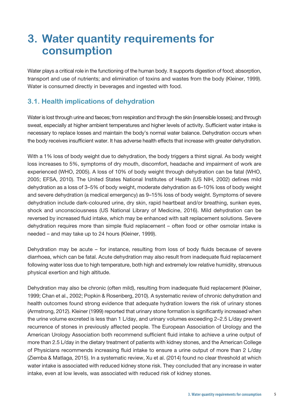# <span id="page-18-0"></span>**3. Water quantity requirements for consumption**

Water plays a critical role in the functioning of the human body. It supports digestion of food; absorption, transport and use of nutrients; and elimination of toxins and wastes from the body (Kleiner, 1999). Water is consumed directly in beverages and ingested with food.

### **3.1. Health implications of dehydration**

Water is lost through urine and faeces; from respiration and through the skin (insensible losses); and through sweat, especially at higher ambient temperatures and higher levels of activity. Sufficient water intake is necessary to replace losses and maintain the body's normal water balance. Dehydration occurs when the body receives insufficient water. It has adverse health effects that increase with greater dehydration.

With a 1% loss of body weight due to dehydration, the body triggers a thirst signal. As body weight loss increases to 5%, symptoms of dry mouth, discomfort, headache and impairment of work are experienced (WHO, 2005). A loss of 10% of body weight through dehydration can be fatal (WHO, 2005; EFSA, 2010). The United States National Institutes of Health (US NIH, 2002) defines mild dehydration as a loss of 3–5% of body weight, moderate dehydration as 6–10% loss of body weight and severe dehydration (a medical emergency) as 9–15% loss of body weight. Symptoms of severe dehydration include dark-coloured urine, dry skin, rapid heartbeat and/or breathing, sunken eyes, shock and unconsciousness (US National Library of Medicine, 2016). Mild dehydration can be reversed by increased fluid intake, which may be enhanced with salt replacement solutions. Severe dehydration requires more than simple fluid replacement – often food or other osmolar intake is needed – and may take up to 24 hours (Kleiner, 1999).

Dehydration may be acute – for instance, resulting from loss of body fluids because of severe diarrhoea, which can be fatal. Acute dehydration may also result from inadequate fluid replacement following water loss due to high temperature, both high and extremely low relative humidity, strenuous physical exertion and high altitude.

Dehydration may also be chronic (often mild), resulting from inadequate fluid replacement (Kleiner, 1999; Chan et al., 2002; Popkin & Rosenberg, 2010). A systematic review of chronic dehydration and health outcomes found strong evidence that adequate hydration lowers the risk of urinary stones (Armstrong, 2012). Kleiner (1999) reported that urinary stone formation is significantly increased when the urine volume excreted is less than 1 L/day, and urinary volumes exceeding 2–2.5 L/day prevent recurrence of stones in previously affected people. The European Association of Urology and the American Urology Association both recommend sufficient fluid intake to achieve a urine output of more than 2.5 L/day in the dietary treatment of patients with kidney stones, and the American College of Physicians recommends increasing fluid intake to ensure a urine output of more than 2 L/day (Ziemba & Matlaga, 2015). In a systematic review, Xu et al. (2014) found no clear threshold at which water intake is associated with reduced kidney stone risk. They concluded that any increase in water intake, even at low levels, was associated with reduced risk of kidney stones.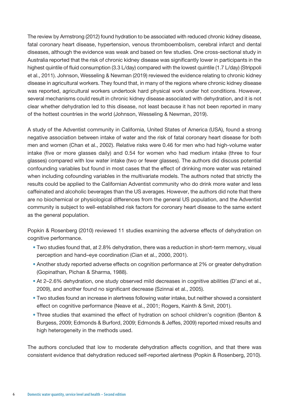The review by Armstrong (2012) found hydration to be associated with reduced chronic kidney disease, fatal coronary heart disease, hypertension, venous thromboembolism, cerebral infarct and dental diseases, although the evidence was weak and based on few studies. One cross-sectional study in Australia reported that the risk of chronic kidney disease was significantly lower in participants in the highest quintile of fluid consumption (3.3 L/day) compared with the lowest quintile (1.7 L/day) (Strippoli et al., 2011). Johnson, Wesseling & Newman (2019) reviewed the evidence relating to chronic kidney disease in agricultural workers. They found that, in many of the regions where chronic kidney disease was reported, agricultural workers undertook hard physical work under hot conditions. However, several mechanisms could result in chronic kidney disease associated with dehydration, and it is not clear whether dehydration led to this disease, not least because it has not been reported in many of the hottest countries in the world (Johnson, Wesseling & Newman, 2019).

A study of the Adventist community in California, United States of America (USA), found a strong negative association between intake of water and the risk of fatal coronary heart disease for both men and women (Chan et al., 2002). Relative risks were 0.46 for men who had high-volume water intake (five or more glasses daily) and 0.54 for women who had medium intake (three to four glasses) compared with low water intake (two or fewer glasses). The authors did discuss potential confounding variables but found in most cases that the effect of drinking more water was retained when including cofounding variables in the multivariate models. The authors noted that strictly the results could be applied to the Californian Adventist community who do drink more water and less caffeinated and alcoholic beverages than the US averages. However, the authors did note that there are no biochemical or physiological differences from the general US population, and the Adventist community is subject to well-established risk factors for coronary heart disease to the same extent as the general population.

Popkin & Rosenberg (2010) reviewed 11 studies examining the adverse effects of dehydration on cognitive performance.

- Two studies found that, at 2.8% dehydration, there was a reduction in short-term memory, visual perception and hand–eye coordination (Cian et al., 2000, 2001).
- Another study reported adverse effects on cognition performance at 2% or greater dehydration (Gopinathan, Pichan & Sharma, 1988).
- At 2–2.6% dehydration, one study observed mild decreases in cognitive abilities (D'anci et al., 2009), and another found no significant decrease (Szinnai et al., 2005).
- Two studies found an increase in alertness following water intake, but neither showed a consistent effect on cognitive performance (Neave et al., 2001; Rogers, Kainth & Smit, 2001).
- Three studies that examined the effect of hydration on school children's cognition (Benton & Burgess, 2009; Edmonds & Burford, 2009; Edmonds & Jeffes, 2009) reported mixed results and high heterogeneity in the methods used.

The authors concluded that low to moderate dehydration affects cognition, and that there was consistent evidence that dehydration reduced self-reported alertness (Popkin & Rosenberg, 2010).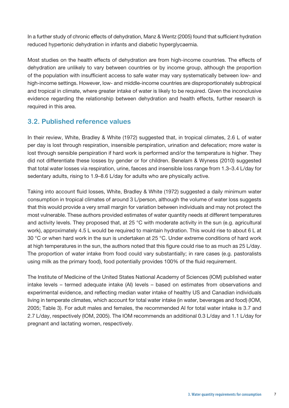<span id="page-20-0"></span>In a further study of chronic effects of dehydration, Manz & Wentz (2005) found that sufficient hydration reduced hypertonic dehydration in infants and diabetic hyperglycaemia.

Most studies on the health effects of dehydration are from high-income countries. The effects of dehydration are unlikely to vary between countries or by income group, although the proportion of the population with insufficient access to safe water may vary systematically between low- and high-income settings. However, low- and middle-income countries are disproportionately subtropical and tropical in climate, where greater intake of water is likely to be required. Given the inconclusive evidence regarding the relationship between dehydration and health effects, further research is required in this area.

### **3.2. Published reference values**

In their review, White, Bradley & White (1972) suggested that, in tropical climates, 2.6 L of water per day is lost through respiration, insensible perspiration, urination and defecation; more water is lost through sensible perspiration if hard work is performed and/or the temperature is higher. They did not differentiate these losses by gender or for children. Benelam & Wyness (2010) suggested that total water losses via respiration, urine, faeces and insensible loss range from 1.3–3.4 L/day for sedentary adults, rising to 1.9–8.6 L/day for adults who are physically active.

Taking into account fluid losses, White, Bradley & White (1972) suggested a daily minimum water consumption in tropical climates of around 3 L/person, although the volume of water loss suggests that this would provide a very small margin for variation between individuals and may not protect the most vulnerable. These authors provided estimates of water quantity needs at different temperatures and activity levels. They proposed that, at 25 °C with moderate activity in the sun (e.g. agricultural work), approximately 4.5 L would be required to maintain hydration. This would rise to about 6 L at 30 °C or when hard work in the sun is undertaken at 25 °C. Under extreme conditions of hard work at high temperatures in the sun, the authors noted that this figure could rise to as much as 25 L/day. The proportion of water intake from food could vary substantially; in rare cases (e.g. pastoralists using milk as the primary food), food potentially provides 100% of the fluid requirement.

The Institute of Medicine of the United States National Academy of Sciences (IOM) published water intake levels – termed adequate intake (AI) levels – based on estimates from observations and experimental evidence, and reflecting median water intake of healthy US and Canadian individuals living in temperate climates, which account for total water intake (in water, beverages and food) (IOM, 2005; Table 3). For adult males and females, the recommended AI for total water intake is 3.7 and 2.7 L/day, respectively (IOM, 2005). The IOM recommends an additional 0.3 L/day and 1.1 L/day for pregnant and lactating women, respectively.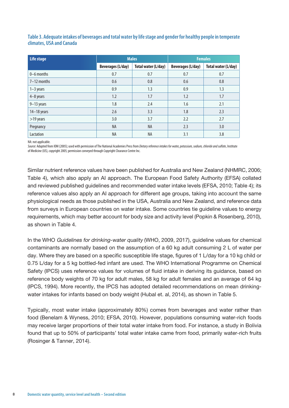<span id="page-21-0"></span>**Table 3. Adequate intakes of beverages and total water by life stage and gender for healthy people in temperate climates, USA and Canada**

| Life stage    | <b>Males</b>             |                     | <b>Females</b>           |                     |
|---------------|--------------------------|---------------------|--------------------------|---------------------|
|               | <b>Beverages (L/day)</b> | Total water (L/day) | <b>Beverages (L/day)</b> | Total water (L/day) |
| $0-6$ months  | 0.7                      | 0.7                 | 0.7                      | 0.7                 |
| $7-12$ months | 0.6                      | 0.8                 | 0.6                      | 0.8                 |
| $1 - 3$ years | 0.9                      | 1.3                 | 0.9                      | 1.3                 |
| 4-8 years     | 1.2                      | 1.7                 | 1.2                      | 1.7                 |
| $9-13$ years  | 1.8                      | 2.4                 | 1.6                      | 2.1                 |
| $14-18$ years | 2.6                      | 3.3                 | 1.8                      | 2.3                 |
| >19 years     | 3.0                      | 3.7                 | 2.2                      | 2.7                 |
| Pregnancy     | <b>NA</b>                | <b>NA</b>           | 2.3                      | 3.0                 |
| Lactation     | <b>NA</b>                | <b>NA</b>           | 3.1                      | 3.8                 |

NA: not applicable.

*Source:* Adapted from IOM (2005); used with permission of The National Academies Press from *Dietary reference intakes for water, potassium, sodium, chloride and sulfate*, Institute of Medicine (US), copyright 2005; permission conveyed through Copyright Clearance Centre Inc.

Similar nutrient reference values have been published for Australia and New Zealand (NHMRC, 2006; Table 4), which also apply an AI approach. The European Food Safety Authority (EFSA) collated and reviewed published guidelines and recommended water intake levels (EFSA, 2010; Table 4); its reference values also apply an AI approach for different age groups, taking into account the same physiological needs as those published in the USA, Australia and New Zealand, and reference data from surveys in European countries on water intake. Some countries tie guideline values to energy requirements, which may better account for body size and activity level (Popkin & Rosenberg, 2010), as shown in Table 4.

In the WHO Guidelines for drinking-water quality (WHO, 2009, 2017), guideline values for chemical contaminants are normally based on the assumption of a 60 kg adult consuming 2 L of water per day. Where they are based on a specific susceptible life stage, figures of 1 L/day for a 10 kg child or 0.75 L/day for a 5 kg bottled-fed infant are used. The WHO International Programme on Chemical Safety (IPCS) uses reference values for volumes of fluid intake in deriving its guidance, based on reference body weights of 70 kg for adult males, 58 kg for adult females and an average of 64 kg (IPCS, 1994). More recently, the IPCS has adopted detailed recommendations on mean drinkingwater intakes for infants based on body weight (Hubal et. al, 2014), as shown in Table 5.

Typically, most water intake (approximately 80%) comes from beverages and water rather than food (Benelam & Wyness, 2010; EFSA, 2010). However, populations consuming water-rich foods may receive larger proportions of their total water intake from food. For instance, a study in Bolivia found that up to 50% of participants' total water intake came from food, primarily water-rich fruits (Rosinger & Tanner, 2014).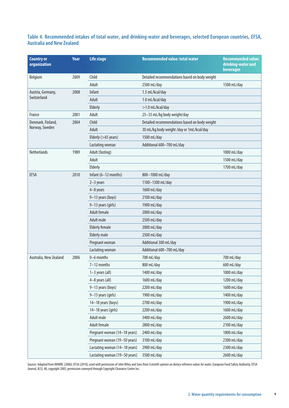#### <span id="page-22-0"></span>**Table 4. Recommended intakes of total water, and drinking-water and beverages, selected European countries, EFSA, Australia and New Zealand**

| <b>Country or</b><br>organization | <b>Year</b> | <b>Life stage</b>             | <b>Recommended value: total water</b>         | <b>Recommended value:</b><br>drinking-water and<br><b>beverages</b> |
|-----------------------------------|-------------|-------------------------------|-----------------------------------------------|---------------------------------------------------------------------|
| Belgium                           | 2009        | Child                         | Detailed recommendations based on body weight |                                                                     |
|                                   |             | Adult                         | 2500 mL/day                                   | 1500 mL/day                                                         |
| Austria, Germany,                 | 2008        | Infant                        | 1.5 mL/kcal/day                               |                                                                     |
| Switzerland                       |             | Adult                         | 1.0 mL/kcal/day                               |                                                                     |
|                                   |             | Elderly                       | >1.0 mL/kcal/day                              |                                                                     |
| France                            | 2001        | Adult                         | 25-35 mL/kg body weight/day                   |                                                                     |
| Denmark, Finland,                 | 2004        | Child                         | Detailed recommendations based on body weight |                                                                     |
| Norway, Sweden                    |             | Adult                         | 30 mL/kg body weight /day or 1mL/kcal/day     |                                                                     |
|                                   |             | Elderly (>65 years)           | 1500 mL/day                                   |                                                                     |
|                                   |             | Lactating woman               | Additional 600-700 mL/day                     |                                                                     |
| <b>Netherlands</b>                | 1989        | Adult (fasting)               |                                               | 1000 mL/day                                                         |
|                                   |             | Adult                         |                                               | 1500 mL/day                                                         |
|                                   |             | Elderly                       |                                               | 1700 mL/day                                                         |
| EFSA                              | 2010        | Infant (6-12 months)          | 800-1000 mL/day                               |                                                                     |
|                                   |             | $2-3$ years                   | 1100-1300 mL/day                              |                                                                     |
|                                   |             | 4-8 years                     | 1600 mL/day                                   |                                                                     |
|                                   |             | 9-13 years (boys)             | 2100 mL/day                                   |                                                                     |
|                                   |             | 9-13 years (girls)            | 1900 mL/day                                   |                                                                     |
|                                   |             | <b>Adult female</b>           | 2000 mL/day                                   |                                                                     |
|                                   |             | Adult male                    | 2500 mL/day                                   |                                                                     |
|                                   |             | <b>Elderly female</b>         | 2000 mL/day                                   |                                                                     |
|                                   |             | <b>Elderly male</b>           | 2500 mL/day                                   |                                                                     |
|                                   |             | Pregnant woman                | Additional 300 mL/day                         |                                                                     |
|                                   |             | Lactating woman               | Additional 600-700 mL/day                     |                                                                     |
| Australia, New Zealand            | 2006        | 0-6 months                    | 700 mL/day                                    | 700 mL/day                                                          |
|                                   |             | 7-12 months                   | 800 mL/day                                    | 600 mL/day                                                          |
|                                   |             | 1-3 years (all)               | 1400 mL/day                                   | 1000 mL/day                                                         |
|                                   |             | 4-8 years (all)               | 1600 mL/day                                   | 1200 mL/day                                                         |
|                                   |             | 9-13 years (boys)             | 2200 mL/day                                   | 1600 mL/day                                                         |
|                                   |             | 9-13 years (girls)            | 1900 mL/day                                   | 1400 mL/day                                                         |
|                                   |             | 14-18 years (boys)            | 2700 mL/day                                   | 1900 mL/day                                                         |
|                                   |             | 14-18 years (girls)           | 2200 mL/day                                   | 1600 mL/day                                                         |
|                                   |             | Adult male                    | 3400 mL/day                                   | 2600 mL/day                                                         |
|                                   |             | <b>Adult female</b>           | 2800 mL/day                                   | 2100 mL/day                                                         |
|                                   |             | Pregnant woman (14-18 years)  | 2400 mL/day                                   | 1800 mL/day                                                         |
|                                   |             | Pregnant woman (19-50 years)  | 3100 mL/day                                   | 2300 mL/day                                                         |
|                                   |             | Lactating woman (14-18 years) | 2900 mL/day                                   | 2300 mL/day                                                         |
|                                   |             | Lactating woman (19-50 years) | 3500 mL/day                                   | 2600 mL/day                                                         |

*Sources:* Adapted from NHMRC (2006); EFSA (2010); used with permission of John Wiley and Sons from *Scientific opinion on dietary reference values for water*, European Food Safety Authority, EFSA Journal, 8(3), 48, copyright 2005; permission conveyed through Copyright Clearance Centre Inc.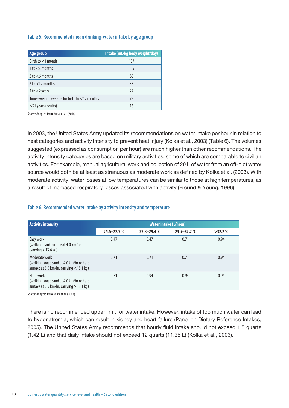#### <span id="page-23-0"></span>**Table 5. Recommended mean drinking-water intake by age group**

| Age group                                   | Intake (mL/kg body weight/day) |
|---------------------------------------------|--------------------------------|
| Birth to <1 month                           | 137                            |
| 1 to $<$ 3 months                           | 119                            |
| $3$ to $<$ 6 months                         | 80                             |
| $6$ to $<$ 12 months                        | 53                             |
| 1 to $<$ 2 years                            | 27                             |
| Time-weight average for birth to <12 months | 78                             |
| >21 years (adults)                          | 16                             |

*Source:* Adapted from Hubal et al. (2014).

In 2003, the United States Army updated its recommendations on water intake per hour in relation to heat categories and activity intensity to prevent heat injury (Kolka et al., 2003) (Table 6). The volumes suggested (expressed as consumption per hour) are much higher than other recommendations. The activity intensity categories are based on military activities, some of which are comparable to civilian activities. For example, manual agricultural work and collection of 20 L of water from an off-plot water source would both be at least as strenuous as moderate work as defined by Kolka et al. (2003). With moderate activity, water losses at low temperatures can be similar to those at high temperatures, as a result of increased respiratory losses associated with activity (Freund & Young, 1996).

#### <span id="page-23-1"></span>**Table 6. Recommended water intake by activity intensity and temperature**

| <b>Activity intensity</b>                                                                               | Water intake (L/hour) |                  |              |            |
|---------------------------------------------------------------------------------------------------------|-----------------------|------------------|--------------|------------|
|                                                                                                         | $25.6 - 27.7$ °C      | $27.8 - 29.4$ °C | 29.5–32.2 °C | $>32.2$ °C |
| Easy work<br>(walking hard surface at 4.0 km/hr,<br>carrying $<$ 13.6 kg)                               | 0.47                  | 0.47             | 0.71         | 0.94       |
| Moderate work<br>(walking loose sand at 4.0 km/hr or hard<br>surface at 5.5 km/hr, carrying <18.1 kg)   | 0.71                  | 0.71             | 0.71         | 0.94       |
| Hard work<br>(walking loose sand at 4.0 km/hr or hard<br>surface at 5.5 km/hr, carrying $\geq$ 18.1 kg) | 0.71                  | 0.94             | 0.94         | 0.94       |

*Source:* Adapted from Kolka et al. (2003).

There is no recommended upper limit for water intake. However, intake of too much water can lead to hyponatremia, which can result in kidney and heart failure (Panel on Dietary Reference Intakes, 2005). The United States Army recommends that hourly fluid intake should not exceed 1.5 quarts (1.42 L) and that daily intake should not exceed 12 quarts (11.35 L) (Kolka et al., 2003).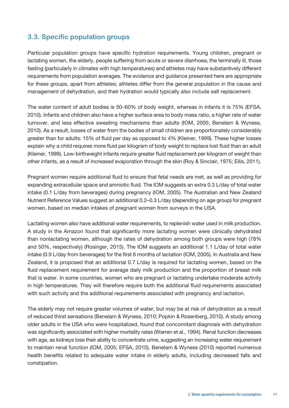### <span id="page-24-0"></span>**3.3. Specific population groups**

Particular population groups have specific hydration requirements. Young children, pregnant or lactating women, the elderly, people suffering from acute or severe diarrhoea, the terminally ill, those fasting (particularly in climates with high temperatures) and athletes may have substantively different requirements from population averages. The evidence and guidance presented here are appropriate for these groups, apart from athletes; athletes differ from the general population in the cause and management of dehydration, and their hydration would typically also include salt replacement.

The water content of adult bodies is 50–60% of body weight, whereas in infants it is 75% (EFSA, 2010). Infants and children also have a higher surface area to body mass ratio, a higher rate of water turnover, and less effective sweating mechanisms than adults (IOM, 2005; Benelam & Wyness, 2010). As a result, losses of water from the bodies of small children are proportionately considerably greater than for adults: 15% of fluid per day as opposed to 4% (Kleiner, 1999). These higher losses explain why a child requires more fluid per kilogram of body weight to replace lost fluid than an adult (Kleiner, 1999). Low-birthweight infants require greater fluid replacement per kilogram of weight than other infants, as a result of increased evaporation through the skin (Roy & Sinclair, 1975; Ellis, 2011).

Pregnant women require additional fluid to ensure that fetal needs are met, as well as providing for expanding extracellular space and amniotic fluid. The IOM suggests an extra 0.3 L/day of total water intake (0.1 L/day from beverages) during pregnancy (IOM, 2005). The Australian and New Zealand Nutrient Reference Values suggest an additional 0.2–0.3 L/day (depending on age group) for pregnant women, based on median intakes of pregnant women from surveys in the USA.

Lactating women also have additional water requirements, to replenish water used in milk production. A study in the Amazon found that significantly more lactating women were clinically dehydrated than nonlactating women, although the rates of dehydration among both groups were high (78% and 50%, respectively) (Rosinger, 2015). The IOM suggests an additional 1.1 L/day of total water intake (0.9 L/day from beverages) for the first 6 months of lactation (IOM, 2005). In Australia and New Zealand, it is proposed that an additional 0.7 L/day is required for lactating women, based on the fluid replacement requirement for average daily milk production and the proportion of breast milk that is water. In some countries, women who are pregnant or lactating undertake moderate activity in high temperatures. They will therefore require both the additional fluid requirements associated with such activity and the additional requirements associated with pregnancy and lactation.

The elderly may not require greater volumes of water, but may be at risk of dehydration as a result of reduced thirst sensations (Benelam & Wyness, 2010; Popkin & Rosenberg, 2010). A study among older adults in the USA who were hospitalized, found that concomitant diagnosis with dehydration was significantly associated with higher mortality rates (Warren et al., 1994). Renal function decreases with age, as kidneys lose their ability to concentrate urine, suggesting an increasing water requirement to maintain renal function (IOM, 2005; EFSA, 2010). Benelam & Wyness (2010) reported numerous health benefits related to adequate water intake in elderly adults, including decreased falls and constipation.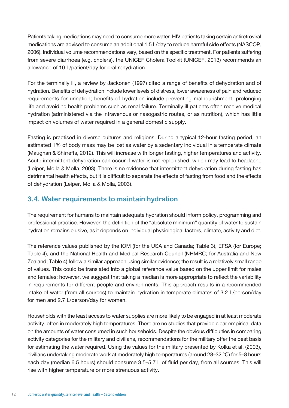<span id="page-25-0"></span>Patients taking medications may need to consume more water. HIV patients taking certain antiretroviral medications are advised to consume an additional 1.5 L/day to reduce harmful side effects (NASCOP, 2006). Individual volume recommendations vary, based on the specific treatment. For patients suffering from severe diarrhoea (e.g. cholera), the UNICEF Cholera Toolkit (UNICEF, 2013) recommends an allowance of 10 L/patient/day for oral rehydration.

For the terminally ill, a review by Jackonen (1997) cited a range of benefits of dehydration and of hydration. Benefits of dehydration include lower levels of distress, lower awareness of pain and reduced requirements for urination; benefits of hydration include preventing malnourishment, prolonging life and avoiding health problems such as renal failure. Terminally ill patients often receive medical hydration (administered via the intravenous or nasogastric routes, or as nutrition), which has little impact on volumes of water required in a general domestic supply.

Fasting is practised in diverse cultures and religions. During a typical 12-hour fasting period, an estimated 1% of body mass may be lost as water by a sedentary individual in a temperate climate (Maughan & Shirreffs, 2012). This will increase with longer fasting, higher temperatures and activity. Acute intermittent dehydration can occur if water is not replenished, which may lead to headache (Leiper, Molla & Molla, 2003). There is no evidence that intermittent dehydration during fasting has detrimental health effects, but it is difficult to separate the effects of fasting from food and the effects of dehydration (Leiper, Molla & Molla, 2003).

### **3.4. Water requirements to maintain hydration**

The requirement for humans to maintain adequate hydration should inform policy, programming and professional practice. However, the definition of the "absolute minimum" quantity of water to sustain hydration remains elusive, as it depends on individual physiological factors, climate, activity and diet.

The reference values published by the IOM (for the USA and Canada; Table 3), EFSA (for Europe; Table 4), and the National Health and Medical Research Council (NHMRC; for Australia and New Zealand; Table 4) follow a similar approach using similar evidence; the result is a relatively small range of values. This could be translated into a global reference value based on the upper limit for males and females; however, we suggest that taking a median is more appropriate to reflect the variability in requirements for different people and environments. This approach results in a recommended intake of water (from all sources) to maintain hydration in temperate climates of 3.2 L/person/day for men and 2.7 L/person/day for women.

Households with the least access to water supplies are more likely to be engaged in at least moderate activity, often in moderately high temperatures. There are no studies that provide clear empirical data on the amounts of water consumed in such households. Despite the obvious difficulties in comparing activity categories for the military and civilians, recommendations for the military offer the best basis for estimating the water required. Using the values for the military presented by Kolka et al. (2003), civilians undertaking moderate work at moderately high temperatures (around 28–32 °C) for 5–8 hours each day (median 6.5 hours) should consume 3.5–5.7 L of fluid per day, from all sources. This will rise with higher temperature or more strenuous activity.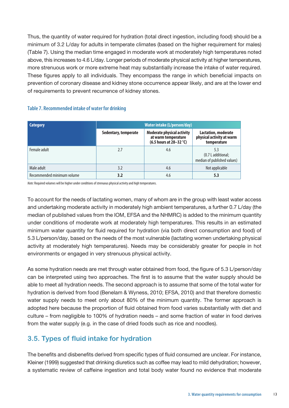<span id="page-26-0"></span>Thus, the quantity of water required for hydration (total direct ingestion, including food) should be a minimum of 3.2 L/day for adults in temperate climates (based on the higher requirement for males) (Table 7). Using the median time engaged in moderate work at moderately high temperatures noted above, this increases to 4.6 L/day. Longer periods of moderate physical activity at higher temperatures, more strenuous work or more extreme heat may substantially increase the intake of water required. These figures apply to all individuals. They encompass the range in which beneficial impacts on prevention of coronary disease and kidney stone occurrence appear likely, and are at the lower end of requirements to prevent recurrence of kidney stones.

| <b>Category</b>            | <b>Water intake (L/person/day)</b> |                                                                                     |                                                                        |  |  |  |
|----------------------------|------------------------------------|-------------------------------------------------------------------------------------|------------------------------------------------------------------------|--|--|--|
|                            | Sedentary, temperate               | <b>Moderate physical activity</b><br>at warm temperature<br>(6.5 hours at 28-32 °C) | <b>Lactation, moderate</b><br>physical activity at warm<br>temperature |  |  |  |
| Female adult               | 2.7                                | 4.6                                                                                 | 5.3<br>(0.7 L additional;<br>median of published values)               |  |  |  |
| Male adult                 | 3.2                                | 4.6                                                                                 | Not applicable                                                         |  |  |  |
| Recommended minimum volume | 3.2                                | 4.6                                                                                 | 5.3                                                                    |  |  |  |

#### <span id="page-26-1"></span>**Table 7. Recommended intake of water for drinking**

*Note:* Required volumes will be higher under conditions of strenuous physical activity and high temperatures.

To account for the needs of lactating women, many of whom are in the group with least water access and undertaking moderate activity in moderately high ambient temperatures, a further 0.7 L/day (the median of published values from the IOM, EFSA and the NHMRC) is added to the minimum quantity under conditions of moderate work at moderately high temperatures. This results in an estimated minimum water quantity for fluid required for hydration (via both direct consumption and food) of 5.3 L/person/day, based on the needs of the most vulnerable (lactating women undertaking physical activity at moderately high temperatures). Needs may be considerably greater for people in hot environments or engaged in very strenuous physical activity.

As some hydration needs are met through water obtained from food, the figure of 5.3 L/person/day can be interpreted using two approaches. The first is to assume that the water supply should be able to meet all hydration needs. The second approach is to assume that some of the total water for hydration is derived from food (Benelam & Wyness, 2010; EFSA, 2010) and that therefore domestic water supply needs to meet only about 80% of the minimum quantity. The former approach is adopted here because the proportion of fluid obtained from food varies substantially with diet and culture – from negligible to 100% of hydration needs – and some fraction of water in food derives from the water supply (e.g. in the case of dried foods such as rice and noodles).

### **3.5. Types of fluid intake for hydration**

The benefits and disbenefits derived from specific types of fluid consumed are unclear. For instance, Kleiner (1999) suggested that drinking diuretics such as coffee may lead to mild dehydration; however, a systematic review of caffeine ingestion and total body water found no evidence that moderate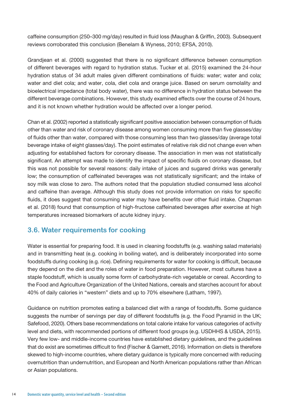<span id="page-27-0"></span>caffeine consumption (250–300 mg/day) resulted in fluid loss (Maughan & Griffin, 2003). Subsequent reviews corroborated this conclusion (Benelam & Wyness, 2010; EFSA, 2010).

Grandjean et al. (2000) suggested that there is no significant difference between consumption of different beverages with regard to hydration status. Tucker et al. (2015) examined the 24-hour hydration status of 34 adult males given different combinations of fluids: water; water and cola; water and diet cola; and water, cola, diet cola and orange juice. Based on serum osmolality and bioelectrical impedance (total body water), there was no difference in hydration status between the different beverage combinations. However, this study examined effects over the course of 24 hours, and it is not known whether hydration would be affected over a longer period.

Chan et al. (2002) reported a statistically significant positive association between consumption of fluids other than water and risk of coronary disease among women consuming more than five glasses/day of fluids other than water, compared with those consuming less than two glasses/day (average total beverage intake of eight glasses/day). The point estimates of relative risk did not change even when adjusting for established factors for coronary disease. The association in men was not statistically significant. An attempt was made to identify the impact of specific fluids on coronary disease, but this was not possible for several reasons: daily intake of juices and sugared drinks was generally low; the consumption of caffeinated beverages was not statistically significant; and the intake of soy milk was close to zero. The authors noted that the population studied consumed less alcohol and caffeine than average. Although this study does not provide information on risks for specific fluids, it does suggest that consuming water may have benefits over other fluid intake. Chapman et al. (2018) found that consumption of high-fructose caffeinated beverages after exercise at high temperatures increased biomarkers of acute kidney injury.

### **3.6. Water requirements for cooking**

Water is essential for preparing food. It is used in cleaning foodstuffs (e.g. washing salad materials) and in transmitting heat (e.g. cooking in boiling water), and is deliberately incorporated into some foodstuffs during cooking (e.g. rice). Defining requirements for water for cooking is difficult, because they depend on the diet and the roles of water in food preparation. However, most cultures have a staple foodstuff, which is usually some form of carbohydrate-rich vegetable or cereal. According to the Food and Agriculture Organization of the United Nations, cereals and starches account for about 40% of daily calories in "western" diets and up to 70% elsewhere (Latham, 1997).

Guidance on nutrition promotes eating a balanced diet with a range of foodstuffs. Some guidance suggests the number of servings per day of different foodstuffs (e.g. the Food Pyramid in the UK; Safefood, 2020). Others base recommendations on total calorie intake for various categories of activity level and diets, with recommended portions of different food groups (e.g. USDHHS & USDA, 2015). Very few low- and middle-income countries have established dietary guidelines, and the guidelines that do exist are sometimes difficult to find (Fischer & Garnett, 2016). Information on diets is therefore skewed to high-income countries, where dietary guidance is typically more concerned with reducing overnutrition than undernutrition, and European and North American populations rather than African or Asian populations.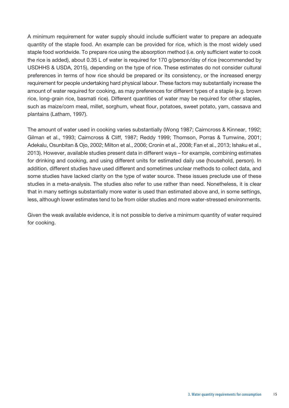A minimum requirement for water supply should include sufficient water to prepare an adequate quantity of the staple food. An example can be provided for rice, which is the most widely used staple food worldwide. To prepare rice using the absorption method (i.e. only sufficient water to cook the rice is added), about 0.35 L of water is required for 170 g/person/day of rice (recommended by USDHHS & USDA, 2015), depending on the type of rice. These estimates do not consider cultural preferences in terms of how rice should be prepared or its consistency, or the increased energy requirement for people undertaking hard physical labour. These factors may substantially increase the amount of water required for cooking, as may preferences for different types of a staple (e.g. brown rice, long-grain rice, basmati rice). Different quantities of water may be required for other staples, such as maize/corn meal, millet, sorghum, wheat flour, potatoes, sweet potato, yam, cassava and plantains (Latham, 1997).

The amount of water used in cooking varies substantially (Wong 1987; Cairncross & Kinnear, 1992; Gilman et al., 1993; Cairncross & Cliff, 1987; Reddy 1999; Thomson, Porras & Tumwine, 2001; Adekalu, Osunbitan & Ojo, 2002; Milton et al., 2006; Cronin et al., 2008; Fan et al., 2013; Ishaku et al., 2013). However, available studies present data in different ways – for example, combining estimates for drinking and cooking, and using different units for estimated daily use (household, person). In addition, different studies have used different and sometimes unclear methods to collect data, and some studies have lacked clarity on the type of water source. These issues preclude use of these studies in a meta-analysis. The studies also refer to use rather than need. Nonetheless, it is clear that in many settings substantially more water is used than estimated above and, in some settings, less, although lower estimates tend to be from older studies and more water-stressed environments.

Given the weak available evidence, it is not possible to derive a minimum quantity of water required for cooking.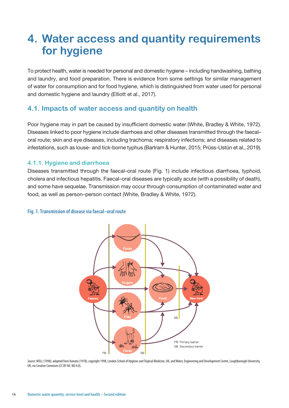# <span id="page-29-0"></span>**4. Water access and quantity requirements for hygiene**

To protect health, water is needed for personal and domestic hygiene – including handwashing, bathing and laundry, and food preparation. There is evidence from some settings for similar management of water for consumption and for food hygiene, which is distinguished from water used for personal and domestic hygiene and laundry (Elliott et al., 2017).

### **4.1. Impacts of water access and quantity on health**

Poor hygiene may in part be caused by insufficient domestic water (White, Bradley & White, 1972). Diseases linked to poor hygiene include diarrhoea and other diseases transmitted through the faecal– oral route; skin and eye diseases, including trachoma; respiratory infections; and diseases related to infestations, such as louse- and tick-borne typhus (Bartram & Hunter, 2015; Prüss-Ustün et al., 2019).

#### **4.1.1. Hygiene and diarrhoea**

Diseases transmitted through the faecal–oral route (Fig. 1) include infectious diarrhoea, typhoid, cholera and infectious hepatitis. Faecal–oral diseases are typically acute (with a possibility of death), and some have sequelae. Transmission may occur through consumption of contaminated water and food, as well as person–person contact (White, Bradley & White, 1972).

#### <span id="page-29-1"></span>**Fig. 1. Transmission of disease via faecal–oral route**



*Source:* WELL (1998), adapted from Kawata (1978); copyright 1998, London School of Hygiene and Tropical Medicine, UK, and Water, Engineering and Development Centre, Loughborough University, UK, via Creative Commons (CC BY-NC-ND 4.0).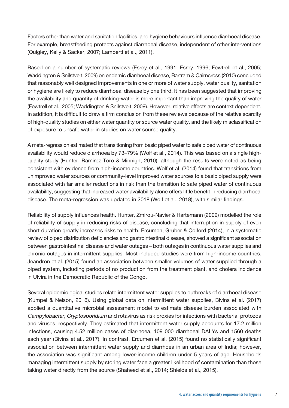Factors other than water and sanitation facilities, and hygiene behaviours influence diarrhoeal disease. For example, breastfeeding protects against diarrhoeal disease, independent of other interventions (Quigley, Kelly & Sacker, 2007; Lamberti et al., 2011).

Based on a number of systematic reviews (Esrey et al., 1991; Esrey, 1996; Fewtrell et al., 2005; Waddington & Snilstveit, 2009) on endemic diarrhoeal disease, Bartram & Cairncross (2010) concluded that reasonably well designed improvements in one or more of water supply, water quality, sanitation or hygiene are likely to reduce diarrhoeal disease by one third. It has been suggested that improving the availability and quantity of drinking-water is more important than improving the quality of water (Fewtrell et al., 2005; Waddington & Snilstveit, 2009). However, relative effects are context dependent. In addition, it is difficult to draw a firm conclusion from these reviews because of the relative scarcity of high-quality studies on either water quantity or source water quality, and the likely misclassification of exposure to unsafe water in studies on water source quality.

A meta-regression estimated that transitioning from basic piped water to safe piped water of continuous availability would reduce diarrhoea by 73–79% (Wolf et al., 2014). This was based on a single highquality study (Hunter, Ramirez Toro & Minnigh, 2010), although the results were noted as being consistent with evidence from high-income countries. Wolf et al. (2014) found that transitions from unimproved water sources or community-level improved water sources to a basic piped supply were associated with far smaller reductions in risk than the transition to safe piped water of continuous availability, suggesting that increased water availability alone offers little benefit in reducing diarrhoeal disease. The meta-regression was updated in 2018 (Wolf et al., 2018), with similar findings.

Reliability of supply influences health. Hunter, Zmirou-Navier & Hartemann (2009) modelled the role of reliability of supply in reducing risks of disease, concluding that interruption in supply of even short duration greatly increases risks to health. Ercumen, Gruber & Colford (2014), in a systematic review of piped distribution deficiencies and gastrointestinal disease, showed a significant association between gastrointestinal disease and water outages – both outages in continuous water supplies and chronic outages in intermittent supplies. Most included studies were from high-income countries. Jeandron et al. (2015) found an association between smaller volumes of water supplied through a piped system, including periods of no production from the treatment plant, and cholera incidence in Ulvira in the Democratic Republic of the Congo.

Several epidemiological studies relate intermittent water supplies to outbreaks of diarrhoeal disease (Kumpel & Nelson, 2016). Using global data on intermittent water supplies, Bivins et al. (2017) applied a quantitative microbial assessment model to estimate disease burden associated with Campylobacter, Cryptosporidium and rotavirus as risk proxies for infections with bacteria, protozoa and viruses, respectively. They estimated that intermittent water supply accounts for 17.2 million infections, causing 4.52 million cases of diarrhoea, 109 000 diarrhoeal DALYs and 1560 deaths each year (Bivins et al., 2017). In contrast, Ercumen et al. (2015) found no statistically significant association between intermittent water supply and diarrhoea in an urban area of India; however, the association was significant among lower-income children under 5 years of age. Households managing intermittent supply by storing water face a greater likelihood of contamination than those taking water directly from the source (Shaheed et al., 2014; Shields et al., 2015).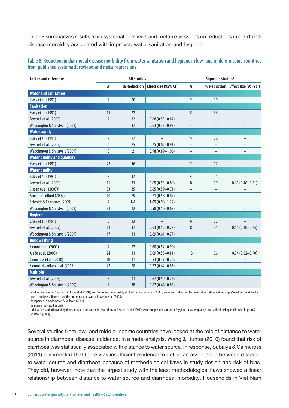Table 8 summarizes results from systematic reviews and meta-regressions on reductions in diarrhoeal disease morbidity associated with improved water sanitation and hygiene.

#### <span id="page-31-0"></span>**Table 8. Reduction in diarrhoeal disease morbidity from water sanitation and hygiene in low- and middle-income countries from published systematic reviews and meta-regressions**

| <b>Factor and reference</b>       | <b>All studies</b> |                |                          | Rigorous studies <sup>a</sup> |                          |                          |
|-----------------------------------|--------------------|----------------|--------------------------|-------------------------------|--------------------------|--------------------------|
|                                   | $\pmb N$           | % Reduction    | Effect size (95% CI)     | $\pmb N$                      | % Reduction              | Effect size (95% CI)     |
| <b>Water and sanitation</b>       |                    |                |                          |                               |                          |                          |
| Esrey et al. (1991)               | $\overline{7}$     | 20             | $\overline{\phantom{m}}$ | $\overline{2}$                | 30                       | $\overline{\phantom{0}}$ |
| <b>Sanitation</b>                 |                    |                |                          |                               |                          |                          |
| Esrey et al. (1991)               | 11                 | 22             |                          | 5                             | 36                       |                          |
| Fewtrell et al. (2005)            | $\overline{2}$     | 32             | $0.68(0.53 - 0.87)$      |                               |                          |                          |
| Waddington & Snilstveit (2009)    | 6                  | 37             | $0.63(0.43 - 0.93)$      | -                             |                          |                          |
| <b>Water supply</b>               |                    |                |                          |                               |                          |                          |
| Esrey et al. (1991)               | 7                  | 27             |                          | 5                             | 20                       |                          |
| Fewtrell et al. (2005)            | 6                  | 25             | $0.75(0.62 - 0.91)$      |                               |                          |                          |
| Waddington & Snilstveit (2009)    | 8                  | $\overline{2}$ | $0.98(0.89 - 1.06)$      |                               |                          |                          |
| <b>Water quality and quantity</b> |                    |                |                          |                               |                          |                          |
| Esrey et al. (1991)               | 22                 | 16             | $\equiv$                 | $\overline{2}$                | 17                       |                          |
| <b>Water quality</b>              |                    |                |                          |                               |                          |                          |
| Esrey et al. (1991)               | $\overline{7}$     | 17             |                          | $\overline{4}$                | 15                       |                          |
| Fewtrell et al. (2005)            | 15                 | 31             | $0.69(0.53 - 0.89)$      | 8                             | 39                       | $0.61(0.46 - 0.81)$      |
| Clasen et al. (2007) <sup>b</sup> | 33                 | 35             | $0.65(0.59 - 0.71)$      | $\qquad \qquad -$             | $\overline{\phantom{0}}$ |                          |
| Arnold & Colford (2007)           | 10                 | 29             | $0.71(0.58 - 0.87)$      |                               |                          |                          |
| Schmidt & Cairncross (2009)       | $\overline{4}$     | NA             | $1.09(0.98 - 1.22)$      | —                             |                          |                          |
| Waddington & Snilstveit (2009)    | 31                 | 42             | $0.58(0.50 - 0.67)$      |                               |                          |                          |
| <b>Hygiene</b>                    |                    |                |                          |                               |                          |                          |
| Esrey et al. (1991)               | 6                  | 33             |                          | 6                             | 33                       |                          |
| Fewtrell et al. (2005)            | 11                 | 37             | $0.63(0.52 - 0.77)$      | 8                             | 45                       | $0.55(0.40 - 0.75)$      |
| Waddington & Snilstveit (2009)    | 17                 | 31             | $0.69(0.61 - 0.77)$      | $\overline{\phantom{0}}$      | $\qquad \qquad -$        |                          |
| <b>Handwashing</b>                |                    |                |                          |                               |                          |                          |
| Ejemot et al. (2009)              | 4                  | 32             | $0.68(0.52 - 0.90)$      | $\qquad \qquad -$             | $\qquad \qquad -$        |                          |
| Aiello et al. (2008)              | 24                 | 31             | $0.69(0.58 - 0.81)$      | 13                            | 26                       | $0.74(0.62 - 0.90)$      |
| Cairncross et al. (2010)          | 10 <sup>c</sup>    | 47             | $0.53(0.37 - 0.76)$      |                               |                          |                          |
| Ejemot-Nwadiaro et al. (2015)     | 22                 | 28             | $0.72(0.62 - 0.83)$      |                               |                          |                          |
| <b>Multipled</b>                  |                    |                |                          |                               |                          |                          |
| Fewtrell et al. (2005)            | 5                  | 33             | $0.67(0.59 - 0.76)$      | $\overline{\phantom{0}}$      |                          |                          |
| Waddington & Snilstveit (2009)    | $\overline{7}$     | 38             | $0.62(0.46 - 0.83)$      |                               |                          |                          |

<sup>a</sup> Studies described as "rigorous" in Esrey et al. (1991) and "excluding poor quality studies" in Fewtrell et al. (2005); excludes studies that lacked randomization, did not apply "masking", and used a unit of analysis different from the unit of randomization in Aiello et al. (2008).

**b** As reported in Waddington & Snilsveit (2009).

<sup>c</sup> In intervention studies only.

d Joint water, sanitation and hygiene, or health education interventions in Fewtrell et al. (2005); water supply and sanitation/hygiene or water quality, and sanitation/hygiene in Waddington & Snilstveit (2009).

Several studies from low- and middle-income countries have looked at the role of distance to water source in diarrhoeal disease incidence. In a meta-analysis, Wang & Hunter (2010) found that risk of diarrhoea was statistically associated with distance to water source. In response, Subaiya & Cairncross (2011) commented that there was insufficient evidence to define an association between distance to water source and diarrhoea because of methodological flaws in study design and risk of bias. They did, however, note that the largest study with the least methodological flaws showed a linear relationship between distance to water source and diarrhoeal morbidity. Households in Viet Nam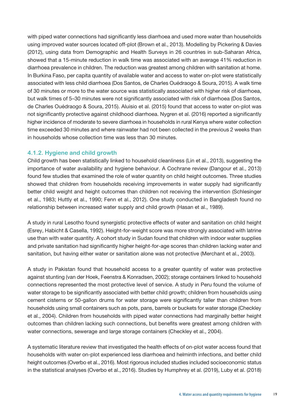<span id="page-32-0"></span>with piped water connections had significantly less diarrhoea and used more water than households using improved water sources located off-plot (Brown et al., 2013). Modelling by Pickering & Davies (2012), using data from Demographic and Health Surveys in 26 countries in sub-Saharan Africa, showed that a 15-minute reduction in walk time was associated with an average 41% reduction in diarrhoea prevalence in children. The reduction was greatest among children with sanitation at home. In Burkina Faso, per capita quantity of available water and access to water on-plot were statistically associated with less child diarrhoea (Dos Santos, de Charles Ouédraogo & Soura, 2015). A walk time of 30 minutes or more to the water source was statistically associated with higher risk of diarrhoea, but walk times of 5–30 minutes were not significantly associated with risk of diarrhoea (Dos Santos, de Charles Ouédraogo & Soura, 2015). Aluisio et al. (2015) found that access to water on-plot was not significantly protective against childhood diarrhoea. Nygren et al. (2016) reported a significantly higher incidence of moderate to severe diarrhoea in households in rural Kenya where water collection time exceeded 30 minutes and where rainwater had not been collected in the previous 2 weeks than in households whose collection time was less than 30 minutes.

#### **4.1.2. Hygiene and child growth**

Child growth has been statistically linked to household cleanliness (Lin et al., 2013), suggesting the importance of water availability and hygiene behaviour. A Cochrane review (Dangour et al., 2013) found few studies that examined the role of water quantity on child height outcomes. Three studies showed that children from households receiving improvements in water supply had significantly better child weight and height outcomes than children not receiving the intervention (Schlesinger et al., 1983; Huttly et al., 1990; Fenn et al., 2012). One study conducted in Bangladesh found no relationship between increased water supply and child growth (Hasan et al., 1989).

A study in rural Lesotho found synergistic protective effects of water and sanitation on child height (Esrey, Habicht & Casella, 1992). Height-for-weight score was more strongly associated with latrine use than with water quantity. A cohort study in Sudan found that children with indoor water supplies and private sanitation had significantly higher height-for-age scores than children lacking water and sanitation, but having either water or sanitation alone was not protective (Merchant et al., 2003).

A study in Pakistan found that household access to a greater quantity of water was protective against stunting (van der Hoek, Feenstra & Konradsen, 2002); storage containers linked to household connections represented the most protective level of service. A study in Peru found the volume of water storage to be significantly associated with better child growth; children from households using cement cisterns or 50-gallon drums for water storage were significantly taller than children from households using small containers such as pots, pans, barrels or buckets for water storage (Checkley et al., 2004). Children from households with piped water connections had marginally better height outcomes than children lacking such connections, but benefits were greatest among children with water connections, sewerage and large storage containers (Checkley et al., 2004).

A systematic literature review that investigated the health effects of on-plot water access found that households with water on-plot experienced less diarrhoea and helminth infections, and better child height outcomes (Overbo et al., 2016). Most rigorous included studies included socioeconomic status in the statistical analyses (Overbo et al., 2016). Studies by Humphrey et al. (2019), Luby et al. (2018)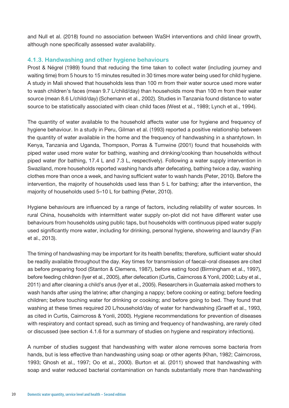<span id="page-33-0"></span>and Null et al. (2018) found no association between WaSH interventions and child linear growth, although none specifically assessed water availability.

#### **4.1.3. Handwashing and other hygiene behaviours**

Prost & Négrel (1989) found that reducing the time taken to collect water (including journey and waiting time) from 5 hours to 15 minutes resulted in 30 times more water being used for child hygiene. A study in Mali showed that households less than 100 m from their water source used more water to wash children's faces (mean 9.7 L/child/day) than households more than 100 m from their water source (mean 8.6 L/child/day) (Schemann et al., 2002). Studies in Tanzania found distance to water source to be statistically associated with clean child faces (West et al., 1989; Lynch et al., 1994).

The quantity of water available to the household affects water use for hygiene and frequency of hygiene behaviour. In a study in Peru, Gilman et al. (1993) reported a positive relationship between the quantity of water available in the home and the frequency of handwashing in a shantytown. In Kenya, Tanzania and Uganda, Thompson, Porras & Tumwine (2001) found that households with piped water used more water for bathing, washing and drinking/cooking than households without piped water (for bathing, 17.4 L and 7.3 L, respectively). Following a water supply intervention in Swaziland, more households reported washing hands after defecating, bathing twice a day, washing clothes more than once a week, and having sufficient water to wash hands (Peter, 2010). Before the intervention, the majority of households used less than 5 L for bathing; after the intervention, the majority of households used 5–10 L for bathing (Peter, 2010).

Hygiene behaviours are influenced by a range of factors, including reliability of water sources. In rural China, households with intermittent water supply on-plot did not have different water use behaviours from households using public taps, but households with continuous piped water supply used significantly more water, including for drinking, personal hygiene, showering and laundry (Fan et al., 2013).

The timing of handwashing may be important for its health benefits; therefore, sufficient water should be readily available throughout the day. Key times for transmission of faecal–oral diseases are cited as before preparing food (Stanton & Clemens, 1987), before eating food (Birmingham et al., 1997), before feeding children (Iyer et al., 2005), after defecation (Curtis, Cairncross & Yonli, 2000; Luby et al., 2011) and after cleaning a child's anus (Iyer et al., 2005). Researchers in Guatemala asked mothers to wash hands after using the latrine; after changing a nappy; before cooking or eating; before feeding children; before touching water for drinking or cooking; and before going to bed. They found that washing at these times required 20 L/household/day of water for handwashing (Graeff et al., 1993, as cited in Curtis, Cairncross & Yonli, 2000). Hygiene recommendations for prevention of diseases with respiratory and contact spread, such as timing and frequency of handwashing, are rarely cited or discussed (see section 4.1.6 for a summary of studies on hygiene and respiratory infections).

A number of studies suggest that handwashing with water alone removes some bacteria from hands, but is less effective than handwashing using soap or other agents (Khan, 1982; Cairncross, 1993; Ghosh et al., 1997; Oo et al., 2000). Burton et al. (2011) showed that handwashing with soap and water reduced bacterial contamination on hands substantially more than handwashing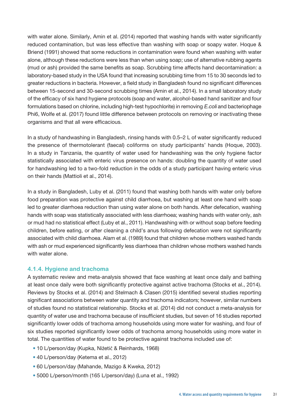<span id="page-34-0"></span>with water alone. Similarly, Amin et al. (2014) reported that washing hands with water significantly reduced contamination, but was less effective than washing with soap or soapy water. Hoque & Briend (1991) showed that some reductions in contamination were found when washing with water alone, although these reductions were less than when using soap; use of alternative rubbing agents (mud or ash) provided the same benefits as soap. Scrubbing time affects hand decontamination: a laboratory-based study in the USA found that increasing scrubbing time from 15 to 30 seconds led to greater reductions in bacteria. However, a field study in Bangladesh found no significant differences between 15-second and 30-second scrubbing times (Amin et al., 2014). In a small laboratory study of the efficacy of six hand hygiene protocols (soap and water, alcohol-based hand sanitizer and four formulations based on chlorine, including high-test hypochlorite) in removing E.coli and bacteriophage Phi6, Wolfe et al. (2017) found little difference between protocols on removing or inactivating these organisms and that all were efficacious.

In a study of handwashing in Bangladesh, rinsing hands with 0.5–2 L of water significantly reduced the presence of thermotolerant (faecal) coliforms on study participants' hands (Hoque, 2003). In a study in Tanzania, the quantity of water used for handwashing was the only hygiene factor statistically associated with enteric virus presence on hands: doubling the quantity of water used for handwashing led to a two-fold reduction in the odds of a study participant having enteric virus on their hands (Mattioli et al., 2014).

In a study in Bangladesh, Luby et al. (2011) found that washing both hands with water only before food preparation was protective against child diarrhoea, but washing at least one hand with soap led to greater diarrhoea reduction than using water alone on both hands. After defecation, washing hands with soap was statistically associated with less diarrhoea; washing hands with water only, ash or mud had no statistical effect (Luby et al., 2011). Handwashing with or without soap before feeding children, before eating, or after cleaning a child's anus following defecation were not significantly associated with child diarrhoea. Alam et al. (1989) found that children whose mothers washed hands with ash or mud experienced significantly less diarrhoea than children whose mothers washed hands with water alone.

### **4.1.4. Hygiene and trachoma**

A systematic review and meta-analysis showed that face washing at least once daily and bathing at least once daily were both significantly protective against active trachoma (Stocks et al., 2014). Reviews by Stocks et al. (2014) and Stelmach & Clasen (2015) identified several studies reporting significant associations between water quantity and trachoma indicators; however, similar numbers of studies found no statistical relationship. Stocks et al. (2014) did not conduct a meta-analysis for quantity of water use and trachoma because of insufficient studies, but seven of 16 studies reported significantly lower odds of trachoma among households using more water for washing, and four of six studies reported significantly lower odds of trachoma among households using more water in total. The quantities of water found to be protective against trachoma included use of:

- 10 L/person/day (Kupka, Nižetič & Reinhards, 1968)
- 40 L/person/day (Ketema et al., 2012)
- 60 L/person/day (Mahande, Mazigo & Kweka, 2012)
- 5000 L/person/month (165 L/person/day) (Luna et al., 1992)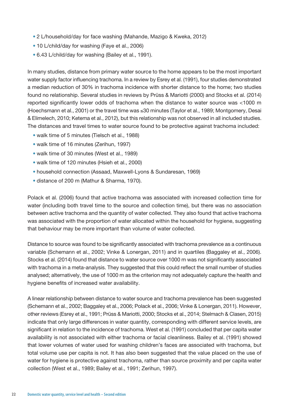- 2 L/household/day for face washing (Mahande, Mazigo & Kweka, 2012)
- 10 L/child/day for washing (Faye et al., 2006)
- 6.43 L/child/day for washing (Bailey et al., 1991).

In many studies, distance from primary water source to the home appears to be the most important water supply factor influencing trachoma. In a review by Esrey et al. (1991), four studies demonstrated a median reduction of 30% in trachoma incidence with shorter distance to the home; two studies found no relationship. Several studies in reviews by Prüss & Mariotti (2000) and Stocks et al. (2014) reported significantly lower odds of trachoma when the distance to water source was <1000 m (Hoechsmann et al., 2001) or the travel time was ≤30 minutes (Taylor et al., 1989; Montgomery, Desai & Elimelech, 2010; Ketema et al., 2012), but this relationship was not observed in all included studies. The distances and travel times to water source found to be protective against trachoma included:

- walk time of 5 minutes (Tielsch et al., 1988)
- walk time of 16 minutes (Zerihun, 1997)
- walk time of 30 minutes (West et al., 1989)
- walk time of 120 minutes (Hsieh et al., 2000)
- household connection (Assaad, Maxwell-Lyons & Sundaresan, 1969)
- distance of 200 m (Mathur & Sharma, 1970).

Polack et al. (2006) found that active trachoma was associated with increased collection time for water (including both travel time to the source and collection time), but there was no association between active trachoma and the quantity of water collected. They also found that active trachoma was associated with the proportion of water allocated within the household for hygiene, suggesting that behaviour may be more important than volume of water collected.

Distance to source was found to be significantly associated with trachoma prevalence as a continuous variable (Schemann et al., 2002; Vinke & Lonergan, 2011) and in quartiles (Baggaley et al., 2006). Stocks et al. (2014) found that distance to water source over 1000 m was not significantly associated with trachoma in a meta-analysis. They suggested that this could reflect the small number of studies analysed; alternatively, the use of 1000 m as the criterion may not adequately capture the health and hygiene benefits of increased water availability.

A linear relationship between distance to water source and trachoma prevalence has been suggested (Schemann et al., 2002; Baggaley et al., 2006; Polack et al., 2006; Vinke & Lonergan, 2011). However, other reviews (Esrey et al., 1991; Prüss & Mariotti, 2000; Stocks et al., 2014; Stelmach & Clasen, 2015) indicate that only large differences in water quantity, corresponding with different service levels, are significant in relation to the incidence of trachoma. West et al. (1991) concluded that per capita water availability is not associated with either trachoma or facial cleanliness. Bailey et al. (1991) showed that lower volumes of water used for washing children's faces are associated with trachoma, but total volume use per capita is not. It has also been suggested that the value placed on the use of water for hygiene is protective against trachoma, rather than source proximity and per capita water collection (West et al., 1989; Bailey et al., 1991; Zerihun, 1997).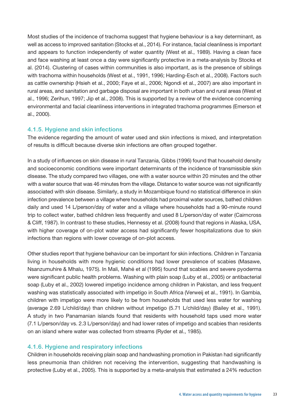Most studies of the incidence of trachoma suggest that hygiene behaviour is a key determinant, as well as access to improved sanitation (Stocks et al., 2014). For instance, facial cleanliness is important and appears to function independently of water quantity (West et al., 1989). Having a clean face and face washing at least once a day were significantly protective in a meta-analysis by Stocks et al. (2014). Clustering of cases within communities is also important, as is the presence of siblings with trachoma within households (West et al., 1991, 1996; Harding-Esch et al., 2008). Factors such as cattle ownership (Hsieh et al., 2000; Faye et al., 2006; Ngondi et al., 2007) are also important in rural areas, and sanitation and garbage disposal are important in both urban and rural areas (West et al., 1996; Zerihun, 1997; Jip et al., 2008). This is supported by a review of the evidence concerning environmental and facial cleanliness interventions in integrated trachoma programmes (Emerson et al., 2000).

#### **4.1.5. Hygiene and skin infections**

The evidence regarding the amount of water used and skin infections is mixed, and interpretation of results is difficult because diverse skin infections are often grouped together.

In a study of influences on skin disease in rural Tanzania, Gibbs (1996) found that household density and socioeconomic conditions were important determinants of the incidence of transmissible skin disease. The study compared two villages, one with a water source within 20 minutes and the other with a water source that was 46 minutes from the village. Distance to water source was not significantly associated with skin disease. Similarly, a study in Mozambique found no statistical difference in skin infection prevalence between a village where households had proximal water sources, bathed children daily and used 14 L/person/day of water and a village where households had a 90-minute round trip to collect water, bathed children less frequently and used 8 L/person/day of water (Cairncross & Cliff, 1987). In contrast to these studies, Hennessy et al. (2008) found that regions in Alaska, USA, with higher coverage of on-plot water access had significantly fewer hospitalizations due to skin infections than regions with lower coverage of on-plot access.

Other studies report that hygiene behaviour can be important for skin infections. Children in Tanzania living in households with more hygienic conditions had lower prevalence of scabies (Masawe, Nsanzumuhire & Mhalu, 1975). In Mali, Mahé et al (1995) found that scabies and severe pyoderma were significant public health problems. Washing with plain soap (Luby et al., 2005) or antibacterial soap (Luby et al., 2002) lowered impetigo incidence among children in Pakistan, and less frequent washing was statistically associated with impetigo in South Africa (Verweij et al., 1991). In Gambia, children with impetigo were more likely to be from households that used less water for washing (average 2.69 L/child/day) than children without impetigo (5.71 L/child/day) (Bailey et al., 1991). A study in two Panamanian islands found that residents with household taps used more water (7.1 L/person/day vs. 2.3 L/person/day) and had lower rates of impetigo and scabies than residents on an island where water was collected from streams (Ryder et al., 1985).

#### **4.1.6. Hygiene and respiratory infections**

Children in households receiving plain soap and handwashing promotion in Pakistan had significantly less pneumonia than children not receiving the intervention, suggesting that handwashing is protective (Luby et al., 2005). This is supported by a meta-analysis that estimated a 24% reduction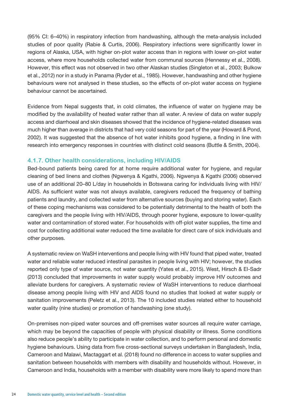(95% CI: 6–40%) in respiratory infection from handwashing, although the meta-analysis included studies of poor quality (Rabie & Curtis, 2006). Respiratory infections were significantly lower in regions of Alaska, USA, with higher on-plot water access than in regions with lower on-plot water access, where more households collected water from communal sources (Hennessy et al., 2008). However, this effect was not observed in two other Alaskan studies (Singleton et al., 2003; Bulkow et al., 2012) nor in a study in Panama (Ryder et al., 1985). However, handwashing and other hygiene behaviours were not analysed in these studies, so the effects of on-plot water access on hygiene behaviour cannot be ascertained.

Evidence from Nepal suggests that, in cold climates, the influence of water on hygiene may be modified by the availability of heated water rather than all water. A review of data on water supply access and diarrhoeal and skin diseases showed that the incidence of hygiene-related diseases was much higher than average in districts that had very cold seasons for part of the year (Howard & Pond, 2002). It was suggested that the absence of hot water inhibits good hygiene, a finding in line with research into emergency responses in countries with distinct cold seasons (Buttle & Smith, 2004).

#### **4.1.7. Other health considerations, including HIV/AIDS**

Bed-bound patients being cared for at home require additional water for hygiene, and regular cleaning of bed linens and clothes (Ngwenya & Kgathi, 2006). Ngwenya & Kgathi (2006) observed use of an additional 20–80 L/day in households in Botswana caring for individuals living with HIV/ AIDS. As sufficient water was not always available, caregivers reduced the frequency of bathing patients and laundry, and collected water from alternative sources (buying and storing water). Each of these coping mechanisms was considered to be potentially detrimental to the health of both the caregivers and the people living with HIV/AIDS, through poorer hygiene, exposure to lower-quality water and contamination of stored water. For households with off-plot water supplies, the time and cost for collecting additional water reduced the time available for direct care of sick individuals and other purposes.

A systematic review on WaSH interventions and people living with HIV found that piped water, treated water and reliable water reduced intestinal parasites in people living with HIV; however, the studies reported only type of water source, not water quantity (Yates et al., 2015). West, Hirsch & El-Sadr (2013) concluded that improvements in water supply would probably improve HIV outcomes and alleviate burdens for caregivers. A systematic review of WaSH interventions to reduce diarrhoeal disease among people living with HIV and AIDS found no studies that looked at water supply or sanitation improvements (Peletz et al., 2013). The 10 included studies related either to household water quality (nine studies) or promotion of handwashing (one study).

On-premises non-piped water sources and off-premises water sources all require water carriage, which may be beyond the capacities of people with physical disability or illness. Some conditions also reduce people's ability to participate in water collection, and to perform personal and domestic hygiene behaviours. Using data from five cross-sectional surveys undertaken in Bangladesh, India, Cameroon and Malawi, Mactaggart et al. (2018) found no difference in access to water supplies and sanitation between households with members with disability and households without. However, in Cameroon and India, households with a member with disability were more likely to spend more than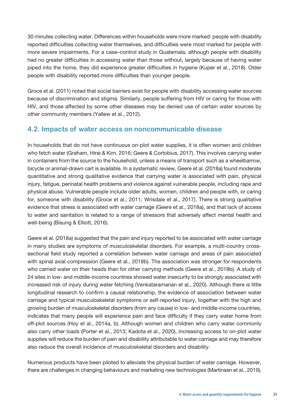30 minutes collecting water. Differences within households were more marked: people with disability reported difficulties collecting water themselves, and difficulties were most marked for people with more severe impairments. For a case–control study in Guatemala, although people with disability had no greater difficulties in accessing water than those without, largely because of having water piped into the home, they did experience greater difficulties in hygiene (Kuper et al., 2018). Older people with disability reported more difficulties than younger people.

Groce et al. (2011) noted that social barriers exist for people with disability accessing water sources because of discrimination and stigma. Similarly, people suffering from HIV or caring for those with HIV, and those affected by some other diseases may be denied use of certain water sources by other community members (Yallew et al., 2012).

#### **4.2. Impacts of water access on noncommunicable disease**

In households that do not have continuous on-plot water supplies, it is often women and children who fetch water (Graham, Hirai & Kim, 2016; Geere & Cortobius, 2017). This involves carrying water in containers from the source to the household, unless a means of transport such as a wheelbarrow, bicycle or animal-drawn cart is available. In a systematic review, Geere et al. (2018a) found moderate quantitative and strong qualitative evidence that carrying water is associated with pain, physical injury, fatigue, perinatal health problems and violence against vulnerable people, including rape and physical abuse. Vulnerable people include older adults, women, children and people with, or caring for, someone with disability (Groce et al., 2011; Wrisdale et al., 2017). There is strong qualitative evidence that stress is associated with water carriage (Geere et al., 2018a), and that lack of access to water and sanitation is related to a range of stressors that adversely affect mental health and well-being (Bisung & Elliott, 2016).

Geere et al. (2018a) suggested that the pain and injury reported to be associated with water carriage in many studies are symptoms of musculoskeletal disorders. For example, a multi-country crosssectional field study reported a correlation between water carriage and areas of pain associated with spinal axial compression (Geere et al., 2018b). The association was stronger for respondents who carried water on their heads than for other carrying methods (Geere et al., 2018b). A study of 24 sites in low- and middle-income countries showed water insecurity to be strongly associated with increased risk of injury during water fetching (Venkataramanan et al., 2020). Although there is little longitudinal research to confirm a causal relationship, the evidence of association between water carriage and typical musculoskeletal symptoms or self-reported injury, together with the high and growing burden of musculoskeletal disorders (from any cause) in low- and middle-income countries, indicates that many people will experience pain and face difficulty if they carry water home from off-plot sources (Hoy et al., 2014a, b). Although women and children who carry water commonly also carry other loads (Porter et al., 2013; Kadota et al., 2020), increasing access to on-plot water supplies will reduce the burden of pain and disability attributable to water carriage and may therefore also reduce the overall incidence of musculoskeletal disorders and disability.

Numerous products have been piloted to alleviate the physical burden of water carriage. However, there are challenges in changing behaviours and marketing new technologies (Martinsen et al., 2019),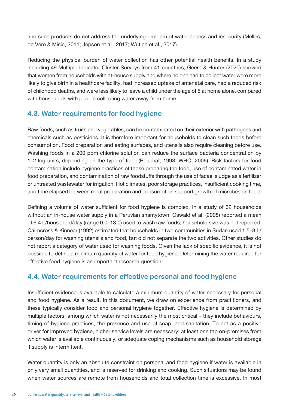and such products do not address the underlying problem of water access and insecurity (Melles, de Vere & Misic, 2011; Jepson et al., 2017; Wutich et al., 2017).

Reducing the physical burden of water collection has other potential health benefits. In a study including 49 Multiple Indicator Cluster Surveys from 41 countries, Geere & Hunter (2020) showed that women from households with at-house supply and where no one had to collect water were more likely to give birth in a healthcare facility, had increased uptake of antenatal care, had a reduced risk of childhood deaths, and were less likely to leave a child under the age of 5 at home alone, compared with households with people collecting water away from home.

## **4.3. Water requirements for food hygiene**

Raw foods, such as fruits and vegetables, can be contaminated on their exterior with pathogens and chemicals such as pesticides. It is therefore important for households to clean such foods before consumption. Food preparation and eating surfaces, and utensils also require cleaning before use. Washing foods in a 200 ppm chlorine solution can reduce the surface bacteria concentration by 1–2 log units, depending on the type of food (Beuchat, 1998; WHO, 2006). Risk factors for food contamination include hygiene practices of those preparing the food, use of contaminated water in food preparation, and contamination of raw foodstuffs through the use of facael sludge as a fertilizer or untreated wastewater for irrigation. Hot climates, poor storage practices, insufficient cooking time, and time elapsed between meal preparation and consumption support growth of microbes on food.

Defining a volume of water sufficient for food hygiene is complex. In a study of 32 households without an in-house water supply in a Peruvian shantytown, Oswald et al. (2008) reported a mean of 6.4 L/household/day (range 0.0–13.0) used to wash raw foods; household size was not reported. Cairncross & Kinnear (1992) estimated that households in two communities in Sudan used 1.5–3 L/ person/day for washing utensils and food, but did not separate the two activities. Other studies do not report a category of water used for washing foods. Given the lack of specific evidence, it is not possible to define a minimum quantity of water for food hygiene. Determining the water required for effective food hygiene is an important research question.

## **4.4. Water requirements for effective personal and food hygiene**

Insufficient evidence is available to calculate a minimum quantity of water necessary for personal and food hygiene. As a result, in this document, we draw on experience from practitioners, and these typically consider food and personal hygiene together. Effective hygiene is determined by multiple factors, among which water is not necessarily the most critical – they include behaviours, timing of hygiene practices, the presence and use of soap, and sanitation. To act as a positive driver for improved hygiene, higher service levels are necessary: at least one tap on-premises from which water is available continuously, or adequate coping mechanisms such as household storage if supply is intermittent.

Water quantity is only an absolute constraint on personal and food hygiene if water is available in only very small quantities, and is reserved for drinking and cooking. Such situations may be found when water sources are remote from households and total collection time is excessive. In most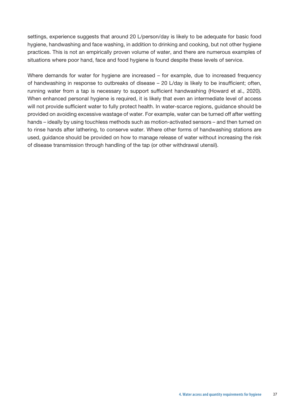settings, experience suggests that around 20 L/person/day is likely to be adequate for basic food hygiene, handwashing and face washing, in addition to drinking and cooking, but not other hygiene practices. This is not an empirically proven volume of water, and there are numerous examples of situations where poor hand, face and food hygiene is found despite these levels of service.

Where demands for water for hygiene are increased – for example, due to increased frequency of handwashing in response to outbreaks of disease – 20 L/day is likely to be insufficient; often, running water from a tap is necessary to support sufficient handwashing (Howard et al., 2020). When enhanced personal hygiene is required, it is likely that even an intermediate level of access will not provide sufficient water to fully protect health. In water-scarce regions, guidance should be provided on avoiding excessive wastage of water. For example, water can be turned off after wetting hands – ideally by using touchless methods such as motion-activated sensors – and then turned on to rinse hands after lathering, to conserve water. Where other forms of handwashing stations are used, guidance should be provided on how to manage release of water without increasing the risk of disease transmission through handling of the tap (or other withdrawal utensil).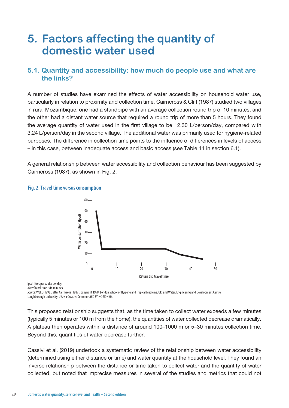# **5. Factors affecting the quantity of domestic water used**

#### **5.1. Quantity and accessibility: how much do people use and what are the links?**

A number of studies have examined the effects of water accessibility on household water use, particularly in relation to proximity and collection time. Cairncross & Cliff (1987) studied two villages in rural Mozambique: one had a standpipe with an average collection round trip of 10 minutes, and the other had a distant water source that required a round trip of more than 5 hours. They found the average quantity of water used in the first village to be 12.30 L/person/day, compared with 3.24 L/person/day in the second village. The additional water was primarily used for hygiene-related purposes. The difference in collection time points to the influence of differences in levels of access – in this case, between inadequate access and basic access (see Table 11 in section 6.1).

A general relationship between water accessibility and collection behaviour has been suggested by Cairncross (1987), as shown in Fig. 2.

#### **Fig. 2. Travel time versus consumption**



lpcd: litres per capita per day.

*Note:* Travel time is in minutes.

Source: WELL (1998), after Cairncross (1987); copyright 1998, London School of Hygiene and Tropical Medicine, UK, and Water, Engineering and Development Centre,<br>Loughborough University, UK, via Creative Commons (CC BY-NC-N

This proposed relationship suggests that, as the time taken to collect water exceeds a few minutes (typically 5 minutes or 100 m from the home), the quantities of water collected decrease dramatically. A plateau then operates within a distance of around 100–1000 m or 5–30 minutes collection time. Beyond this, quantities of water decrease further.

Cassivi et al. (2019) undertook a systematic review of the relationship between water accessibility (determined using either distance or time) and water quantity at the household level. They found an inverse relationship between the distance or time taken to collect water and the quantity of water collected, but noted that imprecise measures in several of the studies and metrics that could not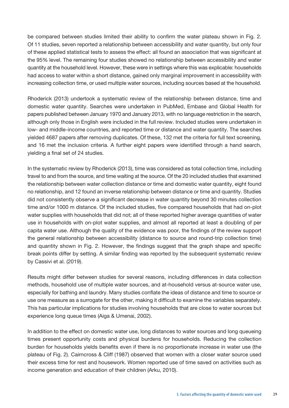be compared between studies limited their ability to confirm the water plateau shown in Fig. 2. Of 11 studies, seven reported a relationship between accessibility and water quantity, but only four of these applied statistical tests to assess the effect: all found an association that was significant at the 95% level. The remaining four studies showed no relationship between accessibility and water quantity at the household level. However, these were in settings where this was explicable: households had access to water within a short distance, gained only marginal improvement in accessibility with increasing collection time, or used multiple water sources, including sources based at the household.

Rhoderick (2013) undertook a systematic review of the relationship between distance, time and domestic water quantity. Searches were undertaken in PubMed, Embase and Global Health for papers published between January 1970 and January 2013, with no language restriction in the search, although only those in English were included in the full review. Included studies were undertaken in low- and middle-income countries, and reported time or distance and water quantity. The searches yielded 4687 papers after removing duplicates. Of these, 132 met the criteria for full text screening, and 16 met the inclusion criteria. A further eight papers were identified through a hand search, yielding a final set of 24 studies.

In the systematic review by Rhoderick (2013), time was considered as total collection time, including travel to and from the source, and time waiting at the source. Of the 20 included studies that examined the relationship between water collection distance or time and domestic water quantity, eight found no relationship, and 12 found an inverse relationship between distance or time and quantity. Studies did not consistently observe a significant decrease in water quantity beyond 30 minutes collection time and/or 1000 m distance. Of the included studies, five compared households that had on-plot water supplies with households that did not; all of these reported higher average quantities of water use in households with on-plot water supplies, and almost all reported at least a doubling of per capita water use. Although the quality of the evidence was poor, the findings of the review support the general relationship between accessibility (distance to source and round-trip collection time) and quantity shown in Fig. 2. However, the findings suggest that the graph shape and specific break points differ by setting. A similar finding was reported by the subsequent systematic review by Cassivi et al. (2019).

Results might differ between studies for several reasons, including differences in data collection methods, household use of multiple water sources, and at-household versus at-source water use, especially for bathing and laundry. Many studies conflate the ideas of distance and time to source or use one measure as a surrogate for the other, making it difficult to examine the variables separately. This has particular implications for studies involving households that are close to water sources but experience long queue times (Aiga & Umenai, 2002).

In addition to the effect on domestic water use, long distances to water sources and long queueing times present opportunity costs and physical burdens for households. Reducing the collection burden for households yields benefits even if there is no proportionate increase in water use (the plateau of Fig. 2). Cairncross & Cliff (1987) observed that women with a closer water source used their excess time for rest and housework. Women reported use of time saved on activities such as income generation and education of their children (Arku, 2010).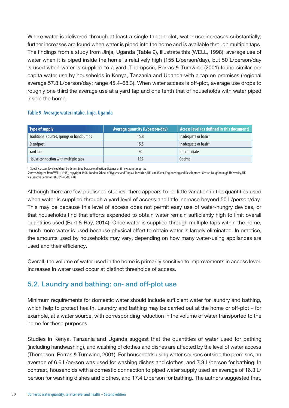Where water is delivered through at least a single tap on-plot, water use increases substantially; further increases are found when water is piped into the home and is available through multiple taps. The findings from a study from Jinja, Uganda (Table 9), illustrate this (WELL, 1998): average use of water when it is piped inside the home is relatively high (155 L/person/day), but 50 L/person/day is used when water is supplied to a yard. Thompson, Porras & Tumwine (2001) found similar per capita water use by households in Kenya, Tanzania and Uganda with a tap on premises (regional average 57.8 L/person/day; range 45.4–68.3). When water access is off-plot, average use drops to roughly one third the average use at a yard tap and one tenth that of households with water piped inside the home.

#### **Table 9. Average water intake, Jinja, Uganda**

| Type of supply                            | Average quantity (L/person/day) | Access level (as defined in this document) |
|-------------------------------------------|---------------------------------|--------------------------------------------|
| Traditional sources, springs or handpumps | 15.8                            | Inadequate or basic <sup>a</sup>           |
| Standpost                                 | 15.5                            | Inadequate or basic <sup>a</sup>           |
| Yard tap                                  | 50                              | Intermediate                               |
| House connection with multiple taps       | 155                             | <b>Optimal</b>                             |

<sup>a</sup> Specific access level could not be determined because collection distance or time was not reported.

*Source:* Adapted from WELL (1998); copyright 1998, London School of Hygiene and Tropical Medicine, UK, and Water, Engineering and Development Centre, Loughborough University, UK, via Creative Commons (CC BY-NC-ND 4.0).

Although there are few published studies, there appears to be little variation in the quantities used when water is supplied through a yard level of access and little increase beyond 50 L/person/day. This may be because this level of access does not permit easy use of water-hungry devices, or that households find that efforts expended to obtain water remain sufficiently high to limit overall quantities used (Burt & Ray, 2014). Once water is supplied through multiple taps within the home, much more water is used because physical effort to obtain water is largely eliminated. In practice, the amounts used by households may vary, depending on how many water-using appliances are used and their efficiency.

Overall, the volume of water used in the home is primarily sensitive to improvements in access level. Increases in water used occur at distinct thresholds of access.

## **5.2. Laundry and bathing: on- and off-plot use**

Minimum requirements for domestic water should include sufficient water for laundry and bathing, which help to protect health. Laundry and bathing may be carried out at the home or off-plot – for example, at a water source, with corresponding reduction in the volume of water transported to the home for these purposes.

Studies in Kenya, Tanzania and Uganda suggest that the quantities of water used for bathing (including handwashing), and washing of clothes and dishes are affected by the level of water access (Thompson, Porras & Tumwine, 2001). For households using water sources outside the premises, an average of 6.6 L/person was used for washing dishes and clothes, and 7.3 L/person for bathing. In contrast, households with a domestic connection to piped water supply used an average of 16.3 L/ person for washing dishes and clothes, and 17.4 L/person for bathing. The authors suggested that,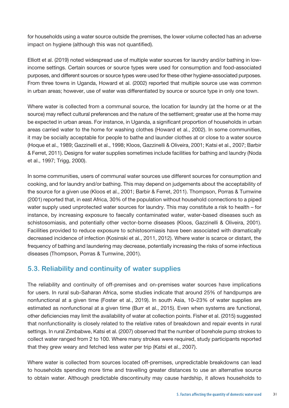for households using a water source outside the premises, the lower volume collected has an adverse impact on hygiene (although this was not quantified).

Elliott et al. (2019) noted widespread use of multiple water sources for laundry and/or bathing in lowincome settings. Certain sources or source types were used for consumption and food-associated purposes, and different sources or source types were used for these other hygiene-associated purposes. From three towns in Uganda, Howard et al. (2002) reported that multiple source use was common in urban areas; however, use of water was differentiated by source or source type in only one town.

Where water is collected from a communal source, the location for laundry (at the home or at the source) may reflect cultural preferences and the nature of the settlement; greater use at the home may be expected in urban areas. For instance, in Uganda, a significant proportion of households in urban areas carried water to the home for washing clothes (Howard et al., 2002). In some communities, it may be socially acceptable for people to bathe and launder clothes at or close to a water source (Hoque et al., 1989; Gazzinelli et al., 1998; Kloos, Gazzinelli & Oliveira, 2001; Katsi et al., 2007; Barbir & Ferret, 2011). Designs for water supplies sometimes include facilities for bathing and laundry (Noda et al., 1997; Trigg, 2000).

In some communities, users of communal water sources use different sources for consumption and cooking, and for laundry and/or bathing. This may depend on judgements about the acceptability of the source for a given use (Kloos et al., 2001; Barbir & Ferret, 2011). Thompson, Porras & Tumwine (2001) reported that, in east Africa, 30% of the population without household connections to a piped water supply used unprotected water sources for laundry. This may constitute a risk to health – for instance, by increasing exposure to faecally contaminated water, water-based diseases such as schistosomiasis, and potentially other vector-borne diseases (Kloos, Gazzinelli & Oliveira, 2001). Facilities provided to reduce exposure to schistosomiasis have been associated with dramatically decreased incidence of infection (Kosinski et al., 2011, 2012). Where water is scarce or distant, the frequency of bathing and laundering may decrease, potentially increasing the risks of some infectious diseases (Thompson, Porras & Tumwine, 2001).

## **5.3. Reliability and continuity of water supplies**

The reliability and continuity of off-premises and on-premises water sources have implications for users. In rural sub-Saharan Africa, some studies indicate that around 25% of handpumps are nonfunctional at a given time (Foster et al., 2019). In south Asia, 10–23% of water supplies are estimated as nonfunctional at a given time (Burr et al., 2015). Even when systems are functional, other deficiencies may limit the availability of water at collection points. Fisher et al. (2015) suggested that nonfunctionality is closely related to the relative rates of breakdown and repair events in rural settings. In rural Zimbabwe, Katsi et al. (2007) observed that the number of borehole pump strokes to collect water ranged from 2 to 100. Where many strokes were required, study participants reported that they grew weary and fetched less water per trip (Katsi et al., 2007).

Where water is collected from sources located off-premises, unpredictable breakdowns can lead to households spending more time and travelling greater distances to use an alternative source to obtain water. Although predictable discontinuity may cause hardship, it allows households to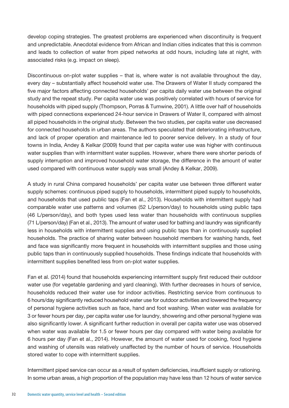develop coping strategies. The greatest problems are experienced when discontinuity is frequent and unpredictable. Anecdotal evidence from African and Indian cities indicates that this is common and leads to collection of water from piped networks at odd hours, including late at night, with associated risks (e.g. impact on sleep).

Discontinuous on-plot water supplies – that is, where water is not available throughout the day, every day – substantially affect household water use. The Drawers of Water II study compared the five major factors affecting connected households' per capita daily water use between the original study and the repeat study. Per capita water use was positively correlated with hours of service for households with piped supply (Thompson, Porras & Tumwine, 2001). A little over half of households with piped connections experienced 24-hour service in Drawers of Water II, compared with almost all piped households in the original study. Between the two studies, per capita water use decreased for connected households in urban areas. The authors speculated that deteriorating infrastructure, and lack of proper operation and maintenance led to poorer service delivery. In a study of four towns in India, Andey & Kelkar (2009) found that per capita water use was higher with continuous water supplies than with intermittent water supplies. However, where there were shorter periods of supply interruption and improved household water storage, the difference in the amount of water used compared with continuous water supply was small (Andey & Kelkar, 2009).

A study in rural China compared households' per capita water use between three different water supply schemes: continuous piped supply to households, intermittent piped supply to households, and households that used public taps (Fan et al., 2013). Households with intermittent supply had comparable water use patterns and volumes (52 L/person/day) to households using public taps (46 L/person/day), and both types used less water than households with continuous supplies (71 L/person/day) (Fan et al., 2013). The amount of water used for bathing and laundry was significantly less in households with intermittent supplies and using public taps than in continuously supplied households. The practice of sharing water between household members for washing hands, feet and face was significantly more frequent in households with intermittent supplies and those using public taps than in continuously supplied households. These findings indicate that households with intermittent supplies benefited less from on-plot water supplies.

Fan et al. (2014) found that households experiencing intermittent supply first reduced their outdoor water use (for vegetable gardening and yard cleaning). With further decreases in hours of service, households reduced their water use for indoor activities. Restricting service from continuous to 6 hours/day significantly reduced household water use for outdoor activities and lowered the frequency of personal hygiene activities such as face, hand and foot washing. When water was available for 3 or fewer hours per day, per capita water use for laundry, showering and other personal hygiene was also significantly lower. A significant further reduction in overall per capita water use was observed when water was available for 1.5 or fewer hours per day compared with water being available for 6 hours per day (Fan et al., 2014). However, the amount of water used for cooking, food hygiene and washing of utensils was relatively unaffected by the number of hours of service. Households stored water to cope with intermittent supplies.

Intermittent piped service can occur as a result of system deficiencies, insufficient supply or rationing. In some urban areas, a high proportion of the population may have less than 12 hours of water service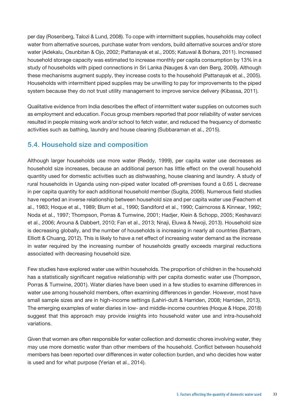per day (Rosenberg, Talozi & Lund, 2008). To cope with intermittent supplies, households may collect water from alternative sources, purchase water from vendors, build alternative sources and/or store water (Adekalu, Osunbitan & Ojo, 2002; Pattanayak et al., 2005; Katuwal & Bohara, 2011). Increased household storage capacity was estimated to increase monthly per capita consumption by 13% in a study of households with piped connections in Sri Lanka (Nauges & van den Berg, 2009). Although these mechanisms augment supply, they increase costs to the household (Pattanayak et al., 2005). Households with intermittent piped supplies may be unwilling to pay for improvements to the piped system because they do not trust utility management to improve service delivery (Kibassa, 2011).

Qualitative evidence from India describes the effect of intermittent water supplies on outcomes such as employment and education. Focus group members reported that poor reliability of water services resulted in people missing work and/or school to fetch water, and reduced the frequency of domestic activities such as bathing, laundry and house cleaning (Subbaraman et al., 2015).

## **5.4. Household size and composition**

Although larger households use more water (Reddy, 1999), per capita water use decreases as household size increases, because an additional person has little effect on the overall household quantity used for domestic activities such as dishwashing, house cleaning and laundry. A study of rural households in Uganda using non-piped water located off-premises found a 0.65 L decrease in per capita quantity for each additional household member (Sugita, 2006). Numerous field studies have reported an inverse relationship between household size and per capita water use (Feachem et al., 1983; Hoque et al., 1989; Blum et al., 1990; Sandiford et al., 1990; Cairncross & Kinnear, 1992; Noda et al., 1997; Thompson, Porras & Tumwine, 2001; Hadjer, Klein & Schopp, 2005; Keshavarzi et al., 2006; Arouna & Dabbert, 2010; Fan et al., 2013; Nnaji, Eluwa & Nwoji, 2013). Household size is decreasing globally, and the number of households is increasing in nearly all countries (Bartram, Elliott & Chuang, 2012). This is likely to have a net effect of increasing water demand as the increase in water required by the increasing number of households greatly exceeds marginal reductions associated with decreasing household size.

Few studies have explored water use within households. The proportion of children in the household has a statistically significant negative relationship with per capita domestic water use (Thompson, Porras & Tumwine, 2001). Water diaries have been used in a few studies to examine differences in water use among household members, often examining differences in gender. However, most have small sample sizes and are in high-income settings (Lahiri-dutt & Harriden, 2008; Harriden, 2013). The emerging examples of water diaries in low- and middle-income countries (Hoque & Hope, 2018) suggest that this approach may provide insights into household water use and intra-household variations.

Given that women are often responsible for water collection and domestic chores involving water, they may use more domestic water than other members of the household. Conflict between household members has been reported over differences in water collection burden, and who decides how water is used and for what purpose (Yerian et al., 2014).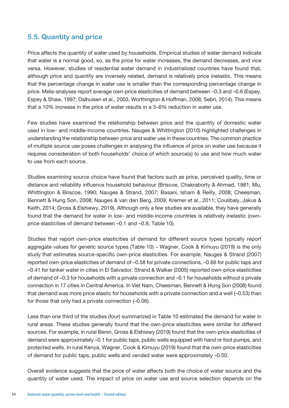#### **5.5. Quantity and price**

Price affects the quantity of water used by households. Empirical studies of water demand indicate that water is a normal good, so, as the price for water increases, the demand decreases, and vice versa. However, studies of residential water demand in industrialized countries have found that, although price and quantity are inversely related, demand is relatively price inelastic. This means that the percentage change in water use is smaller than the corresponding percentage change in price. Meta-analyses report average own-price elasticities of demand between –0.3 and –0.6 (Espey, Espey & Shaw, 1997; Dalhuisen et al., 2003, Worthington & Hoffman, 2008; Sebri, 2014). This means that a 10% increase in the price of water results in a 3–6% reduction in water use.

Few studies have examined the relationship between price and the quantity of domestic water used in low- and middle-income countries. Nauges & Whittington (2010) highlighted challenges in understanding the relationship between price and water use in these countries. The common practice of multiple source use poses challenges in analysing the influence of price on water use because it requires consideration of both households' choice of which source(s) to use and how much water to use from each source.

Studies examining source choice have found that factors such as price, perceived quality, time or distance and reliability influence household behaviour (Briscoe, Chakraborty & Ahmad, 1981; Mu, Whittington & Briscoe, 1990; Nauges & Strand, 2007; Basani, Isham & Reilly, 2008; Cheesman, Bennett & Hung Son, 2008; Nauges & van den Berg, 2009; Kremer et al., 2011; Coulibaly, Jakus & Keith, 2014; Gross & Elshiewy, 2019). Although only a few studies are available, they have generally found that the demand for water in low- and middle-income countries is relatively inelastic (ownprice elasticities of demand between –0.1 and –0.8; Table 10).

Studies that report own-price elasticities of demand for different source types typically report aggregate values for generic source types (Table 10) – Wagner, Cook & Kimuyu (2019) is the only study that estimates source-specific own-price elasticities. For example, Nauges & Strand (2007) reported own-price elasticities of demand of –0.58 for private connections, –0.66 for public taps and –0.41 for tanker water in cities in El Salvador. Strand & Walker (2005) reported own-price elasticities of demand of –0.3 for households with a private connection and –0.1 for households without a private connection in 17 cities in Central America. In Viet Nam, Cheesman, Bennett & Hung Son (2008) found that demand was more price elastic for households with a private connection and a well (–0.53) than for those that only had a private connection (–0.06).

Less than one third of the studies (four) summarized in Table 10 estimated the demand for water in rural areas. These studies generally found that the own-price elasticities were similar for different sources. For example, in rural Benin, Gross & Elshiewy (2019) found that the own-price elasticities of demand were approximately –0.1 for public taps, public wells equipped with hand or foot pumps, and protected wells. In rural Kenya, Wagner, Cook & Kimuyu (2019) found that the own-price elasticities of demand for public taps, public wells and vended water were approximately –0.50.

Overall evidence suggests that the price of water affects both the choice of water source and the quantity of water used. The impact of price on water use and source selection depends on the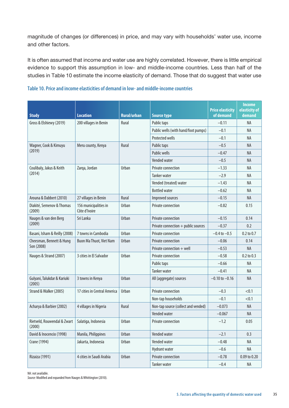magnitude of changes (or differences) in price, and may vary with households' water use, income and other factors.

It is often assumed that income and water use are highly correlated. However, there is little empirical evidence to support this assumption in low- and middle-income countries. Less than half of the studies in Table 10 estimate the income elasticity of demand. Those that do suggest that water use

#### **Table 10. Price and income elasticities of demand in low- and middle-income countries**

| <b>Study</b>                          | <b>Location</b>                        | <b>Rural/urban</b> | <b>Source type</b>                  | <b>Price elasticity</b><br>of demand | <b>Income</b><br>elasticity of<br>demand |
|---------------------------------------|----------------------------------------|--------------------|-------------------------------------|--------------------------------------|------------------------------------------|
| Gross & Elshiewy (2019)               | 200 villages in Benin                  | Rural              | Public taps                         | $-0.11$                              | NA.                                      |
|                                       |                                        |                    | Public wells (with hand/foot pumps) | $-0.1$                               | <b>NA</b>                                |
|                                       |                                        |                    | <b>Protected wells</b>              | $-0.1$                               | <b>NA</b>                                |
| Wagner, Cook & Kimuyu                 | Meru county, Kenya                     | Rural              | Public taps                         | $-0.5$                               | <b>NA</b>                                |
| (2019)                                |                                        |                    | <b>Public wells</b>                 | $-0.47$                              | <b>NA</b>                                |
|                                       |                                        |                    | Vended water                        | $-0.5$                               | <b>NA</b>                                |
| Coulibaly, Jakus & Keith              | Zarqa, Jordan                          | Urban              | <b>Private connection</b>           | $-1.33$                              | <b>NA</b>                                |
| (2014)                                |                                        |                    | Tanker water                        | $-2.9$                               | <b>NA</b>                                |
|                                       |                                        |                    | Vended (treated) water              | $-1.43$                              | <b>NA</b>                                |
|                                       |                                        |                    | <b>Bottled water</b>                | $-0.62$                              | <b>NA</b>                                |
| Arouna & Dabbert (2010)               | 27 villages in Benin                   | Rural              | Improved sources                    | $-0.15$                              | <b>NA</b>                                |
| Diakité, Semenov & Thomas<br>(2009)   | 156 municipalities in<br>Côte d'Ivoire | Urban              | Private connection                  | $-0.82$                              | 0.15                                     |
| Nauges & van den Berg                 | Sri Lanka                              | Urban              | Private connection                  | $-0.15$                              | 0.14                                     |
| (2009)                                |                                        |                    | Private connection + public sources | $-0.37$                              | 0.2                                      |
| Basani, Isham & Reilly (2008)         | 7 towns in Cambodia                    | Urban              | Private connection                  | $-0.4$ to $-0.5$                     | $0.2$ to $0.7$                           |
| Cheesman, Bennett & Hung              | <b>Buon Ma Thuot, Viet Nam</b>         | Urban              | <b>Private connection</b>           | $-0.06$                              | 0.14                                     |
| Son (2008)                            |                                        |                    | Private connection $+$ well         | $-0.53$                              | <b>NA</b>                                |
| Nauges & Strand (2007)                | 3 cities in El Salvador                | Urban              | <b>Private connection</b>           | $-0.58$                              | 0.2 to 0.3                               |
|                                       |                                        |                    | Public taps                         | $-0.66$                              | <b>NA</b>                                |
|                                       |                                        |                    | <b>Tanker water</b>                 | $-0.41$                              | <b>NA</b>                                |
| Gulyani, Talukdar & Kariuki<br>(2005) | 3 towns in Kenya                       | Urban              | All (aggregate) sources             | $-0.10$ to $-0.16$                   | <b>NA</b>                                |
| Strand & Walker (2005)                | 17 cities in Central America           | Urban              | Private connection                  | $-0.3$                               | < 0.1                                    |
|                                       |                                        |                    | Non-tap households                  | $-0.1$                               | < 0.1                                    |
| Acharya & Barbier (2002)              | 4 villages in Nigeria                  | Rural              | Non-tap source (collect and vended) | $-0.073$                             | NA                                       |
|                                       |                                        |                    | Vended water                        | $-0.067$                             | <b>NA</b>                                |
| Rietveld, Rouwendal & Zwart<br>(2000) | Salatiga, Indonesia                    | Urban              | Private connection                  | $-1.2$                               | 0.05                                     |
| David & Inocencio (1998)              | Manila, Philippines                    | Urban              | Vended water                        | $-2.1$                               | 0.3                                      |
| Crane (1994)                          | Jakarta, Indonesia                     | Urban              | Vended water                        | $-0.48$                              | NA                                       |
|                                       |                                        |                    | Hydrant water                       | $-0.6$                               | NA                                       |
| Rizaiza (1991)                        | 4 cities in Saudi Arabia               | Urban              | <b>Private connection</b>           | $-0.78$                              | 0.09 to 0.20                             |
|                                       |                                        |                    | Tanker water                        | $-0.4$                               | NA                                       |

NA: not available.

*Source:* Modified and expanded from Nauges & Whittington (2010).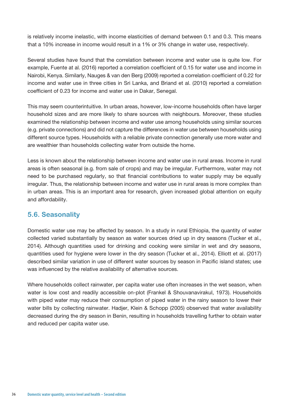is relatively income inelastic, with income elasticities of demand between 0.1 and 0.3. This means that a 10% increase in income would result in a 1% or 3% change in water use, respectively.

Several studies have found that the correlation between income and water use is quite low. For example, Fuente at al. (2016) reported a correlation coefficient of 0.15 for water use and income in Nairobi, Kenya. Similarly, Nauges & van den Berg (2009) reported a correlation coefficient of 0.22 for income and water use in three cities in Sri Lanka, and Briand et al. (2010) reported a correlation coefficient of 0.23 for income and water use in Dakar, Senegal.

This may seem counterintuitive. In urban areas, however, low-income households often have larger household sizes and are more likely to share sources with neighbours. Moreover, these studies examined the relationship between income and water use among households using similar sources (e.g. private connections) and did not capture the differences in water use between households using different source types. Households with a reliable private connection generally use more water and are wealthier than households collecting water from outside the home.

Less is known about the relationship between income and water use in rural areas. Income in rural areas is often seasonal (e.g. from sale of crops) and may be irregular. Furthermore, water may not need to be purchased regularly, so that financial contributions to water supply may be equally irregular. Thus, the relationship between income and water use in rural areas is more complex than in urban areas. This is an important area for research, given increased global attention on equity and affordability.

## **5.6. Seasonality**

Domestic water use may be affected by season. In a study in rural Ethiopia, the quantity of water collected varied substantially by season as water sources dried up in dry seasons (Tucker et al., 2014). Although quantities used for drinking and cooking were similar in wet and dry seasons, quantities used for hygiene were lower in the dry season (Tucker et al., 2014). Elliott et al. (2017) described similar variation in use of different water sources by season in Pacific island states; use was influenced by the relative availability of alternative sources.

Where households collect rainwater, per capita water use often increases in the wet season, when water is low cost and readily accessible on-plot (Frankel & Shouvanavirakul, 1973). Households with piped water may reduce their consumption of piped water in the rainy season to lower their water bills by collecting rainwater. Hadjer, Klein & Schopp (2005) observed that water availability decreased during the dry season in Benin, resulting in households travelling further to obtain water and reduced per capita water use.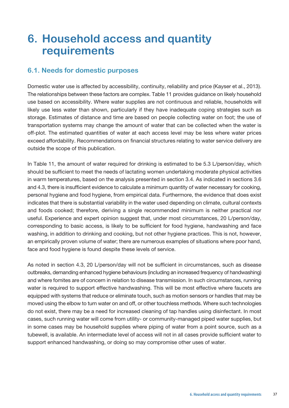# **6. Household access and quantity requirements**

#### **6.1. Needs for domestic purposes**

Domestic water use is affected by accessibility, continuity, reliability and price (Kayser et al., 2013). The relationships between these factors are complex. Table 11 provides guidance on likely household use based on accessibility. Where water supplies are not continuous and reliable, households will likely use less water than shown, particularly if they have inadequate coping strategies such as storage. Estimates of distance and time are based on people collecting water on foot; the use of transportation systems may change the amount of water that can be collected when the water is off-plot. The estimated quantities of water at each access level may be less where water prices exceed affordability. Recommendations on financial structures relating to water service delivery are outside the scope of this publication.

In Table 11, the amount of water required for drinking is estimated to be 5.3 L/person/day, which should be sufficient to meet the needs of lactating women undertaking moderate physical activities in warm temperatures, based on the analysis presented in section 3.4. As indicated in sections 3.6 and 4.3, there is insufficient evidence to calculate a minimum quantity of water necessary for cooking, personal hygiene and food hygiene, from empirical data. Furthermore, the evidence that does exist indicates that there is substantial variability in the water used depending on climate, cultural contexts and foods cooked; therefore, deriving a single recommended minimum is neither practical nor useful. Experience and expert opinion suggest that, under most circumstances, 20 L/person/day, corresponding to basic access, is likely to be sufficient for food hygiene, handwashing and face washing, in addition to drinking and cooking, but not other hygiene practices. This is not, however, an empirically proven volume of water; there are numerous examples of situations where poor hand, face and food hygiene is found despite these levels of service.

As noted in section 4.3, 20 L/person/day will not be sufficient in circumstances, such as disease outbreaks, demanding enhanced hygiene behaviours (including an increased frequency of handwashing) and where fomites are of concern in relation to disease transmission. In such circumstances, running water is required to support effective handwashing. This will be most effective where faucets are equipped with systems that reduce or eliminate touch, such as motion sensors or handles that may be moved using the elbow to turn water on and off, or other touchless methods. Where such technologies do not exist, there may be a need for increased cleaning of tap handles using disinfectant. In most cases, such running water will come from utility- or community-managed piped water supplies, but in some cases may be household supplies where piping of water from a point source, such as a tubewell, is available. An intermediate level of access will not in all cases provide sufficient water to support enhanced handwashing, or doing so may compromise other uses of water.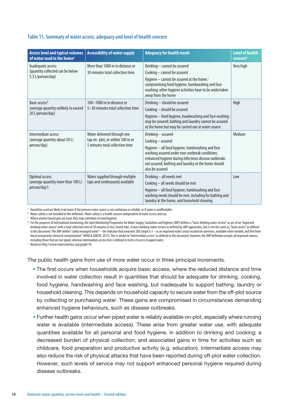#### **Table 11. Summary of water access, adequacy and level of health concern**

| <b>Access level and typical volumes</b><br>of water used in the home <sup>a</sup> | <b>Accessibility of water supply</b>                                | <b>Adequacy for health needs</b>                                                                                                                                                                                                                          | <b>Level of health</b><br>concern <sup>b</sup> |  |
|-----------------------------------------------------------------------------------|---------------------------------------------------------------------|-----------------------------------------------------------------------------------------------------------------------------------------------------------------------------------------------------------------------------------------------------------|------------------------------------------------|--|
| Inadequate access<br>(quantity collected can be below<br>5.3 L/person/day)        | More than 1000 m in distance or<br>30 minutes total collection time | Drinking - cannot be assured<br>Cooking - cannot be assured                                                                                                                                                                                               | Very high                                      |  |
|                                                                                   |                                                                     | Hygiene – cannot be assured at the home, $\epsilon$<br>compromising food hygiene, handwashing and face<br>washing; other hygiene activities have to be undertaken<br>away from the home                                                                   |                                                |  |
| Basic access <sup>d</sup><br>(average quantity unlikely to exceed                 | 100-1000 m in distance or<br>5-30 minutes total collection time     | Drinking - should be assured                                                                                                                                                                                                                              | High                                           |  |
| 20 L/person/day)                                                                  |                                                                     | Cooking - should be assured<br>Hygiene – food hygiene, handwashing and face washing<br>may be assured; bathing and laundry cannot be assured<br>at the home but may be carried out at water source                                                        |                                                |  |
| Intermediate access<br>(average quantity about 50 L/                              | Water delivered through one<br>tap on-plot, or within 100 m or      | Drinking - assured                                                                                                                                                                                                                                        | Medium                                         |  |
| person/day)                                                                       | 5 minutes total collection time                                     | Cooking - assured<br>Hygiene - all food hygiene, handwashing and face<br>washing assured under non-outbreak conditions;<br>enhanced hygiene during infectious disease outbreaks<br>not assured; bathing and laundry at the home should<br>also be assured |                                                |  |
| Optimal access<br>(average quantity more than 100 L/<br>person/day <sup>e</sup> ) | Water supplied through multiple<br>taps and continuously available  | Drinking - all needs met                                                                                                                                                                                                                                  | Low                                            |  |
|                                                                                   |                                                                     | Cooking - all needs should be met                                                                                                                                                                                                                         |                                                |  |
|                                                                                   |                                                                     | Hygiene - all food hygiene, handwashing and face<br>washing needs should be met, including for bathing and<br>laundry at the home, and household cleaning                                                                                                 |                                                |  |

Quantities used are likely to be lower if the primary water source is not continuous or reliable, or if water is unaffordable.

Water safety is not included in this definition. Water safety is a health concern independent of water access and use.

Where alcohol-based gels are used, they may contribute to hand hygiene.

For the purposes of international monitoring, the Joint Monitoring Programme for Water Supply, Sanitation and Hygiene (JMP) defines a "basic drinking water service" as use of an "improved drinking water source" with a total collection time of 30 minutes or less (round trip). A basic drinking-water service as defined by JMP approaches, but is not the same as, "basic access" as defined in this document. The JMP defines "safely managed water" – the indicator that measures SDG Target 6.1 – as an improved water source located on-premises, available when needed, and free from faecal and priority chemical contamination" (WHO & UNICEF, 2017). This is similar to "intermediate access" as defined in this document; however, the JMP definition accepts all improved sources, including those that are not piped, whereas intermediate access here is defined in terms of access to piped water.

Based on [http://www.waterstatistics.org/graph/18.](http://www.waterstatistics.org/graph/18)

The public health gains from use of more water occur in three principal increments.

- The first occurs when households acquire basic access, where the reduced distance and time involved in water collection result in quantities that should be adequate for drinking, cooking, food hygiene, handwashing and face washing, but inadequate to support bathing, laundry or household cleaning. This depends on household capacity to secure water from the off-plot source by collecting or purchasing water. These gains are compromised in circumstances demanding enhanced hygiene behaviours, such as disease outbreaks.
- Further health gains occur when piped water is reliably available on-plot, especially where running water is available (intermediate access). These arise from greater water use, with adequate quantities available for all personal and food hygiene, in addition to drinking and cooking; a decreased burden of physical collection; and associated gains in time for activities such as childcare, food preparation and productive activity (e.g. education). Intermediate access may also reduce the risk of physical attacks that have been reported during off-plot water collection. However, such levels of service may not support enhanced personal hygiene required during disease outbreaks.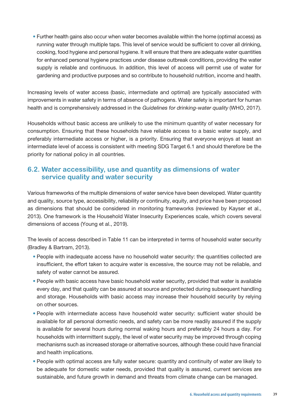• Further health gains also occur when water becomes available within the home (optimal access) as running water through multiple taps. This level of service would be sufficient to cover all drinking, cooking, food hygiene and personal hygiene. It will ensure that there are adequate water quantities for enhanced personal hygiene practices under disease outbreak conditions, providing the water supply is reliable and continuous. In addition, this level of access will permit use of water for gardening and productive purposes and so contribute to household nutrition, income and health.

Increasing levels of water access (basic, intermediate and optimal) are typically associated with improvements in water safety in terms of absence of pathogens. Water safety is important for human health and is comprehensively addressed in the Guidelines for drinking-water quality (WHO, 2017).

Households without basic access are unlikely to use the minimum quantity of water necessary for consumption. Ensuring that these households have reliable access to a basic water supply, and preferably intermediate access or higher, is a priority. Ensuring that everyone enjoys at least an intermediate level of access is consistent with meeting SDG Target 6.1 and should therefore be the priority for national policy in all countries.

#### **6.2. Water accessibility, use and quantity as dimensions of water service quality and water security**

Various frameworks of the multiple dimensions of water service have been developed. Water quantity and quality, source type, accessibility, reliability or continuity, equity, and price have been proposed as dimensions that should be considered in monitoring frameworks (reviewed by Kayser et al., 2013). One framework is the Household Water Insecurity Experiences scale, which covers several dimensions of access (Young et al., 2019).

The levels of access described in Table 11 can be interpreted in terms of household water security (Bradley & Bartram, 2013).

- People with inadequate access have no household water security: the quantities collected are insufficient, the effort taken to acquire water is excessive, the source may not be reliable, and safety of water cannot be assured.
- People with basic access have basic household water security, provided that water is available every day, and that quality can be assured at source and protected during subsequent handling and storage. Households with basic access may increase their household security by relying on other sources.
- People with intermediate access have household water security: sufficient water should be available for all personal domestic needs, and safety can be more readily assured if the supply is available for several hours during normal waking hours and preferably 24 hours a day. For households with intermittent supply, the level of water security may be improved through coping mechanisms such as increased storage or alternative sources, although these could have financial and health implications.
- People with optimal access are fully water secure: quantity and continuity of water are likely to be adequate for domestic water needs, provided that quality is assured, current services are sustainable, and future growth in demand and threats from climate change can be managed.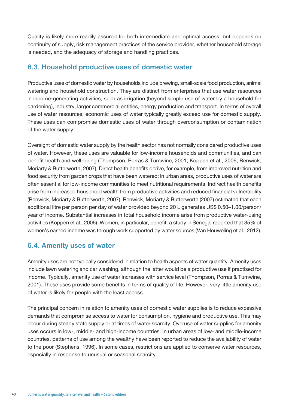Quality is likely more readily assured for both intermediate and optimal access, but depends on continuity of supply, risk management practices of the service provider, whether household storage is needed, and the adequacy of storage and handling practices.

## **6.3. Household productive uses of domestic water**

Productive uses of domestic water by households include brewing, small-scale food production, animal watering and household construction. They are distinct from enterprises that use water resources in income-generating activities, such as irrigation (beyond simple use of water by a household for gardening), industry, larger commercial entities, energy production and transport. In terms of overall use of water resources, economic uses of water typically greatly exceed use for domestic supply. These uses can compromise domestic uses of water through overconsumption or contamination of the water supply.

Oversight of domestic water supply by the health sector has not normally considered productive uses of water. However, these uses are valuable for low-income households and communities, and can benefit health and well-being (Thompson, Porras & Tumwine, 2001; Koppen et al., 2006; Renwick, Moriarty & Butterworth, 2007). Direct health benefits derive, for example, from improved nutrition and food security from garden crops that have been watered; in urban areas, productive uses of water are often essential for low-income communities to meet nutritional requirements. Indirect health benefits arise from increased household wealth from productive activities and reduced financial vulnerability (Renwick, Moriarty & Butterworth, 2007). Renwick, Moriarty & Butterworth (2007) estimated that each additional litre per person per day of water provided beyond 20 L generates US\$ 0.50–1.00/person/ year of income. Substantial increases in total household income arise from productive water-using activities (Koppen et al., 2006). Women, in particular, benefit: a study in Senegal reported that 35% of women's earned income was through work supported by water sources (Van Houweling et al., 2012).

## **6.4. Amenity uses of water**

Amenity uses are not typically considered in relation to health aspects of water quantity. Amenity uses include lawn watering and car washing, although the latter would be a productive use if practised for income. Typically, amenity use of water increases with service level (Thompson, Porras & Tumwine, 2001). These uses provide some benefits in terms of quality of life. However, very little amenity use of water is likely for people with the least access.

The principal concern in relation to amenity uses of domestic water supplies is to reduce excessive demands that compromise access to water for consumption, hygiene and productive use. This may occur during steady state supply or at times of water scarcity. Overuse of water supplies for amenity uses occurs in low-, middle- and high-income countries. In urban areas of low- and middle-income countries, patterns of use among the wealthy have been reported to reduce the availability of water to the poor (Stephens, 1996). In some cases, restrictions are applied to conserve water resources, especially in response to unusual or seasonal scarcity.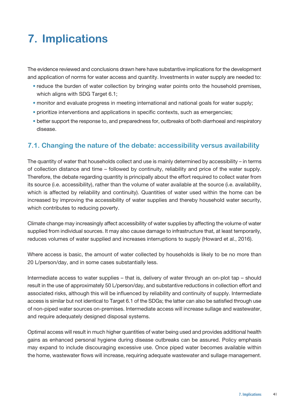# **7. Implications**

The evidence reviewed and conclusions drawn here have substantive implications for the development and application of norms for water access and quantity. Investments in water supply are needed to:

- reduce the burden of water collection by bringing water points onto the household premises, which aligns with SDG Target 6.1;
- monitor and evaluate progress in meeting international and national goals for water supply;
- prioritize interventions and applications in specific contexts, such as emergencies;
- better support the response to, and preparedness for, outbreaks of both diarrhoeal and respiratory disease.

#### **7.1. Changing the nature of the debate: accessibility versus availability**

The quantity of water that households collect and use is mainly determined by accessibility – in terms of collection distance and time – followed by continuity, reliability and price of the water supply. Therefore, the debate regarding quantity is principally about the effort required to collect water from its source (i.e. accessibility), rather than the volume of water available at the source (i.e. availability, which is affected by reliability and continuity). Quantities of water used within the home can be increased by improving the accessibility of water supplies and thereby household water security, which contributes to reducing poverty.

Climate change may increasingly affect accessibility of water supplies by affecting the volume of water supplied from individual sources. It may also cause damage to infrastructure that, at least temporarily, reduces volumes of water supplied and increases interruptions to supply (Howard et al., 2016).

Where access is basic, the amount of water collected by households is likely to be no more than 20 L/person/day, and in some cases substantially less.

Intermediate access to water supplies – that is, delivery of water through an on-plot tap – should result in the use of approximately 50 L/person/day, and substantive reductions in collection effort and associated risks, although this will be influenced by reliability and continuity of supply. Intermediate access is similar but not identical to Target 6.1 of the SDGs; the latter can also be satisfied through use of non-piped water sources on-premises. Intermediate access will increase sullage and wastewater, and require adequately designed disposal systems.

Optimal access will result in much higher quantities of water being used and provides additional health gains as enhanced personal hygiene during disease outbreaks can be assured. Policy emphasis may expand to include discouraging excessive use. Once piped water becomes available within the home, wastewater flows will increase, requiring adequate wastewater and sullage management.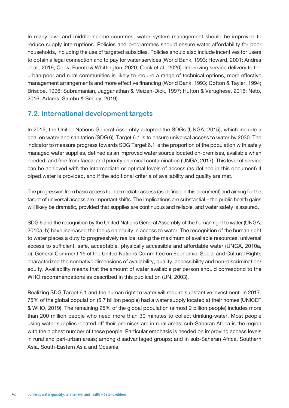In many low- and middle-income countries, water system management should be improved to reduce supply interruptions. Policies and programmes should ensure water affordability for poor households, including the use of targeted subsidies. Policies should also include incentives for users to obtain a legal connection and to pay for water services (World Bank, 1993; Howard, 2001; Andres et al., 2019; Cook, Fuente & Whittington, 2020; Cook et al., 2020). Improving service delivery to the urban poor and rural communities is likely to require a range of technical options, more effective management arrangements and more effective financing (World Bank, 1993; Cotton & Tayler, 1994; Briscoe, 1996; Subramanian, Jagganathan & Meizen-Dick, 1997; Hutton & Varughese, 2016; Neto, 2016; Adams, Sambu & Smiley, 2019).

## **7.2. International development targets**

In 2015, the United Nations General Assembly adopted the SDGs (UNGA, 2015), which include a goal on water and sanitation (SDG 6). Target 6.1 is to ensure universal access to water by 2030. The indicator to measure progress towards SDG Target 6.1 is the proportion of the population with safely managed water supplies, defined as an improved water source located on-premises, available when needed, and free from faecal and priority chemical contamination (UNGA, 2017). This level of service can be achieved with the intermediate or optimal levels of access (as defined in this document) if piped water is provided, and if the additional criteria of availability and quality are met.

The progression from basic access to intermediate access (as defined in this document) and aiming for the target of universal access are important shifts. The implications are substantial – the public health gains will likely be dramatic, provided that supplies are continuous and reliable, and water safety is assured.

SDG 6 and the recognition by the United Nations General Assembly of the human right to water (UNGA, 2010a, b) have increased the focus on equity in access to water. The recognition of the human right to water places a duty to progressively realize, using the maximum of available resources, universal access to sufficient, safe, acceptable, physically accessible and affordable water (UNGA, 2010a, b). General Comment 15 of the United Nations Committee on Economic, Social and Cultural Rights characterized the normative dimensions of availability, quality, accessibility and non-discrimination/ equity. Availability means that the amount of water available per person should correspond to the WHO recommendations as described in this publication (UN, 2003).

Realizing SDG Target 6.1 and the human right to water will require substantive investment. In 2017, 75% of the global population (5.7 billion people) had a water supply located at their homes (UNICEF & WHO, 2019). The remaining 25% of the global population (almost 2 billion people) includes more than 200 million people who need more than 30 minutes to collect drinking-water. Most people using water supplies located off their premises are in rural areas; sub-Saharan Africa is the region with the highest number of these people. Particular emphasis is needed on improving access levels in rural and peri-urban areas; among disadvantaged groups; and in sub-Saharan Africa, Southern Asia, South-Eastern Asia and Oceania.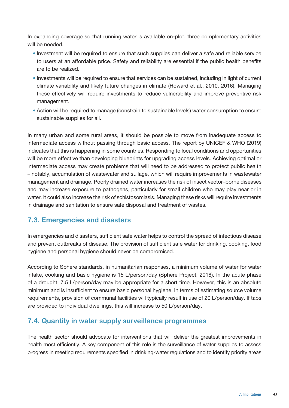In expanding coverage so that running water is available on-plot, three complementary activities will be needed.

- Investment will be required to ensure that such supplies can deliver a safe and reliable service to users at an affordable price. Safety and reliability are essential if the public health benefits are to be realized.
- Investments will be required to ensure that services can be sustained, including in light of current climate variability and likely future changes in climate (Howard et al., 2010, 2016). Managing these effectively will require investments to reduce vulnerability and improve preventive risk management.
- Action will be required to manage (constrain to sustainable levels) water consumption to ensure sustainable supplies for all.

In many urban and some rural areas, it should be possible to move from inadequate access to intermediate access without passing through basic access. The report by UNICEF & WHO (2019) indicates that this is happening in some countries. Responding to local conditions and opportunities will be more effective than developing blueprints for upgrading access levels. Achieving optimal or intermediate access may create problems that will need to be addressed to protect public health – notably, accumulation of wastewater and sullage, which will require improvements in wastewater management and drainage. Poorly drained water increases the risk of insect vector–borne diseases and may increase exposure to pathogens, particularly for small children who may play near or in water. It could also increase the risk of schistosomiasis. Managing these risks will require investments in drainage and sanitation to ensure safe disposal and treatment of wastes.

## **7.3. Emergencies and disasters**

In emergencies and disasters, sufficient safe water helps to control the spread of infectious disease and prevent outbreaks of disease. The provision of sufficient safe water for drinking, cooking, food hygiene and personal hygiene should never be compromised.

According to Sphere standards, in humanitarian responses, a minimum volume of water for water intake, cooking and basic hygiene is 15 L/person/day (Sphere Project, 2018). In the acute phase of a drought, 7.5 L/person/day may be appropriate for a short time. However, this is an absolute minimum and is insufficient to ensure basic personal hygiene. In terms of estimating source volume requirements, provision of communal facilities will typically result in use of 20 L/person/day. If taps are provided to individual dwellings, this will increase to 50 L/person/day.

## **7.4. Quantity in water supply surveillance programmes**

The health sector should advocate for interventions that will deliver the greatest improvements in health most efficiently. A key component of this role is the surveillance of water supplies to assess progress in meeting requirements specified in drinking-water regulations and to identify priority areas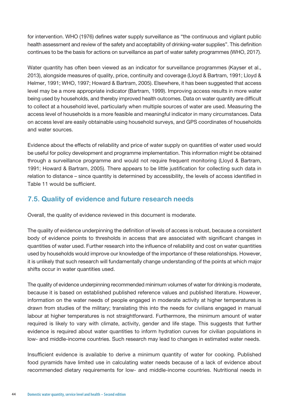for intervention. WHO (1976) defines water supply surveillance as "the continuous and vigilant public health assessment and review of the safety and acceptability of drinking-water supplies". This definition continues to be the basis for actions on surveillance as part of water safety programmes (WHO, 2017).

Water quantity has often been viewed as an indicator for surveillance programmes (Kayser et al., 2013), alongside measures of quality, price, continuity and coverage (Lloyd & Bartram, 1991; Lloyd & Helmer, 1991; WHO, 1997; Howard & Bartram, 2005). Elsewhere, it has been suggested that access level may be a more appropriate indicator (Bartram, 1999). Improving access results in more water being used by households, and thereby improved health outcomes. Data on water quantity are difficult to collect at a household level, particularly when multiple sources of water are used. Measuring the access level of households is a more feasible and meaningful indicator in many circumstances. Data on access level are easily obtainable using household surveys, and GPS coordinates of households and water sources.

Evidence about the effects of reliability and price of water supply on quantities of water used would be useful for policy development and programme implementation. This information might be obtained through a surveillance programme and would not require frequent monitoring (Lloyd & Bartram, 1991; Howard & Bartram, 2005). There appears to be little justification for collecting such data in relation to distance – since quantity is determined by accessibility, the levels of access identified in Table 11 would be sufficient.

## **7.5. Quality of evidence and future research needs**

Overall, the quality of evidence reviewed in this document is moderate.

The quality of evidence underpinning the definition of levels of access is robust, because a consistent body of evidence points to thresholds in access that are associated with significant changes in quantities of water used. Further research into the influence of reliability and cost on water quantities used by households would improve our knowledge of the importance of these relationships. However, it is unlikely that such research will fundamentally change understanding of the points at which major shifts occur in water quantities used.

The quality of evidence underpinning recommended minimum volumes of water for drinking is moderate, because it is based on established published reference values and published literature. However, information on the water needs of people engaged in moderate activity at higher temperatures is drawn from studies of the military; translating this into the needs for civilians engaged in manual labour at higher temperatures is not straightforward. Furthermore, the minimum amount of water required is likely to vary with climate, activity, gender and life stage. This suggests that further evidence is required about water quantities to inform hydration curves for civilian populations in low- and middle-income countries. Such research may lead to changes in estimated water needs.

Insufficient evidence is available to derive a minimum quantity of water for cooking. Published food pyramids have limited use in calculating water needs because of a lack of evidence about recommended dietary requirements for low- and middle-income countries. Nutritional needs in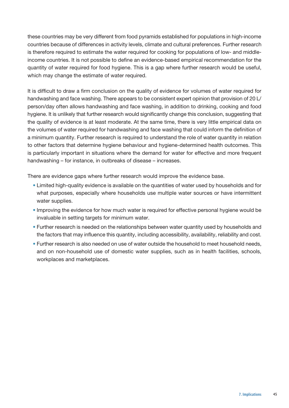these countries may be very different from food pyramids established for populations in high-income countries because of differences in activity levels, climate and cultural preferences. Further research is therefore required to estimate the water required for cooking for populations of low- and middleincome countries. It is not possible to define an evidence-based empirical recommendation for the quantity of water required for food hygiene. This is a gap where further research would be useful, which may change the estimate of water required.

It is difficult to draw a firm conclusion on the quality of evidence for volumes of water required for handwashing and face washing. There appears to be consistent expert opinion that provision of 20 L/ person/day often allows handwashing and face washing, in addition to drinking, cooking and food hygiene. It is unlikely that further research would significantly change this conclusion, suggesting that the quality of evidence is at least moderate. At the same time, there is very little empirical data on the volumes of water required for handwashing and face washing that could inform the definition of a minimum quantity. Further research is required to understand the role of water quantity in relation to other factors that determine hygiene behaviour and hygiene-determined health outcomes. This is particularly important in situations where the demand for water for effective and more frequent handwashing – for instance, in outbreaks of disease – increases.

There are evidence gaps where further research would improve the evidence base.

- Limited high-quality evidence is available on the quantities of water used by households and for what purposes, especially where households use multiple water sources or have intermittent water supplies.
- Improving the evidence for how much water is required for effective personal hygiene would be invaluable in setting targets for minimum water.
- Further research is needed on the relationships between water quantity used by households and the factors that may influence this quantity, including accessibility, availability, reliability and cost.
- Further research is also needed on use of water outside the household to meet household needs, and on non-household use of domestic water supplies, such as in health facilities, schools, workplaces and marketplaces.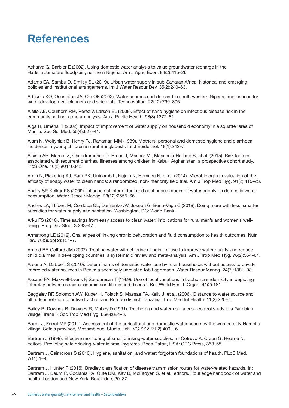## **References**

Acharya G, Barbier E (2002). Using domestic water analysis to value groundwater recharge in the Hadejia'Jama'are floodplain, northern Nigeria. Am J Agric Econ. 84(2):415–26.

Adams EA, Sambu D, Smiley SL (2019). Urban water supply in sub-Saharan Africa: historical and emerging policies and institutional arrangements. Int J Water Resour Dev. 35(2):240–63.

Adekalu KO, Osunbitan JA, Ojo OE (2002). Water sources and demand in south western Nigeria: implications for water development planners and scientists. Technovation. 22(12):799–805.

Aiello AE, Coulborn RM, Perez V, Larson EL (2008). Effect of hand hygiene on infectious disease risk in the community setting: a meta-analysis. Am J Public Health. 98(8):1372–81.

Aiga H, Umenai T (2002). Impact of improvement of water supply on household economy in a squatter area of Manila. Soc Sci Med. 55(4):627–41.

Alam N, Wojtyniak B, Henry FJ, Rahaman MM (1989). Mothers' personal and domestic hygiene and diarrhoea incidence in young children in rural Bangladesh. Int J Epidemiol. 18(1):242–7.

Aluisio AR, Maroof Z, Chandramohan D, Bruce J, Masher MI, Manaseki-Holland S, et al. (2015). Risk factors associated with recurrent diarrheal illnesses among children in Kabul, Afghanistan: a prospective cohort study. PloS One. 10(2):e0116342.

Amin N, Pickering AJ, Ram PK, Unicomb L, Najnin N, Homaira N, et al. (2014). Microbiological evaluation of the efficacy of soapy water to clean hands: a randomized, non-inferiority field trial. Am J Trop Med Hyg. 91(2):415–23.

Andey SP, Kelkar PS (2009). Influence of intermittent and continuous modes of water supply on domestic water consumption. Water Resour Manag. 23(12):2555–66.

Andres LA, Thibert M, Cordoba CL, Danilenko AV, Joseph G, Borja-Vega C (2019). Doing more with less: smarter subsidies for water supply and sanitation. Washington, DC: World Bank.

Arku FS (2010). Time savings from easy access to clean water: implications for rural men's and women's wellbeing. Prog Dev Stud. 3:233–47.

Armstrong LE (2012). Challenges of linking chronic dehydration and fluid consumption to health outcomes. Nutr Rev. 70(Suppl 2):121–7.

Arnold BF, Colford JM (2007). Treating water with chlorine at point-of-use to improve water quality and reduce child diarrhea in developing countries: a systematic review and meta-analysis. Am J Trop Med Hyg. 76(2):354–64.

Arouna A, Dabbert S (2010). Determinants of domestic water use by rural households without access to private improved water sources in Benin: a seemingly unrelated tobit approach. Water Resour Manag. 24(7):1381–98.

Assaad FA, Maxwell-Lyons F, Sundaresan T (1969). Use of local variations in trachoma endemicity in depicting interplay between socio-economic conditions and disease. Bull World Health Organ. 41(2):181.

Baggaley RF, Solomon AW, Kuper H, Polack S, Massae PA, Kelly J, et al. (2006). Distance to water source and altitude in relation to active trachoma in Rombo district, Tanzania. Trop Med Int Health. 11(2):220–7.

Bailey R, Downes B, Downes R, Mabey D (1991). Trachoma and water use: a case control study in a Gambian village. Trans R Soc Trop Med Hyg. 85(6):824–8.

Barbir J, Ferret MP (2011). Assessment of the agricultural and domestic water usage by the women of N'Hambita village, Sofala province, Mozambique. Studia Univ. VG SSV. 21(2):409–16.

Bartram J (1999). Effective monitoring of small drinking-water supplies. In: Cotruvo A, Craun G, Hearne N, editors. Providing safe drinking-water in small systems. Boca Raton, USA: CRC Press, 353–65.

Bartram J, Cairncross S (2010). Hygiene, sanitation, and water: forgotten foundations of health. PLoS Med. 7(11):1–9.

Bartram J, Hunter P (2015). Bradley classification of disease transmission routes for water-related hazards. In: Bartram J, Baum R, Coclanis PA, Gute DM, Kay D, McFadyen S, et al., editors. Routledge handbook of water and health. London and New York: Routledge, 20–37.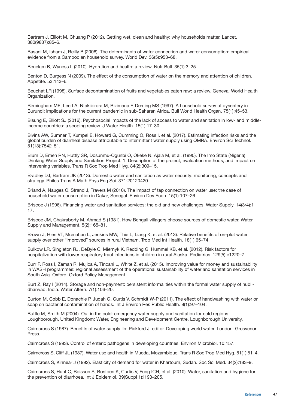Bartram J, Elliott M, Chuang P (2012). Getting wet, clean and healthy: why households matter. Lancet. 380(9837):85–6.

Basani M, Isham J, Reilly B (2008). The determinants of water connection and water consumption: empirical evidence from a Cambodian household survey. World Dev. 36(5):953–68.

Benelam B, Wyness L (2010). Hydration and health: a review. Nutr Bull. 35(1):3–25.

Benton D, Burgess N (2009). The effect of the consumption of water on the memory and attention of children. Appetite. 53:143–6.

Beuchat LR (1998). [Surface decontamination of fruits and vegetables eaten raw: a review](https://apps.who.int/iris/handle/10665/64435). Geneva: World Health Organization.

Birmingham ME, Lee LA, Ntakibirora M, Bizimana F, Deming MS (1997). A household survey of dysentery in Burundi: implications for the current pandemic in sub-Saharan Africa. Bull World Health Organ. 75(1):45–53.

Bisung E, Elliott SJ (2016). Psychosocial impacts of the lack of access to water and sanitation in low- and middleincome countries: a scoping review. J Water Health. 15(1):17–30.

Bivins AW, Sumner T, Kumpel E, Howard G, Cumming O, Ross I, et al. (2017). Estimating infection risks and the global burden of diarrheal disease attributable to intermittent water supply using QMRA. Environ Sci Technol. 51(13):7542–51.

Blum D, Emeh RN, Huttly SR, Dosunmu-Ogunbi O, Okeke N, Ajala M, et al. (1990). The Imo State (Nigeria) Drinking Water Supply and Sanitation Project. 1. Description of the project, evaluation methods, and impact on intervening variables. Trans R Soc Trop Med Hyg. 84(2):309–15.

Bradley DJ, Bartram JK (2013). Domestic water and sanitation as water security: monitoring, concepts and strategy. Philos Trans A Math Phys Eng Sci. 371:20120420.

Briand A, Nauges C, Strand J, Travers M (2010). The impact of tap connection on water use: the case of household water consumption in Dakar, Senegal. Environ Dev Econ. 15(1):107–26.

Briscoe J (1996). Financing water and sanitation services: the old and new challenges. Water Supply. 14(3/4):1– 17.

Briscoe JM, Chakraborty M, Ahmad S (1981). How Bengali villagers choose sources of domestic water. Water Supply and Management. 5(2):165–81.

Brown J, Hien VT, Mcmahan L, Jenkins MW, Thie L, Liang K, et al. (2013). Relative benefits of on-plot water supply over other "improved" sources in rural Vietnam. Trop Med Int Health. 18(1):65–74.

Bulkow LR, Singleton RJ, DeByle C, Miernyk K, Redding G, Hummel KB, et al. (2012). Risk factors for hospitalization with lower respiratory tract infections in children in rural Alaska. Pediatrics. 129(5):e1220-7.

Burr P, Ross I, Zaman R, Mujica A, Tincani L, White Z, et al. (2015). Improving value for money and sustainability in WASH programmes: regional assessment of the operational sustainability of water and sanitation services in South Asia. Oxford: Oxford Policy Management

Burt Z, Ray I (2014). Storage and non-payment: persistent informalities within the formal water supply of hublidharwad, India. Water Altern. 7(1):106–20.

Burton M, Cobb E, Donachie P, Judah G, Curtis V, Schmidt W-P (2011). The effect of handwashing with water or soap on bacterial contamination of hands. Int J Environ Res Public Health. 8(1):97–104.

Buttle M, Smith M (2004). Out in the cold: emergency water supply and sanitation for cold regions. Loughborough, United Kingdom: Water, Engineering and Development Centre, Loughborough University.

Cairncross S (1987). Benefits of water supply. In: Pickford J, editor. Developing world water. London: Grosvenor Press.

Cairncross S (1993). Control of enteric pathogens in developing countries. Environ Microbiol. 10:157.

Cairncross S, Cliff JL (1987). Water use and health in Mueda, Mozambique. Trans R Soc Trop Med Hyg. 81(1):51–4.

Cairncross S, Kinnear J (1992). Elasticity of demand for water in Khartoum, Sudan. Soc Sci Med. 34(2):183–9.

Cairncross S, Hunt C, Boisson S, Bostoen K, Curtis V, Fung ICH, et al. (2010). Water, sanitation and hygiene for the prevention of diarrhoea. Int J Epidemiol. 39(Suppl 1):i193–205.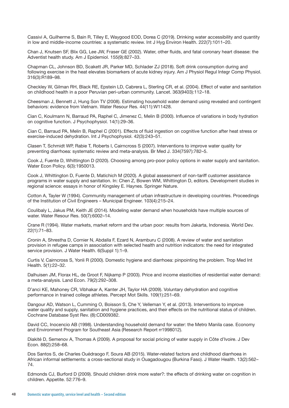Cassivi A, Guilherme S, Bain R, Tilley E, Waygood EOD, Dorea C (2019). Drinking water accessibility and quantity in low and middle-income countries: a systematic review. Int J Hyg Environ Health. 222(7):1011–20.

Chan J, Knutsen SF, Blix GG, Lee JW, Fraser GE (2002). Water, other fluids, and fatal coronary heart disease: the Adventist health study. Am J Epidemiol. 155(9):827–33.

Chapman CL, Johnson BD, Scakett JR, Parker MD, Schlader ZJ (2018). Soft drink consumption during and following exercise in the heat elevates biomarkers of acute kidney injury. Am J Physiol Regul Integr Comp Physiol. 316(3):R189–98.

Checkley W, Gilman RH, Black RE, Epstein LD, Cabrera L, Sterling CR, et al. (2004). Effect of water and sanitation on childhood health in a poor Peruvian peri-urban community. Lancet. 363(9403):112–18.

Cheesman J, Bennett J, Hung Son TV (2008). Estimating household water demand using revealed and contingent behaviors: evidence from Vietnam. Water Resour Res. 44(11):W11428.

Cian C, Koulmann N, Barraud PA, Raphel C, Jimenez C, Melin B (2000). Influence of variations in body hydration on cognitive function. J Psychophysiol. 14(1):29–36.

Cian C, Barraud PA, Melin B, Raphel C (2001). Effects of fluid ingestion on cognitive function after heat stress or exercise-induced dehydration. Int J Psychophysiol. 42(3):243–51.

Clasen T, Schmidt WP, Rabie T, Roberts I, Cairncross S (2007). Interventions to improve water quality for preventing diarrhoea: systematic review and meta-analysis. Br Med J. 334(7597):782–5.

Cook J, Fuente D, Whittington D (2020). Choosing among pro-poor policy options in water supply and sanitation. Water Econ Policy. 6(3):1950013.

Cook J, Whittington D, Fuente D, Matichich M (2020). A global assessment of non-tariff customer assistance programs in water supply and sanitation. In: Chen Z, Bowen WM, Whittington D, editors. Development studies in regional science: essays in honor of Kingsley E. Haynes. Springer Nature.

Cotton A, Tayler W (1994). Community management of urban infrastructure in developing countries. Proceedings of the Institution of Civil Engineers – Municipal Engineer. 103(4):215–24.

Coulibaly L, Jakus PM, Keith JE (2014). Modeling water demand when households have multiple sources of water. Water Resour Res. 50(7):6002–14.

Crane R (1994). Water markets, market reform and the urban poor: results from Jakarta, Indonesia. World Dev. 22(1):71–83.

Cronin A, Shrestha D, Cornier N, Abdalla F, Ezard N, Aramburu C (2008). A review of water and sanitation provision in refugee camps in association with selected health and nutrition indicators: the need for integrated service provision. J Water Health. 6(Suppl 1):1-9.

Curtis V, Cairncross S, Yonli R (2000). Domestic hygiene and diarrhoea: pinpointing the problem. Trop Med Int Health. 5(1):22–32.

Dalhuisen JM, Florax HL, de Groot F, Nijkamp P (2003). Price and income elasticities of residential water demand: a meta-analysis. Land Econ. 79(2):292–308.

D'anci KE, Mahoney CR, Vibhakar A, Kanter JH, Taylor HA (2009). Voluntary dehydration and cognitive performance in trained college athletes. Percept Mot Skills. 109(1):251–69.

Dangour AD, Watson L, Cumming O, Boisson S, Che Y, Velleman Y, et al. (2013). Interventions to improve water quality and supply, sanitation and hygiene practices, and their effects on the nutritional status of children. Cochrane Database Syst Rev. (8):CD009382.

David CC, Inocencio AB (1998). Understanding household demand for water: the Metro Manila case. Economy and Environment Program for Southeast Asia (Research Report rr1998012).

Diakité D, Semenov A, Thomas A (2009). A proposal for social pricing of water supply in Côte d'Ivoire. J Dev Econ. 88(2):258–68.

Dos Santos S, de Charles Ouédraogo F, Soura AB (2015). Water-related factors and childhood diarrhoea in African informal settlements: a cross-sectional study in Ouagadougou (Burkina Faso). J Water Health. 13(2):562– 74.

Edmonds CJ, Burford D (2009). Should children drink more water?: the effects of drinking water on cognition in children. Appetite. 52:776–9.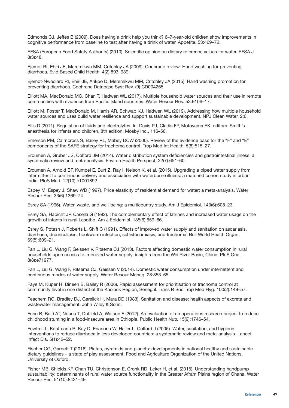Edmonds CJ, Jeffes B (2009). Does having a drink help you think? 6–7-year-old children show improvements in cognitive performance from baseline to test after having a drink of water. Appetite. 53:469–72.

EFSA (European Food Safety Authority) (2010). Scientific opinion on dietary reference values for water. EFSA J. 8(3):48.

Ejemot RI, Ehiri JE, Meremikwu MM, Critchley JA (2009). Cochrane review: Hand washing for preventing diarrhoea. Evid Based Child Health. 4(2):893–939.

Ejemot-Nwadiaro RI, Ehiri JE, Arikpo D, Meremikwu MM, Critchley JA (2015). Hand washing promotion for preventing diarrhoea. Cochrane Database Syst Rev. (9):CD004265.

Elliott MA, MacDonald MC, Chan T, Hadwen WL (2017). Multiple household water sources and their use in remote communities with evidence from Pacific Island countries. Water Resour Res. 53:9106–17.

Elliott M, Foster T, MacDonald M, Harris AR, Schwab KJ, Hadwen WL (2019). Addressing how multiple household water sources and uses build water resilience and support sustainable development. NPJ Clean Water. 2:6.

Ellis D (2011). Regulation of fluids and electrolytes. In: Davis PJ, Cladis FP, Motoyama EK, editors. Smith's anesthesia for infants and children, 8th edition. Mosby Inc., 116–56.

Emerson PM, Cairncross S, Bailey RL, Mabey DCW (2000). Review of the evidence base for the "F" and "E" components of the SAFE strategy for trachoma control. Trop Med Int Health. 5(8):515–27.

Ercumen A, Gruber JS, Colford JM (2014). Water distribution system deficiencies and gastrointestinal illness: a systematic review and meta-analysis. Environ Health Perspect. 22(7):651–60.

Ercumen A, Arnold BF, Kumpel E, Burt Z, Ray I, Nelson K, et al. (2015). Upgrading a piped water supply from intermittent to continuous delivery and association with waterborne illness: a matched cohort study in urban India. PloS Med. 12(10):e1001892.

Espey M, Espey J, Shaw WD (1997). Price elasticity of residential demand for water: a meta-analysis. Water Resour Res. 33(6):1369–74.

Esrey SA (1996). Water, waste, and well-being: a multicountry study. Am J Epidemiol. 143(6):608–23.

Esrey SA, Habicht JP, Casella G (1992). The complementary effect of latrines and increased water usage on the growth of infants in rural Lesotho. Am J Epidemiol. 135(6):659–66.

Esrey S, Potash J, Roberts L, Shiff C (1991). Effects of improved water supply and sanitation on ascariasis, diarrhoea, drcunculiasis, hookworm infection, schistosomiasis, and trachoma. Bull World Health Organ. 69(5):609–21.

Fan L, Liu G, Wang F, Geissen V, Ritsema CJ (2013). Factors affecting domestic water consumption in rural households upon access to improved water supply: insights from the Wei River Basin, China. PloS One. 8(8):e71977.

Fan L, Liu G, Wang F, Ritsema CJ, Geissen V (2014). Domestic water consumption under intermittent and continuous modes of water supply. Water Resour Manag. 28:853–65.

Faye M, Kuper H, Dineen B, Bailey R (2006). Rapid assessment for prioritisation of trachoma control at community level in one district of the Kaolack Region, Senegal. Trans R Soc Trop Med Hyg. 100(2):149–57.

Feachem RG, Bradley DJ, Garelick H, Mara DD (1983). Sanitation and disease: health aspects of excreta and wastewater management. John Wiley & Sons.

Fenn B, Bulti AT, Nduna T, Duffield A, Watson F (2012). An evaluation of an operations research project to reduce childhood stunting in a food-insecure area in Ethiopia. Public Health Nutr. 15(9):1746–54.

Fewtrell L, Kaufmann R, Kay D, Enanoria W, Haller L, Colford J (2005). Water, sanitation, and hygiene interventions to reduce diarrhoea in less developed countries: a systematic review and meta-analysis. Lancet Infect Dis. 5(1):42–52.

Fischer CG, Garnett T (2016). Plates, pyramids and planets: developments in national healthy and sustainable dietary guidelines – a state of play assessment. Food and Agriculture Organization of the United Nations, University of Oxford.

Fisher MB, Shields KF, Chan TU, Christenson E, Cronk RD, Leker H, et al. (2015). Understanding handpump sustainability: determinants of rural water source functionality in the Greater Afram Plains region of Ghana. Water Resour Res. 51(10):8431–49.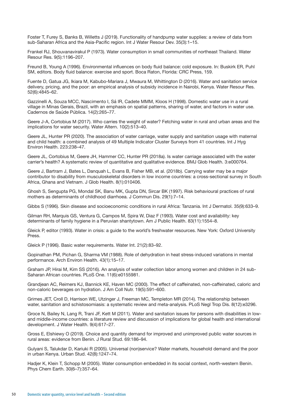Foster T, Furey S, Banks B, Willetts J (2019). Functionality of handpump water supplies: a review of data from sub-Saharan Africa and the Asia-Pacific region. Int J Water Resour Dev. 35(3):1–15.

Frankel RJ, Shouvanavirakul P (1973). Water consumption in small communities of northeast Thailand. Water Resour Res. 9(5):1196–207.

Freund B, Young A (1996). Environmental influences on body fluid balance: cold exposure. In: Buskirk ER, Puhl SM, editors. Body fluid balance: exercise and sport. Boca Raton, Florida: CRC Press, 159.

Fuente D, Gatua JG, Ikiara M, Kabubo-Mariara J, Mwaura M, Whittington D (2016). Water and sanitation service delivery, pricing, and the poor: an empirical analysis of subsidy incidence in Nairobi, Kenya. Water Resour Res. 52(6):4845–62.

Gazzinelli A, Souza MCC, Nascimento I, Sá IR, Cadete MMM, Kloos H (1998). Domestic water use in a rural village in Minas Gerais, Brazil, with an emphasis on spatial patterns, sharing of water, and factors in water use. Cadernos de Saúde Pública. 14(2):265–77.

Geere J-A, Cortobius M (2017). Who carries the weight of water? Fetching water in rural and urban areas and the implications for water security. Water Altern. 10(2):513–40.

Geere JL, Hunter PR (2020). The association of water carriage, water supply and sanitation usage with maternal and child health: a combined analysis of 49 Multiple Indicator Cluster Surveys from 41 countries. Int J Hyg Environ Health. 223:238–47.

Geere JL, Cortobius M, Geere JH, Hammer CC, Hunter PR (2018a). Is water carriage associated with the water carrier's health? A systematic review of quantitative and qualitative evidence. BMJ Glob Health. 3:e000764.

Geere J, Bartram J, Bates L, Danquah L, Evans B, Fisher MB, et al. (2018b). Carrying water may be a major contributor to disability from musculoskeletal disorders in low income countries: a cross-sectional survey in South Africa, Ghana and Vietnam. J Glob Health. 8(1):010406.

Ghosh S, Sengupta PG, Mondal SK, Banu MK, Gupta DN, Sircar BK (1997). Risk behavioural practices of rural mothers as determinants of childhood diarrhoea. J Commun Dis. 29(1):7–14.

Gibbs S (1996). Skin disease and socioeconomic conditions in rural Africa: Tanzania. Int J Dermatol. 35(9):633–9.

Gilman RH, Marquis GS, Ventura G, Campos M, Spira W, Diaz F (1993). Water cost and availability: key determinants of family hygiene in a Peruvian shantytown. Am J Public Health. 83(11):1554–8.

Gleick P, editor (1993). Water in crisis: a guide to the world's freshwater resources. New York: Oxford University Press.

Gleick P (1996). Basic water requirements. Water Int. 21(2):83–92.

Gopinathan PM, Pichan G, Sharma VM (1988). Role of dehydration in heat stress-induced variations in mental performance. Arch Environ Health. 43(1):15–17.

Graham JP, Hirai M, Kim SS (2016). An analysis of water collection labor among women and children in 24 sub-Saharan African countries. PLoS One. 11(6):e0155981.

Grandjean AC, Reimers KJ, Bannick KE, Haven MC (2000). The effect of caffeinated, non-caffeinated, caloric and non-caloric beverages on hydration. J Am Coll Nutr. 19(5):591–600.

Grimes JET, Croll D, Harrison WE, Utzinger J, Freeman MC, Templeton MR (2014). The relationship between water, sanitation and schistosomiasis: a systematic review and meta-analysis. PLoS Negl Trop Dis. 8(12):e3296.

Groce N, Bailey N, Lang R, Trani JF, Kett M (2011). Water and sanitation issues for persons with disabilities in lowand middle-income countries: a literature review and discussion of implications for global health and international development. J Water Health. 9(4):617–27.

Gross E, Elshiewy O (2019). Choice and quantity demand for improved and unimproved public water sources in rural areas: evidence from Benin. J Rural Stud. 69:186–94.

Gulyani S, Talukdar D, Kariuki R (2005). Universal (non)service? Water markets, household demand and the poor in urban Kenya. Urban Stud. 42(8):1247–74.

Hadjer K, Klein T, Schopp M (2005). Water consumption embedded in its social context, north-western Benin. Phys Chem Earth. 30(6–7):357–64.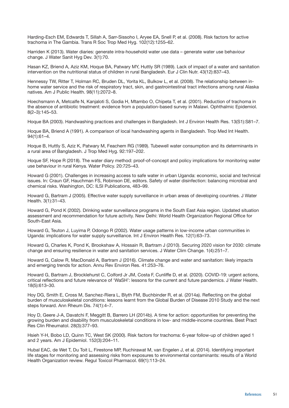Harding-Esch EM, Edwards T, Sillah A, Sarr-Sissoho I, Aryee EA, Snell P, et al. (2008). Risk factors for active trachoma in The Gambia. Trans R Soc Trop Med Hyg. 102(12):1255–62.

Harriden K (2013). Water diaries: generate intra-household water use data – generate water use behaviour change. J Water Sanit Hyg Dev. 3(1):70.

Hasan KZ, Briend A, Aziz KM, Hoque BA, Patwary MY, Huttly SR (1989). Lack of impact of a water and sanitation intervention on the nutritional status of children in rural Bangladesh. Eur J Clin Nutr. 43(12):837–43.

Hennessy TW, Ritter T, Holman RC, Bruden DL, Yorita KL, Bulkow L, et al. (2008). The relationship between inhome water service and the risk of respiratory tract, skin, and gastrointestinal tract infections among rural Alaska natives. Am J Public Health. 98(11):2072–8.

Hoechsmann A, Metcalfe N, Kanjaloti S, Godia H, Mtambo O, Chipeta T, et al. (2001). Reduction of trachoma in the absence of antibiotic treatment: evidence from a population-based survey in Malawi. Ophthalmic Epidemiol. 8(2–3):145–53.

Hoque BA (2003). Handwashing practices and challenges in Bangladesh. Int J Environ Health Res. 13(S1):S81–7.

Hoque BA, Briend A (1991). A comparison of local handwashing agents in Bangladesh. Trop Med Int Health. 94(1):61–4.

Hoque B, Huttly S, Aziz K, Patwary M, Feachem RG (1989). Tubewell water consumption and its determinants in a rural area of Bangladesh. J Trop Med Hyg. 92:197–202.

Hoque SF, Hope R (2018). The water diary method: proof-of-concept and policy implications for monitoring water use behaviour in rural Kenya. Water Policy. 20:725–43.

Howard G (2001). Challenges in increasing access to safe water in urban Uganda: economic, social and technical issues. In: Craun GF, Hauchman FS, Robinson DE, editors. Safety of water disinfection: balancing microbial and chemical risks. Washington, DC: ILSI Publications, 483–99.

Howard G, Bartram J (2005). Effective water supply surveillance in urban areas of developing countries. J Water Health. 3(1):31–43.

Howard G, Pond K (2002). Drinking water surveillance programs in the South East Asia region. Updated situation assessment and recommendation for future activity. New Delhi: World Health Organization Regional Office for South-East Asia.

Howard G, Teuton J, Luyima P, Odongo R (2002). Water usage patterns in low-income urban communities in Uganda: implications for water supply surveillance. Int J Environ Health Res. 12(1):63–73.

Howard G, Charles K, Pond K, Brookshaw A, Hossain R, Bartram J (2010). Securing 2020 vision for 2030: climate change and ensuring resilience in water and sanitation services. J Water Clim Change. 1(4):251–7.

Howard G, Calow R, MacDonald A, Bartram J (2016). Climate change and water and sanitation: likely impacts and emerging trends for action. Annu Rev Environ Res. 41:253–76.

Howard G, Bartram J, Brocklehurst C, Colford Jr JM, Costa F, Cunliffe D, et al. (2020). COVID-19: urgent actions, critical reflections and future relevance of 'WaSH': lessons for the current and future pandemics. J Water Health. 18(5):613–30.

Hoy DG, Smith E, Cross M, Sanchez-Riera L, Blyth FM, Buchbinder R, et al. (2014a). Reflecting on the global burden of musculoskeletal conditions: lessons learnt from the Global Burden of Disease 2010 Study and the next steps forward. Ann Rheum Dis. 74(1):4–7.

Hoy D, Geere J-A, Davatchi F, Meggitt B, Barrero LH (2014b). A time for action: opportunities for preventing the growing burden and disability from musculoskeletal conditions in low- and middle-income countries. Best Pract Res Clin Rheumatol. 28(3):377–93.

Hsieh Y-H, Bobo LD, Quinn TC, West SK (2000). Risk factors for trachoma: 6-year follow-up of children aged 1 and 2 years. Am J Epidemiol. 152(3):204–11.

Hubal EAC, de Wet T, Du Toit L, Firestone MP, Ruchirawat M, van Engelen J, et al. (2014). Identifying important life stages for monitoring and assessing risks from exposures to environmental contaminants: results of a World Health Organization review. Regul Toxicol Pharmacol. 69(1):113–24.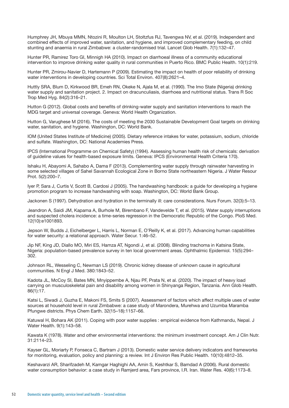Humphrey JH, Mbuya MMN, Ntozini R, Moulton LH, Stoltzfus RJ, Tavengwa NV, et al. (2019). Independent and combined effects of improved water, sanitation, and hygiene, and improved complementary feeding, on child stunting and anaemia in rural Zimbabwe: a cluster-randomised trial. Lancet Glob Health. 7(1):132–47.

Hunter PR, Ramirez Toro GI, Minnigh HA (2010). Impact on diarrhoeal illness of a community educational intervention to improve drinking water quality in rural communities in Puerto Rico. BMC Public Health. 10(1):219.

Hunter PR, Zmirou-Navier D, Hartemann P (2009). Estimating the impact on health of poor reliability of drinking water interventions in developing countries. Sci Total Environ. 407(8):2621–4.

Huttly SRA, Blum D, Kirkwood BR, Emeh RN, Okeke N, Ajala M, et al. (1990). The Imo State (Nigeria) drinking water supply and sanitation project. 2. Impact on dracunculiasis, diarrhoea and nutritional status. Trans R Soc Trop Med Hyg. 84(2):316–21.

Hutton G (2012). [Global costs and benefits of drinking-water supply and sanitation interventions to reach the](https://apps.who.int/iris/bitstream/handle/10665/75140/WHO_HSE_WSH_12.01_eng.pdf?sequence=1)  [MDG target and universal coverage.](https://apps.who.int/iris/bitstream/handle/10665/75140/WHO_HSE_WSH_12.01_eng.pdf?sequence=1) Geneva: World Health Organization.

Hutton G, Varughese M (2016). The costs of meeting the 2030 Sustainable Development Goal targets on drinking water, sanitation, and hygiene. Washington, DC: World Bank.

IOM (United States Institute of Medicine) (2005). Dietary reference intakes for water, potassium, sodium, chloride and sulfate. Washington, DC: National Academies Press.

IPCS (International Programme on Chemical Safety) (1994). Assessing human health risk of chemicals: derivation of guideline values for health-based exposure limits. Geneva: IPCS (Environmental Health Criteria 170).

Ishaku H, Abayomi A, Sahabo A, Dama F (2013). Complementing water supply through rainwater harvesting in some selected villages of Sahel Savannah Ecological Zone in Borno State northeastern Nigeria. J Water Resour Prot. 5(2):200–7.

Iyer P, Sara J, Curtis V, Scott B, Cardosi J (2005). The handwashing handbook: a guide for developing a hygiene promotion program to increase handwashing with soap. Washington, DC: World Bank Group.

Jackonen S (1997). Dehydration and hydration in the terminally ill: care considerations. Nurs Forum. 32(3):5–13.

Jeandron A, Saidi JM, Kapama A, Burhole M, Birembano F, Vandevelde T, et al. (2015). Water supply interruptions and suspected cholera incidence: a time-series regression in the Democratic Republic of the Congo. PloS Med. 12(10):e1001893.

Jepson W, Budds J, Eichelberger L, Harris L, Norman E, O'Reilly K, et al. (2017). Advancing human capabilities for water security: a relational approach. Water Secur. 1:46–52.

Jip NF, King JD, Diallo MO, Miri ES, Hamza AT, Ngondi J, et al. (2008). Blinding trachoma in Katsina State, Nigeria: population-based prevalence survey in ten local government areas. Ophthalmic Epidemiol. 15(5):294– 302.

Johnson RL, Wesseling C, Newman LS (2019). Chronic kidney disease of unknown cause in agricultural communities. N Engl J Med. 380:1843–52.

Kadota JL, McCoy SI, Bates MN, Mnyippembe A, Njau PF, Prata N, et al. (2020). The impact of heavy load carrying on musculoskeletal pain and disability among women in Shinyanga Region, Tanzania. Ann Glob Health. 86(1):17.

Katsi L, Siwadi J, Guzha E, Makoni FS, Smits S (2007). Assessment of factors which affect multiple uses of water sources at household level in rural Zimbabwe: a case study of Marondera, Murehwa and Uzumba Maramba Pfungwe districts. Phys Chem Earth. 32(15–18):1157–66.

Katuwal H, Bohara AK (2011). Coping with poor water supplies : empirical evidence from Kathmandu, Nepal. J Water Health. 9(1):143–58.

Kawata K (1978). Water and other environmental interventions: the minimum investment concept. Am J Clin Nutr. 31:2114–23.

Kayser GL, Moriarty P, Fonseca C, Bartram J (2013). Domestic water service delivery indicators and frameworks for monitoring, evaluation, policy and planning: a review. Int J Environ Res Public Health. 10(10):4812–35.

Keshavarzi AR, Sharifzadeh M, Kamgar Haghighi AA, Amin S, Keshtkar S, Bamdad A (2006). Rural domestic water consumption behavior: a case study in Ramjerd area, Fars province, I.R. Iran. Water Res. 40(6):1173–8.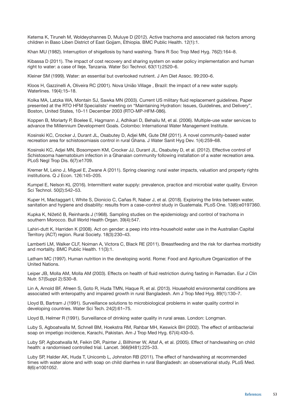Ketema K, Tiruneh M, Woldeyohannes D, Muluye D (2012). Active trachoma and associated risk factors among children in Baso Liben District of East Gojjam, Ethiopia. BMC Public Health. 12(1):1.

Khan MU (1982). Interruption of shigellosis by hand washing. Trans R Soc Trop Med Hyg. 76(2):164–8.

Kibassa D (2011). The impact of cost recovery and sharing system on water policy implementation and human right to water: a case of Ileje, Tanzania. Water Sci Technol. 63(11):2520–6.

Kleiner SM (1999). Water: an essential but overlooked nutrient. J Am Diet Assoc. 99:200–6.

Kloos H, Gazzinelli A, Oliveira RC (2001). Nova União Village , Brazil: the impact of a new water supply. Waterlines. 19(4):15–18.

Kolka MA, Latzka WA, Montain SJ, Sawka MN (2003). Current US military fluid replacement guidelines. Paper presented at the RTO HFM Specialists' meeting on "Maintaining Hydration: Issues, Guidelines, and Delivery", Boston, United States, 10–11 December 2003 (RTO-MP-HFM-086).

Koppen B, Moriarty P, Boelee E, Hagmann J, Adhikari D, Behailu M, et al. (2006). Multiple-use water services to advance the Millennium Development Goals. Colombo: International Water Management Institute.

Kosinski KC, Crocker J, Durant JL, Osabutey D, Adjei MN, Gute DM (2011). A novel community-based water recreation area for schistosomiasis control in rural Ghana. J Water Sanit Hyg Dev. 1(4):259–68.

Kosinski KC, Adjei MN, Bosompem KM, Crocker JJ, Durant JL, Osabutey D, et al. (2012). Effective control of Schistosoma haematobium infection in a Ghanaian community following installation of a water recreation area. PLoS Negl Trop Dis. 6(7):e1709.

Kremer M, Leino J, Miguel E, Zwane A (2011). Spring cleaning: rural water impacts, valuation and property rights institutions. Q J Econ. 126:145–205.

Kumpel E, Nelson KL (2016). Intermittent water supply: prevalence, practice and microbial water quality. Environ Sci Technol. 50(2):542–53.

Kuper H, Mactaggart I, White S, Dionicio C, Cañas R, Naber J, et al. (2018). Exploring the links between water, sanitation and hygiene and disability: results from a case–control study in Guatemala. PLoS One. 13(6):e0197360.

Kupka K, Nižetič B, Reinhards J (1968). Sampling studies on the epidemiology and control of trachoma in southern Morocco. Bull World Health Organ. 39(4):547.

Lahiri-dutt K, Harriden K (2008). Act on gender: a peep into intra-household water use in the Australian Capital Territory (ACT) region. Rural Society. 18(3):230–43.

Lamberti LM, Walker CLF, Noiman A, Victora C, Black RE (2011). Breastfeeding and the risk for diarrhea morbidity and mortality. BMC Public Health. 11(3):1.

Latham MC (1997). Human nutrition in the developing world. Rome: Food and Agriculture Organization of the United Nations.

Leiper JB, Molla AM, Molla AM (2003). Effects on health of fluid restriction during fasting in Ramadan. Eur J Clin Nutr. 57(Suppl 2):S30–8.

Lin A, Arnold BF, Afreen S, Goto R, Huda TMN, Haque R, et al. (2013). Household environmental conditions are associated with enteropathy and impaired growth in rural Bangladesh. Am J Trop Med Hyg. 89(1):130–7.

Lloyd B, Bartram J (1991). Surveillance solutions to microbiological problems in water quality control in developing countries. Water Sci Tech. 24(2):61–75.

Lloyd B, Helmer R (1991). Surveillance of drinking water quality in rural areas. London: Longman.

Luby S, Agboatwalla M, Schnell BM, Hoekstra RM, Rahbar MH, Keswick BH (2002). The effect of antibacterial soap on impetigo incidence, Karachi, Pakistan. Am J Trop Med Hyg. 67(4):430–5.

Luby SP, Agboatwalla M, Feikin DR, Painter J, Billhimer W, Altaf A, et al. (2005). Effect of handwashing on child health: a randomised controlled trial. Lancet. 366(9481):225–33.

Luby SP, Halder AK, Huda T, Unicomb L, Johnston RB (2011). The effect of handwashing at recommended times with water alone and with soap on child diarrhea in rural Bangladesh: an observational study. PLoS Med. 8(6):e1001052.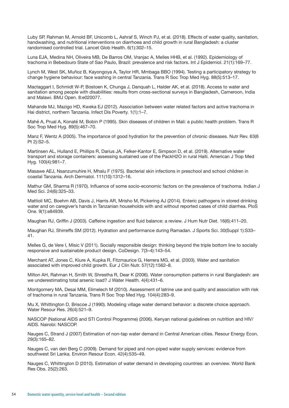Luby SP, Rahman M, Arnold BF, Unicomb L, Ashraf S, Winch PJ, et al. (2018). Effects of water quality, sanitation, handwashing, and nutritional interventions on diarrhoea and child growth in rural Bangladesh: a cluster randomised controlled trial. Lancet Glob Health. 6(1):302–15.

Luna EJA, Medina NH, Oliveira MB, De Barros OM, Vranjac A, Melles HHB, et al. (1992). Epidemiology of trachoma in Bebedouro State of Sao Paulo, Brazil: prevalence and risk factors. Int J Epidemiol. 21(1):169–77.

Lynch M, West SK, Muñoz B, Kayongoya A, Taylor HR, Mmbaga BBO (1994). Testing a participatory strategy to change hygiene behaviour: face washing in central Tanzania. Trans R Soc Trop Med Hyg. 88(5):513–17.

Mactaggart I, Schmidt W-P, Bostoen K, Chunga J, Danquah L, Halder AK, et al. (2018). Access to water and sanitation among people with disabilities: results from cross-sectional surveys in Bangladesh, Cameroon, India and Malawi. BMJ Open. 8:e020077.

Mahande MJ, Mazigo HD, Kweka EJ (2012). Association between water related factors and active trachoma in Hai district, northern Tanzania. Infect Dis Poverty. 1(1):1–7.

Mahé A, Prual A, Konaté M, Bobin P (1995). Skin diseases of children in Mali: a public health problem. Trans R Soc Trop Med Hyg. 89(5):467–70.

Manz F, Wentz A (2005). The importance of good hydration for the prevention of chronic diseases. Nutr Rev. 63(6 Pt 2):S2–5.

Martinsen AL, Hulland E, Phillips R, Darius JA, Felker-Kantor E, Simpson D, et al. (2019). Alternative water transport and storage containers: assessing sustained use of the PackH2O in rural Haiti. American J Trop Med Hyg. 100(4):981–7.

Masawe AEJ, Nsanzumuhire H, Mhalu F (1975). Bacterial skin infections in preschool and school children in coastal Tanzania. Arch Dermatol. 111(10):1312–16.

Mathur GM, Sharma R (1970). Influence of some socio-economic factors on the prevalence of trachoma. Indian J Med Sci. 24(6):325–33.

Mattioli MC, Boehm AB, Davis J, Harris AR, Mrisho M, Pickering AJ (2014). Enteric pathogens in stored drinking water and on caregiver's hands in Tanzanian households with and without reported cases of child diarrhea. PloS One. 9(1):e84939.

Maughan RJ, Griffin J (2003). Caffeine ingestion and fluid balance: a review. J Hum Nutr Diet. 16(6):411–20.

Maughan RJ, Shirreffs SM (2012). Hydration and performance during Ramadan. J Sports Sci. 30(Suppl 1):S33– 41.

Melles G, de Vere I, Misic V (2011). Socially responsible design: thinking beyond the triple bottom line to socially responsive and sustainable product design. CoDesign. 7(3–4):143–54.

Merchant AT, Jones C, Kiure A, Kupka R, Fitzmaurice G, Herrera MG, et al. (2003). Water and sanitation associated with improved child growth. Eur J Clin Nutr. 57(12):1562–8.

Milton AH, Rahman H, Smith W, Shrestha R, Dear K (2006). Water consumption patterns in rural Bangladesh: are we underestimating total arsenic load? J Water Health. 4(4):431–6.

Montgomery MA, Desai MM, Elimelech M (2010). Assessment of latrine use and quality and association with risk of trachoma in rural Tanzania. Trans R Soc Trop Med Hyg. 104(4):283–9.

Mu X, Whittington D, Briscoe J (1990). Modeling village water demand behavior: a discrete choice approach. Water Resour Res. 26(4):521–9.

NASCOP (National AIDS and STI Control Programme) (2006). Kenyan national guidelines on nutrition and HIV/ AIDS. Nairobi: NASCOP.

Nauges C, Strand J (2007) Estimation of non-tap water demand in Central American cities. Resour Energy Econ. 29(3):165–82.

Nauges C, van den Berg C (2009). Demand for piped and non-piped water supply services: evidence from southwest Sri Lanka. Environ Resour Econ. 42(4):535–49.

Nauges C, Whittington D (2010). Estimation of water demand in developing countries: an overview. World Bank Res Obs. 25(2):263.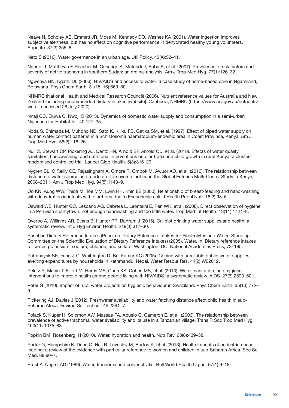Neave N, Scholey AB, Emmett JR, Moss M, Kennedy DO, Wesnes KA (2001). Water ingestion improves subjective alertness, but has no effect on cognitive performance in dehydrated healthy young volunteers. Appetite. 37(3):255–6.

Neto S (2016). Water governance in an urban age. Util Policy. 43(A):32–41.

Ngondi J, Matthews F, Reacher M, Onsarigo A, Matende I, Baba S, et al. (2007). Prevalence of risk factors and severity of active trachoma in southern Sudan: an ordinal analysis. Am J Trop Med Hyg. 77(1):126–32.

Ngwenya BN, Kgathi DL (2006). HIV/AIDS and access to water: a case study of home-based care in Ngamiland, Botswana. Phys Chem Earth. 31(15–16):669–80.

NHMRC (National Health and Medical Research Council) (2006). Nutrient reference values for Australia and New Zealand including recommended dietary intakes [website]. Canberra; NHMRC [\(https://www.nrv.gov.au/nutrients/](https://www.nrv.gov.au/nutrients/water) [water](https://www.nrv.gov.au/nutrients/water), accessed 28 July 2020).

Nnaji CC, Eluwa C, Nwoji C (2013). Dynamics of domestic water supply and consumption in a semi-urban Nigerian city. Habitat Int. 40:127–35.

Noda S, Shimada M, Muhoho ND, Sato K, Kiliku FB, Gatika SM, et al. (1997). Effect of piped water supply on human water contact patterns in a Schistosoma haematobium-endemic area in Coast Province, Kenya. Am J Trop Med Hyg. 56(2):118–26.

Null C, Stewart CP, Pickering AJ, Dentz HN, Arnold BF, Arnold CD, et al. (2018). Effects of water quality, sanitation, handwashing, and nutritional interventions on diarrhoea and child growth in rural Kenya: a clusterrandomised controlled trial. Lancet Glob Health. 6(3):316–29.

Nygren BL, O'Reilly CE, Rajasingham A, Omore R, Ombok M, Awuor AO, et al. (2016). The relationship between distance to water source and moderate-to-severe diarrhea in the Global Enterics Multi-Center Study in Kenya, 2008–2011. Am J Trop Med Hyg. 94(5):1143–9.

Oo KN, Aung WW, Thida M, Toe MM, Lwin HH, Khin EE (2000). Relationship of breast-feeding and hand-washing with dehydration in infants with diarrhoea due to Escherichia coli. J Health Popul Nutr. 18(2):93–6.

Oswald WE, Hunter GC, Lescano AG, Cabrera L, Leontsini E, Pan WK, et al. (2008). Direct observation of hygiene in a Peruvian shantytown: not enough handwashing and too little water. Trop Med Int Health. 13(11):1421–8.

Overbo A, Williams AR, Evans B, Hunter PR, Bartram J (2016). On-plot drinking water supplies and health: a systematic review. Int J Hyg Environ Health. 219(4):317–30.

Panel on Dietary Reference Intakes (Panel on Dietary Reference Intakes for Electrolytes and Water: Standing Committee on the Scientific Evaluation of Dietary Reference Intakes) (2005). Water. In: Dietary reference intakes for water, potassium, sodium, chloride, and sulfate. Washington, DC: National Academies Press, 73–185.

Pattanayak SK, Yang J-C, Whittington D, Bal Kumar KC (2005). Coping with unreliable public water supplies: averting expenditures by households in Kathmandu, Nepal. Water Resour Res. 41(2):W02012.

Peletz R, Mahin T, Elliott M, Harris MS, Chan KS, Cohen MS, et al. (2013). Water, sanitation, and hygiene interventions to improve health among people living with HIV/AIDS: a systematic review. AIDS. 27(6):2593–601.

Peter G (2010). Impact of rural water projects on hygienic behaviour in Swaziland. Phys Chem Earth. 35(13):772– 9.

Pickering AJ, Davies J (2012). Freshwater availability and water fetching distance affect child health in sub-Saharan Africa. Environ Sci Technol. 46:2391−7.

Polack S, Kuper H, Solomon AW, Massae PA, Abuelo C, Cameron E, et al. (2006). The relationship between prevalence of active trachoma, water availability and its use in a Tanzanian village. Trans R Soc Trop Med Hyg. 100(11):1075–83.

Popkin BM, Rosenberg IH (2010). Water, hydration and health. Nutr Rev. 68(8):439–58.

Porter G, Hampshire K, Dunn C, Hall R, Levesley M, Burton K, et al. (2013). Health impacts of pedestrian headloading: a review of the evidence with particular reference to women and children in sub-Saharan Africa. Soc Sci Med. 88:90–7.

Prost A, Négrel AD (1989). Water, trachoma and conjunctivitis. Bull World Health Organ. 67(1):9–18.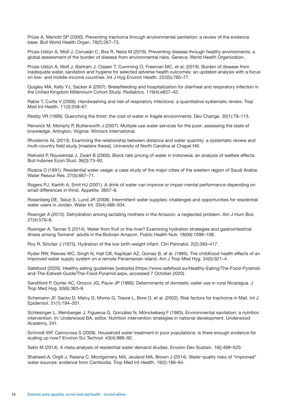Prüss A, Mariotti SP (2000). Preventing trachoma through environmental sanitation: a review of the evidence base. Bull World Health Organ. 78(2):267–73.

Prüss-Ustün A, Wolf J, Corvalán C, Bos R, Neira M (2016). [Preventing disease through healthy environments: a](https://apps.who.int/iris/handle/10665/204585)  [global assessment of the burden of disease from environmental risks](https://apps.who.int/iris/handle/10665/204585). Geneva: World Health Organization.

Prüss-Ustün A, Wolf J, Bartram J, Clasen T, Cumming O, Freeman MC, et al. (2019). Burden of disease from inadequate water, sanitation and hygiene for selected adverse health outcomes: an updated analysis with a focus on low- and middle-income countries. Int J Hyg Environ Health. 222(5):765–77.

Quigley MA, Kelly YJ, Sacker A (2007). Breastfeeding and hospitalization for diarrheal and respiratory infection in the United Kingdom Millennium Cohort Study. Pediatrics. 119(4):e837–42.

Rabie T, Curtis V (2006). Handwashing and risk of respiratory infections: a quantitative systematic review. Trop Med Int Health. 11(3):258–67.

Reddy VR (1999). Quenching the thirst: the cost of water in fragile environments. Dev Change. 30(1):79–113.

Renwick M, Moriarty P, Butterworth J (2007). Multiple use water services for the poor: assessing the state of knowledge. Arlington, Virginia: Winrock International.

Rhoderick AL (2013). Examining the relationship between distance and water quantity: a systematic review and multi-country field study [masters thesis]. University of North Carolina at Chapel Hill.

Rietveld P, Rouwendal J, Zwart B (2000). Block rate pricing of water in Indonesia: an analysis of welfare effects. Bull Indones Econ Stud. 36(3):73–92.

Rizaiza O (1991). Residential water usage: a case study of the major cities of the western region of Saudi Arabia. Water Resour Res. 27(5):667–71.

Rogers PJ, Kainth A, Smit HJ (2001). A drink of water can improve or impair mental performance depending on small differences in thirst. Appetite. 3657–8.

Rosenberg DE, Talozi S, Lund JR (2008). Intermittent water supplies: challenges and opportunities for residential water users in Jordan. Water Int. 33(4):488–504.

Rosinger A (2015). Dehydration among lactating mothers in the Amazon: a neglected problem. Am J Hum Biol. 27(4):576–8.

Rosinger A, Tanner S (2014). Water from fruit or the river? Examining hydration strategies and gastrointestinal illness among Tsimane' adults in the Bolivian Amazon. Public Health Nutr. 18(06):1098–108.

Roy R, Sinclair J (1975). Hydration of the low birth-weight infant. Clin Perinatol. 2(2):393–417.

Ryder RW, Reeves WC, Singh N, Hall CB, Kapikjan AZ, Gomez B, et al. (1985). The childhood health effects of an improved water supply system on a remote Panamanian island. Am J Trop Med Hyg. 34(5):921–4.

Safefood (2020). Healthy eating guidelines [website] [\(https://www.safefood.eu/Healthy-Eating/The-Food-Pyramid](https://www.safefood.eu/Healthy-Eating/The-Food-Pyramid-and-The-Eatwell-Guide/The-Food-Pyramid.aspx)[and-The-Eatwell-Guide/The-Food-Pyramid.aspx,](https://www.safefood.eu/Healthy-Eating/The-Food-Pyramid-and-The-Eatwell-Guide/The-Food-Pyramid.aspx) accessed 7 October 2020).

Sandiford P, Gorter AC, Orozco JG, Pauw JP (1990). Determinants of domestic water use in rural Nicaragua. J Trop Med Hyg. 93(6):383–9.

Schemann JF, Sacko D, Malvy D, Momo G, Traore L, Bore O, et al. (2002). Risk factors for trachoma in Mali. Int J Epidemiol. 31(1):194–201.

Schlesinger L, Weinberger J, Figueroa G, González N, Mónckeberg F (1983). Environmental sanitation: a nutrition intervention. In: Underwood BA, editor. Nutrition intervention strategies in national development. Underwood Academy, 241.

Schmidt WP, Cairncross S (2009). Household water treatment in poor populations: is there enough evidence for scaling up now? Environ Sci Technol. 43(4):986–92.

Sebri M (2014). A meta-analysis of residential water demand studies. Environ Dev Sustain. 16():499–520.

Shaheed A, Orgill J, Ratana C, Montgomery MA, Jeuland MA, Brown J (2014). Water quality risks of "improved" water sources: evidence from Cambodia. Trop Med Int Health. 19(2):186–94.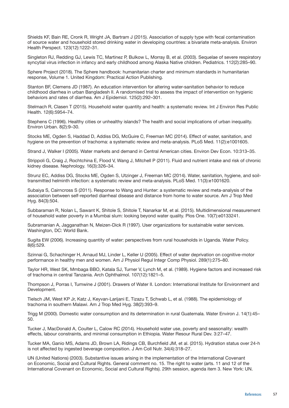Shields KF, Bain RE, Cronk R, Wright JA, Bartram J (2015). Association of supply type with fecal contamination of source water and household stored drinking water in developing countries: a bivariate meta-analysis. Environ Health Perspect. 123(12):1222–31.

Singleton RJ, Redding GJ, Lewis TC, Martinez P, Bulkow L, Morray B, et al. (2003). Sequelae of severe respiratory syncytial virus infection in infancy and early childhood among Alaska Native children. Pediatrics. 112(2):285–90.

Sphere Project (2018). The Sphere handbook: humanitarian charter and minimum standards in humanitarian response, Volume 1. United Kingdom: Practical Action Publishing.

Stanton BF, Clemens JD (1987). An education intervention for altering water-sanitation behavior to reduce childhood diarrhea in urban Bangladesh II. A randomised trial to assess the impact of intervention on hygienic behaviors and rates of diarrhea. Am J Epidemiol. 125(2):292–301.

Stelmach R, Clasen T (2015). Household water quantity and health: a systematic review. Int J Environ Res Public Health. 12(6):5954–74.

Stephens C (1996). Healthy cities or unhealthy islands? The health and social implications of urban inequality. Environ Urban. 8(2):9–30.

Stocks ME, Ogden S, Haddad D, Addiss DG, McGuire C, Freeman MC (2014). Effect of water, sanitation, and hygiene on the prevention of trachoma: a systematic review and meta-analysis. PLoS Med. 11(2):e1001605.

Strand J, Walker I (2005). Water markets and demand in Central American cities. Environ Dev Econ. 10:313–35.

Strippoli G, Craig J, Rochtchina E, Flood V, Wang J, Mitchell P (2011). Fluid and nutrient intake and risk of chronic kidney disease. Nephrology. 16(3):326–34.

Strunz EC, Addiss DG, Stocks ME, Ogden S, Utzinger J, Freeman MC (2014). Water, sanitation, hygiene, and soiltransmitted helminth infection: a systematic review and meta-analysis. PLoS Med. 11(3):e1001620.

Subaiya S, Cairncross S (2011). Response to Wang and Hunter: a systematic review and meta-analysis of the association between self-reported diarrheal disease and distance from home to water source. Am J Trop Med Hyg. 84(3):504.

Subbaraman R, Nolan L, Sawant K, Shitole S, Shitole T, Nanarkar M, et al. (2015). Multidimensional measurement of household water poverty in a Mumbai slum: looking beyond water quality. Plos One. 10(7):e0133241.

Subramanian A, Jagganathan N, Meizen-Dick R (1997). User organizations for sustainable water services. Washington, DC: World Bank.

Sugita EW (2006). Increasing quantity of water: perspectives from rural households in Uganda. Water Policy. 8(6):529.

Szinnai G, Schachinger H, Arnaud MJ, Linder L, Keller U (2005). Effect of water deprivation on cognitive-motor performance in healthy men and women. Am J Physiol Regul Integr Comp Physiol. 289(1):275–80.

Taylor HR, West SK, Mmbaga BBO, Katala SJ, Turner V, Lynch M, et al. (1989). Hygiene factors and increased risk of trachoma in central Tanzania. Arch Ophthalmol. 107(12):1821–5.

Thompson J, Porras I, Tumwine J (2001). Drawers of Water II. London: International Institute for Environment and Development.

Tielsch JM, West KP Jr, Katz J, Keyvan-Larijani E, Tizazu T, Schwab L, et al. (1988). The epidemiology of trachoma in southern Malawi. Am J Trop Med Hyg. 38(2):393–9.

Trigg M (2000). Domestic water consumption and its determination in rural Guatemala. Water Environ J. 14(1):45– 50.

Tucker J, MacDonald A, Coulter L, Calow RC (2014). Household water use, poverty and seasonality: wealth effects, labour constraints, and minimal consumption in Ethiopia. Water Resour Rural Dev. 3:27–47.

Tucker MA, Ganio MS, Adams JD, Brown LA, Ridings CB, Burchfield JM, et al. (2015). Hydration status over 24-h is not affected by ingested beverage composition. J Am Coll Nutr. 34(4):318–27.

UN (United Nations) (2003). Substantive issues arising in the implementation of the International Covenant on Economic, Social and Cultural Rights. General comment no. 15. The right to water (arts. 11 and 12 of the International Covenant on Economic, Social and Cultural Rights). 29th session, agenda item 3. New York: UN.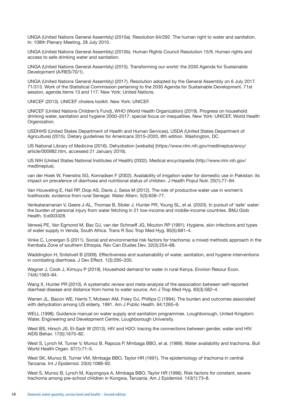UNGA (United Nations General Assembly) (2010a). Resolution 64/292. The human right to water and sanitation. In: 108th Plenary Meeting, 28 July 2010.

UNGA (United Nations General Assembly) (2010b). Human Rights Council Resolution 15/9. Human rights and access to safe drinking water and sanitation.

UNGA (United Nations General Assembly) (2015). Transforming our world: the 2030 Agenda for Sustainable Development (A/RES/70/1).

UNGA (United Nations General Assembly) (2017). [Resolution](https://undocs.org/A/RES/71/313) adopted by the General Assembly on 6 July 2017. 71/313. Work of the Statistical Commission pertaining to the 2030 Agenda for Sustainable Development. 71st session, agenda items 13 and 117. New York: United Nations.

UNICEF (2013). UNICEF cholera toolkit. New York: UNICEF.

UNICEF (United Nations Children's Fund), WHO (World Health Organization) (2019). [Progress on household](https://apps.who.int/iris/handle/10665/329370)  [drinking water, sanitation and hygiene 2000–2017: special focus on inequalities](https://apps.who.int/iris/handle/10665/329370). New York: UNICEF, World Health Organization.

USDHHS (United States Department of Health and Human Services), USDA (United States Department of Agriculture) (2015). Dietary guidelines for Americans 2015–2020, 8th edition. Washington, DC.

US National Library of Medicine (2016). Dehydration [website] ([https://www.nlm.nih.gov/medlineplus/ency/](https://www.nlm.nih.gov/medlineplus/ency/article/000982.htm) [article/000982.htm](https://www.nlm.nih.gov/medlineplus/ency/article/000982.htm), accessed 21 January 2016).

US NIH (United States National Institutes of Health) (2002). Medical encyclopedia (http://www.nlm.nih.gov/ medlineplus).

van der Hoek W, Feenstra SG, Konradsen F (2002). Availability of irrigation water for domestic use in Pakistan: its impact on prevalence of diarrhoea and nutritional status of children. J Health Popul Nutr. 20(1):77–84.

Van Houweling E, Hall RP, Diop AS, Davis J, Seiss M (2012). The role of productive water use in women's livelihoods: evidence from rural Senegal. Water Altern. 5(3):658–77.

Venkataramanan V, Geere J-AL, Thomae B, Stoler J, Hunter PR, Young SL, et al. (2020). In pursuit of 'safe' water: the burden of personal injury from water fetching in 21 low-income and middle-income countries. BMJ Glob Health. 5:e003328.

Verweij PE, Van Egmond M, Bac DJ, van der Schroeff JG, Mouton RP (1991). Hygiene, skin infections and types of water supply in Venda, South Africa. Trans R Soc Trop Med Hyg. 85(5):681–4.

Vinke C, Lonergan S (2011). Social and environmental risk factors for trachoma: a mixed methods approach in the Kembata Zone of southern Ethiopia. Rev Can Etudes Dev. 32(3):254–68.

Waddington H, Snilstveit B (2009). Effectiveness and sustainability of water, sanitation, and hygiene interventions in combating diarrhoea. J Dev Effect. 1(3):295–335.

Wagner J, Cook J, Kimuyu P (2019). Household demand for water in rural Kenya. Environ Resour Econ. 74(4):1563–84.

Wang X, Hunter PR (2010). A systematic review and meta-analysis of the association between self-reported diarrheal disease and distance from home to water source. Am J Trop Med Hyg. 83(3):582–4.

Warren JL, Bacon WE, Harris T, Mcbean AM, Foley DJ, Phillips C (1994). The burden and outcomes associated with dehydration among US elderly, 1991. Am J Public Health. 84:1265–9.

WELL (1998). Guidance manual on water supply and sanitation programmes. Loughborough, United Kingdom: Water, Engineering and Development Centre, Loughborough University.

West BS, Hirsch JS, El-Sadr W (2013). HIV and H2O: tracing the connections between gender, water and HIV. AIDS Behav. 17(5):1675–82.

West S, Lynch M, Turner V, Munoz B, Rapoza P, Mmbaga BBO, et al. (1989). Water availability and trachoma. Bull World Health Organ. 67(1):71–5.

West SK, Munoz B, Turner VM, Mmbaga BBO, Taylor HR (1991). The epidemiology of trachoma in central Tanzania. Int J Epidemiol. 20(4):1088–92.

West S, Munoz B, Lynch M, Kayongoya A, Mmbaga BBO, Taylor HR (1996). Risk factors for constant, severe trachoma among pre-school children in Kongwa, Tanzania. Am J Epidemiol. 143(1):73–8.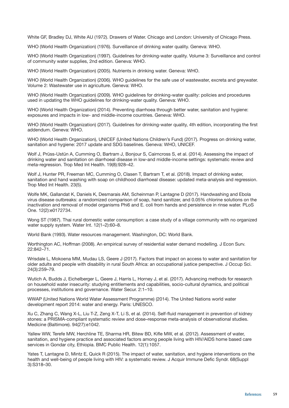White GF, Bradley DJ, White AU (1972). Drawers of Water. Chicago and London: University of Chicago Press.

WHO (World Health Organization) (1976). [Surveillance of drinking water quality.](https://apps.who.int/iris/handle/10665/41802) Geneva: WHO.

WHO (World Health Organization) (1997). [Guidelines for drinking-water quality. Volume 3: Surveillance and control](https://apps.who.int/iris/handle/10665/42002)  [of community water supplies,](https://apps.who.int/iris/handle/10665/42002) 2nd edition. Geneva: WHO.

WHO (World Health Organization) (2005). [Nutrients in drinking water](https://apps.who.int/iris/handle/10665/43403). Geneva: WHO.

WHO (World Health Organization) (2006). [WHO guidelines for the safe use of wastewater, excreta and greywater.](https://apps.who.int/iris/handle/10665/78265)  [Volume 2: Wastewater use in agriculture](https://apps.who.int/iris/handle/10665/78265). Geneva: WHO.

WHO (World Health Organization) (2009). [WHO guidelines for drinking-water quality: policies and procedures](https://apps.who.int/iris/handle/10665/70050)  [used in updating the WHO guidelines for drinking-water quality.](https://apps.who.int/iris/handle/10665/70050) Geneva: WHO.

WHO (World Health Organization) (2014). [Preventing diarrhoea through better water, sanitation and hygiene:](https://apps.who.int/iris/handle/10665/150112)  [exposures and impacts in low- and middle-income countries.](https://apps.who.int/iris/handle/10665/150112) Geneva: WHO.

WHO (World Health Organization) (2017). [Guidelines for drinking-water quality, 4th edition, incorporating the first](https://apps.who.int/iris/handle/10665/254637)  [addendum](https://apps.who.int/iris/handle/10665/254637). Geneva: WHO.

WHO (World Health Organization), UNICEF (United Nations Children's Fund) (2017). [Progress on drinking water,](https://apps.who.int/iris/handle/10665/258617)  [sanitation and hygiene: 2017 update and SDG baselines.](https://apps.who.int/iris/handle/10665/258617) Geneva: WHO, UNICEF.

Wolf J, Prüss‐Ustün A, Cumming O, Bartram J, Bonjour S, Cairncross S, et al. (2014). Assessing the impact of drinking water and sanitation on diarrhoeal disease in low‐and middle‐income settings: systematic review and meta‐regression. Trop Med Int Health. 19(8):928–42.

Wolf J, Hunter PR, Freeman MC, Cumming O, Clasen T, Bartram T, et al. (2018). Impact of drinking water, sanitation and hand washing with soap on childhood diarrhoeal disease: updated meta-analysis and regression. Trop Med Int Health. 23(5).

Wolfe MK, Gallandat K, Daniels K, Desmarais AM, Scheinman P, Lantagne D (2017). Handwashing and Ebola virus disease outbreaks: a randomized comparison of soap, hand sanitizer, and 0.05% chlorine solutions on the inactivation and removal of model organisms Phi6 and E. coli from hands and persistence in rinse water. PLoS One. 12(2):e0172734.

Wong ST (1987). Thai rural domestic water consumption: a case study of a village community with no organized water supply system. Water Int. 12(1–2):60–8.

World Bank (1993). Water resources management. Washington, DC: World Bank.

Worthington AC, Hoffman (2008). An empirical survey of residential water demand modelling. J Econ Surv. 22:842–71.

Wrisdale L, Mokoena MM, Mudau LS, Geere J (2017). Factors that impact on access to water and sanitation for older adults and people with disability in rural South Africa: an occupational justice perspective. J Occup Sci. 24(3):259–79.

Wutich A, Budds J, Eichelberger L, Geere J, Harris L, Horney J, et al. (2017). Advancing methods for research on household water insecurity: studying entitlements and capabilities, socio-cultural dynamics, and political processes, institutions and governance. Water Secur. 2:1–10.

WWAP (United Nations World Water Assessment Programme) (2014). The United Nations world water development report 2014: water and energy. Paris: UNESCO.

Xu C, Zhang C, Wang X-L, Liu T-Z, Zeng X-T, Li S, et al. (2014). Self-fluid management in prevention of kidney stones: a PRISMA-compliant systematic review and dose–response meta-analysis of observational studies. Medicine (Baltimore). 94(27):e1042.

Yallew WW, Terefe MW, Herchline TE, Sharma HR, Bitew BD, Kifle MW, et al. (2012). Assessment of water, sanitation, and hygiene practice and associated factors among people living with HIV/AIDS home based care services in Gondar city, Ethiopia. BMC Public Health. 12(1):1057.

Yates T, Lantagne D, Mintz E, Quick R (2015). The impact of water, sanitation, and hygiene interventions on the health and well-being of people living with HIV: a systematic review. J Acquir Immune Defic Syndr. 68(Suppl 3):S318–30.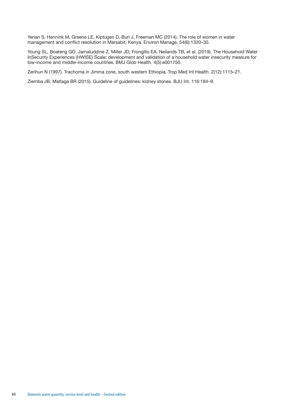Yerian S, Hennink M, Greene LE, Kiptugen D, Buri J, Freeman MC (2014). The role of women in water management and conflict resolution in Marsabit, Kenya. Environ Manage. 54(6):1320–30.

Young SL, Boateng GO, Jamaluddine Z, Miller JD, Frongillo EA, Neilands TB, et al. (2019). The Household Water InSecurity Experiences (HWISE) Scale: development and validation of a household water insecurity measure for low-income and middle-income countries. BMJ Glob Health. 4(5):e001750.

Zerihun N (1997). Trachoma in Jimma zone, south western Ethiopia. Trop Med Int Health. 2(12):1115–21.

Ziemba JB, Matlaga BR (2015). Guideline of guidelines: kidney stones. BJU Int. 116:184–9.